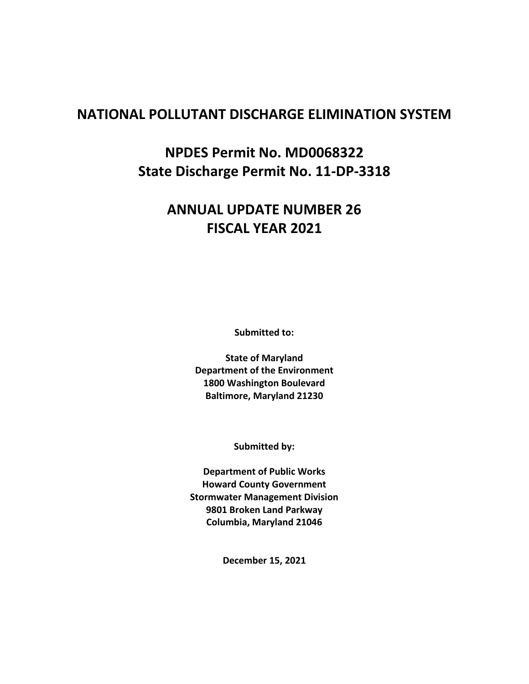# **NATIONAL POLLUTANT DISCHARGE ELIMINATION SYSTEM**

**NPDES Permit No. MD0068322 State Discharge Permit No. 11-DP-3318**

# **ANNUAL UPDATE NUMBER 26 FISCAL YEAR 2021**

**Submitted to:**

**State of Maryland Department of the Environment 1800 Washington Boulevard Baltimore, Maryland 21230**

**Submitted by:**

**Department of Public Works Howard County Government Stormwater Management Division 9801 Broken Land Parkway Columbia, Maryland 21046**

**December 15, 2021**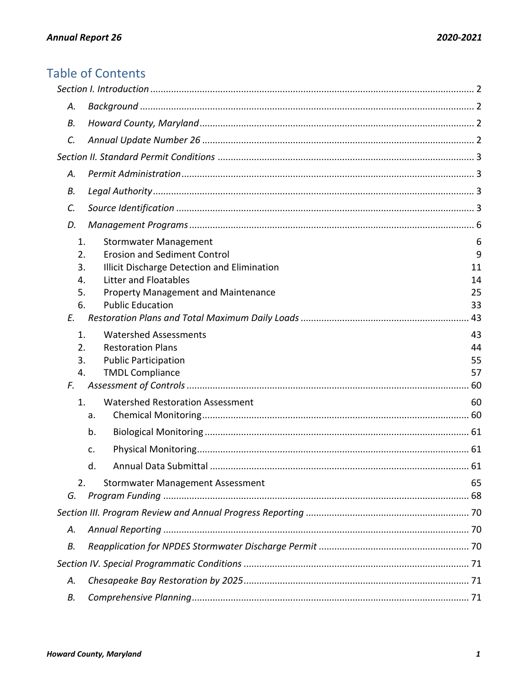# **Table of Contents**

| А.                         |                                                                                                                                             |                      |
|----------------------------|---------------------------------------------------------------------------------------------------------------------------------------------|----------------------|
| В.                         |                                                                                                                                             |                      |
| C.                         |                                                                                                                                             |                      |
|                            |                                                                                                                                             |                      |
| А.                         |                                                                                                                                             |                      |
| В.                         |                                                                                                                                             |                      |
| C.                         |                                                                                                                                             |                      |
| D.                         |                                                                                                                                             |                      |
| 1.<br>2.<br>3.<br>4.       | Stormwater Management<br><b>Erosion and Sediment Control</b><br>Illicit Discharge Detection and Elimination<br><b>Litter and Floatables</b> | 6<br>9<br>11<br>14   |
| 5.<br>6.<br>E.             | Property Management and Maintenance<br><b>Public Education</b>                                                                              | 25<br>33             |
| 1.<br>2.<br>3.<br>4.<br>F. | <b>Watershed Assessments</b><br><b>Restoration Plans</b><br><b>Public Participation</b><br><b>TMDL Compliance</b>                           | 43<br>44<br>55<br>57 |
| 1.                         | <b>Watershed Restoration Assessment</b><br>a.                                                                                               | 60                   |
|                            | b.                                                                                                                                          |                      |
|                            | c.                                                                                                                                          |                      |
|                            | d.                                                                                                                                          |                      |
| 2.<br>G.                   | <b>Stormwater Management Assessment</b>                                                                                                     | 65                   |
|                            |                                                                                                                                             |                      |
| А.                         |                                                                                                                                             |                      |
| В.                         |                                                                                                                                             |                      |
|                            |                                                                                                                                             |                      |
| А.                         |                                                                                                                                             |                      |
| В.                         |                                                                                                                                             |                      |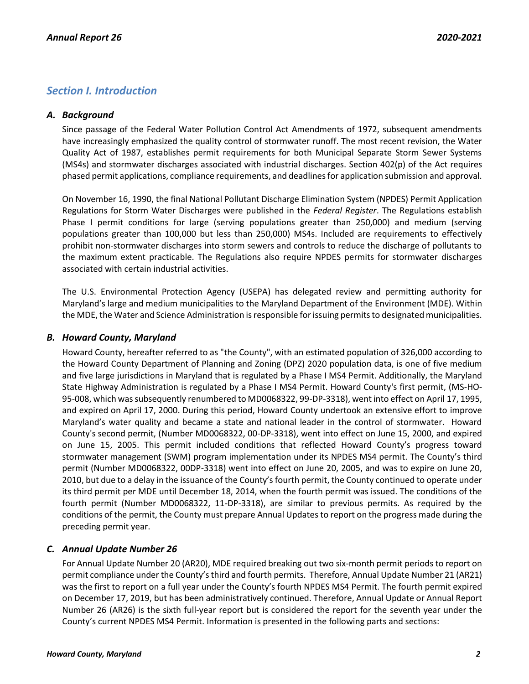# <span id="page-2-0"></span>*Section I. Introduction*

# <span id="page-2-1"></span>*A. Background*

Since passage of the Federal Water Pollution Control Act Amendments of 1972, subsequent amendments have increasingly emphasized the quality control of stormwater runoff. The most recent revision, the Water Quality Act of 1987, establishes permit requirements for both Municipal Separate Storm Sewer Systems (MS4s) and stormwater discharges associated with industrial discharges. Section 402(p) of the Act requires phased permit applications, compliance requirements, and deadlines for application submission and approval.

On November 16, 1990, the final National Pollutant Discharge Elimination System (NPDES) Permit Application Regulations for Storm Water Discharges were published in the *Federal Register*. The Regulations establish Phase I permit conditions for large (serving populations greater than 250,000) and medium (serving populations greater than 100,000 but less than 250,000) MS4s. Included are requirements to effectively prohibit non-stormwater discharges into storm sewers and controls to reduce the discharge of pollutants to the maximum extent practicable. The Regulations also require NPDES permits for stormwater discharges associated with certain industrial activities.

The U.S. Environmental Protection Agency (USEPA) has delegated review and permitting authority for Maryland's large and medium municipalities to the Maryland Department of the Environment (MDE). Within the MDE, the Water and Science Administration is responsible for issuing permits to designated municipalities.

# <span id="page-2-2"></span>*B. Howard County, Maryland*

Howard County, hereafter referred to as "the County", with an estimated population of 326,000 according to the Howard County Department of Planning and Zoning (DPZ) 2020 population data, is one of five medium and five large jurisdictions in Maryland that is regulated by a Phase I MS4 Permit. Additionally, the Maryland State Highway Administration is regulated by a Phase I MS4 Permit. Howard County's first permit, (MS-HO-95-008, which was subsequently renumbered to MD0068322, 99-DP-3318), went into effect on April 17, 1995, and expired on April 17, 2000. During this period, Howard County undertook an extensive effort to improve Maryland's water quality and became a state and national leader in the control of stormwater. Howard County's second permit, (Number MD0068322, 00-DP-3318), went into effect on June 15, 2000, and expired on June 15, 2005. This permit included conditions that reflected Howard County's progress toward stormwater management (SWM) program implementation under its NPDES MS4 permit. The County's third permit (Number MD0068322, 00DP-3318) went into effect on June 20, 2005, and was to expire on June 20, 2010, but due to a delay in the issuance of the County's fourth permit, the County continued to operate under its third permit per MDE until December 18, 2014, when the fourth permit was issued. The conditions of the fourth permit (Number MD0068322, 11-DP-3318), are similar to previous permits. As required by the conditions of the permit, the County must prepare Annual Updates to report on the progress made during the preceding permit year.

# <span id="page-2-3"></span>*C. Annual Update Number 26*

For Annual Update Number 20 (AR20), MDE required breaking out two six-month permit periods to report on permit compliance under the County's third and fourth permits. Therefore, Annual Update Number 21 (AR21) was the first to report on a full year under the County's fourth NPDES MS4 Permit. The fourth permit expired on December 17, 2019, but has been administratively continued. Therefore, Annual Update or Annual Report Number 26 (AR26) is the sixth full-year report but is considered the report for the seventh year under the County's current NPDES MS4 Permit. Information is presented in the following parts and sections: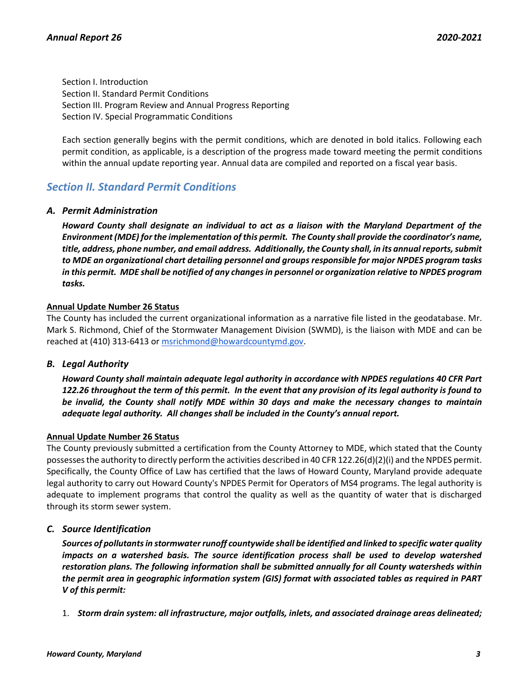Section I. Introduction Section II. Standard Permit Conditions Section III. Program Review and Annual Progress Reporting Section IV. Special Programmatic Conditions

Each section generally begins with the permit conditions, which are denoted in bold italics. Following each permit condition, as applicable, is a description of the progress made toward meeting the permit conditions within the annual update reporting year. Annual data are compiled and reported on a fiscal year basis.

# <span id="page-3-0"></span>*Section II. Standard Permit Conditions*

# <span id="page-3-1"></span>*A. Permit Administration*

*Howard County shall designate an individual to act as a liaison with the Maryland Department of the Environment (MDE) for the implementation of this permit. The County shall provide the coordinator's name, title, address, phone number, and email address. Additionally, the County shall, in its annual reports, submit to MDE an organizational chart detailing personnel and groups responsible for major NPDES program tasks in this permit. MDE shall be notified of any changes in personnel or organization relative to NPDES program tasks.*

# **Annual Update Number 26 Status**

The County has included the current organizational information as a narrative file listed in the geodatabase. Mr. Mark S. Richmond, Chief of the Stormwater Management Division (SWMD), is the liaison with MDE and can be reached at (410) 313-6413 or [msrichmond@howardcountymd.gov.](mailto:msrichmond@howardcountymd.gov)

# <span id="page-3-2"></span>*B. Legal Authority*

*Howard County shall maintain adequate legal authority in accordance with NPDES regulations 40 CFR Part 122.26 throughout the term of this permit. In the event that any provision of its legal authority is found to be invalid, the County shall notify MDE within 30 days and make the necessary changes to maintain adequate legal authority. All changes shall be included in the County's annual report.*

# **Annual Update Number 26 Status**

The County previously submitted a certification from the County Attorney to MDE, which stated that the County possesses the authority to directly perform the activities described in 40 CFR 122.26(d)(2)(i) and the NPDES permit. Specifically, the County Office of Law has certified that the laws of Howard County, Maryland provide adequate legal authority to carry out Howard County's NPDES Permit for Operators of MS4 programs. The legal authority is adequate to implement programs that control the quality as well as the quantity of water that is discharged through its storm sewer system.

# <span id="page-3-3"></span>*C. Source Identification*

*Sources of pollutants in stormwater runoff countywide shall be identified and linked to specific water quality impacts on a watershed basis. The source identification process shall be used to develop watershed restoration plans. The following information shall be submitted annually for all County watersheds within the permit area in geographic information system (GIS) format with associated tables as required in PART V of this permit:*

1. *Storm drain system: all infrastructure, major outfalls, inlets, and associated drainage areas delineated;*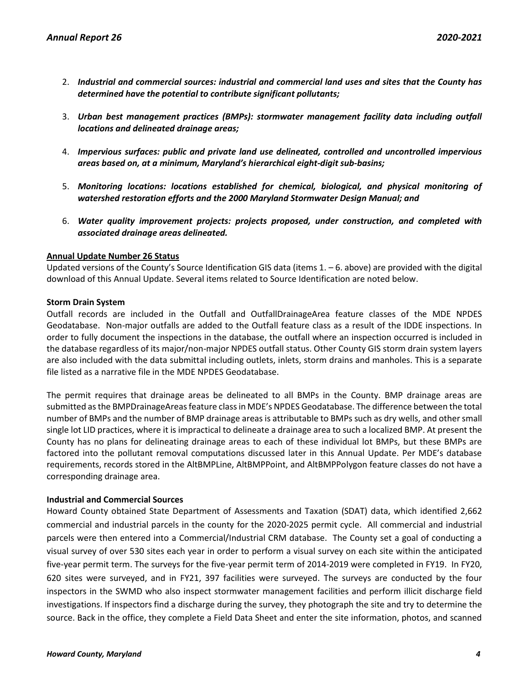- 2. *Industrial and commercial sources: industrial and commercial land uses and sites that the County has determined have the potential to contribute significant pollutants;*
- 3. *Urban best management practices (BMPs): stormwater management facility data including outfall locations and delineated drainage areas;*
- 4. *Impervious surfaces: public and private land use delineated, controlled and uncontrolled impervious areas based on, at a minimum, Maryland's hierarchical eight-digit sub-basins;*
- 5. *Monitoring locations: locations established for chemical, biological, and physical monitoring of watershed restoration efforts and the 2000 Maryland Stormwater Design Manual; and*
- 6. *Water quality improvement projects: projects proposed, under construction, and completed with associated drainage areas delineated.*

# **Annual Update Number 26 Status**

Updated versions of the County's Source Identification GIS data (items  $1. -6$ . above) are provided with the digital download of this Annual Update. Several items related to Source Identification are noted below.

#### **Storm Drain System**

Outfall records are included in the Outfall and OutfallDrainageArea feature classes of the MDE NPDES Geodatabase. Non-major outfalls are added to the Outfall feature class as a result of the IDDE inspections. In order to fully document the inspections in the database, the outfall where an inspection occurred is included in the database regardless of its major/non-major NPDES outfall status. Other County GIS storm drain system layers are also included with the data submittal including outlets, inlets, storm drains and manholes. This is a separate file listed as a narrative file in the MDE NPDES Geodatabase.

The permit requires that drainage areas be delineated to all BMPs in the County. BMP drainage areas are submitted as the BMPDrainageAreas feature class in MDE's NPDES Geodatabase. The difference between the total number of BMPs and the number of BMP drainage areas is attributable to BMPs such as dry wells, and other small single lot LID practices, where it is impractical to delineate a drainage area to such a localized BMP. At present the County has no plans for delineating drainage areas to each of these individual lot BMPs, but these BMPs are factored into the pollutant removal computations discussed later in this Annual Update. Per MDE's database requirements, records stored in the AltBMPLine, AltBMPPoint, and AltBMPPolygon feature classes do not have a corresponding drainage area.

# **Industrial and Commercial Sources**

Howard County obtained State Department of Assessments and Taxation (SDAT) data, which identified 2,662 commercial and industrial parcels in the county for the 2020-2025 permit cycle. All commercial and industrial parcels were then entered into a Commercial/Industrial CRM database. The County set a goal of conducting a visual survey of over 530 sites each year in order to perform a visual survey on each site within the anticipated five-year permit term. The surveys for the five-year permit term of 2014-2019 were completed in FY19. In FY20, 620 sites were surveyed, and in FY21, 397 facilities were surveyed. The surveys are conducted by the four inspectors in the SWMD who also inspect stormwater management facilities and perform illicit discharge field investigations. If inspectors find a discharge during the survey, they photograph the site and try to determine the source. Back in the office, they complete a Field Data Sheet and enter the site information, photos, and scanned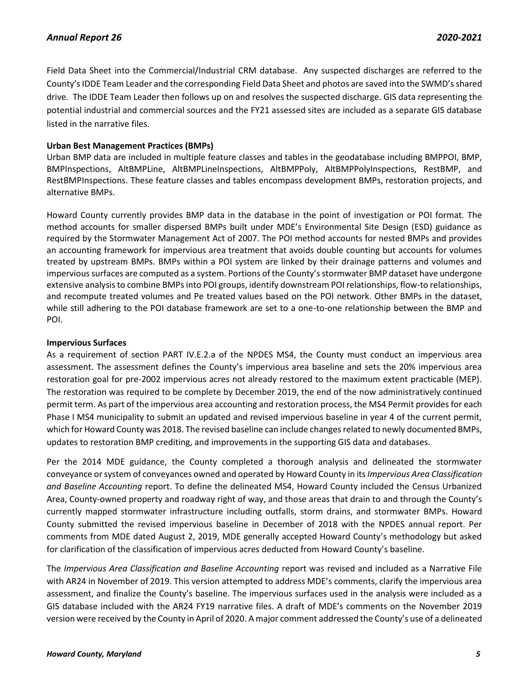Field Data Sheet into the Commercial/Industrial CRM database. Any suspected discharges are referred to the County's IDDE Team Leader and the corresponding Field Data Sheet and photos are saved into the SWMD's shared drive. The IDDE Team Leader then follows up on and resolves the suspected discharge. GIS data representing the potential industrial and commercial sources and the FY21 assessed sites are included as a separate GIS database listed in the narrative files.

# **Urban Best Management Practices (BMPs)**

Urban BMP data are included in multiple feature classes and tables in the geodatabase including BMPPOI, BMP, BMPInspections, AltBMPLine, AltBMPLineInspections, AltBMPPoly, AltBMPPolyInspections, RestBMP, and RestBMPInspections. These feature classes and tables encompass development BMPs, restoration projects, and alternative BMPs.

Howard County currently provides BMP data in the database in the point of investigation or POI format. The method accounts for smaller dispersed BMPs built under MDE's Environmental Site Design (ESD) guidance as required by the Stormwater Management Act of 2007. The POI method accounts for nested BMPs and provides an accounting framework for impervious area treatment that avoids double counting but accounts for volumes treated by upstream BMPs. BMPs within a POI system are linked by their drainage patterns and volumes and impervious surfaces are computed as a system. Portions of the County's stormwater BMP dataset have undergone extensive analysis to combine BMPs into POI groups, identify downstream POI relationships, flow-to relationships, and recompute treated volumes and Pe treated values based on the POI network. Other BMPs in the dataset, while still adhering to the POI database framework are set to a one-to-one relationship between the BMP and POI.

# **Impervious Surfaces**

As a requirement of section PART IV.E.2.a of the NPDES MS4, the County must conduct an impervious area assessment. The assessment defines the County's impervious area baseline and sets the 20% impervious area restoration goal for pre-2002 impervious acres not already restored to the maximum extent practicable (MEP). The restoration was required to be complete by December 2019, the end of the now administratively continued permit term. As part of the impervious area accounting and restoration process, the MS4 Permit provides for each Phase I MS4 municipality to submit an updated and revised impervious baseline in year 4 of the current permit, which for Howard County was 2018. The revised baseline can include changes related to newly documented BMPs, updates to restoration BMP crediting, and improvements in the supporting GIS data and databases.

Per the 2014 MDE guidance, the County completed a thorough analysis and delineated the stormwater conveyance or system of conveyances owned and operated by Howard County in its *Impervious Area Classification and Baseline Accounting* report. To define the delineated MS4, Howard County included the Census Urbanized Area, County-owned property and roadway right of way, and those areas that drain to and through the County's currently mapped stormwater infrastructure including outfalls, storm drains, and stormwater BMPs. Howard County submitted the revised impervious baseline in December of 2018 with the NPDES annual report. Per comments from MDE dated August 2, 2019, MDE generally accepted Howard County's methodology but asked for clarification of the classification of impervious acres deducted from Howard County's baseline.

The *Impervious Area Classification and Baseline Accounting* report was revised and included as a Narrative File with AR24 in November of 2019. This version attempted to address MDE's comments, clarify the impervious area assessment, and finalize the County's baseline. The impervious surfaces used in the analysis were included as a GIS database included with the AR24 FY19 narrative files. A draft of MDE's comments on the November 2019 version were received by the County in April of 2020. A major comment addressed the County's use of a delineated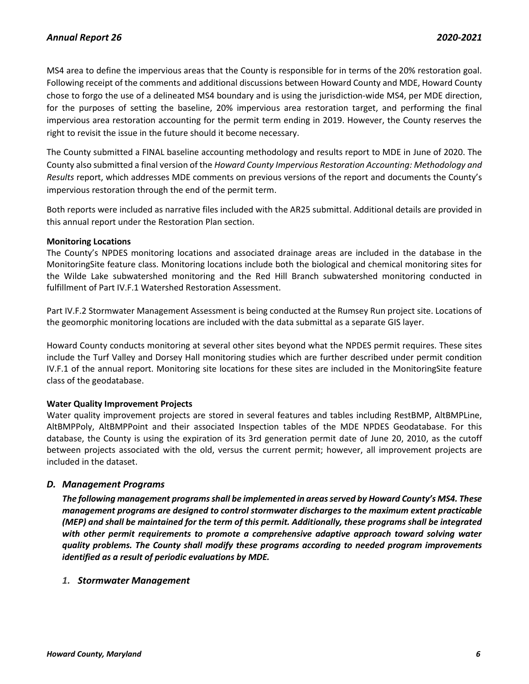MS4 area to define the impervious areas that the County is responsible for in terms of the 20% restoration goal. Following receipt of the comments and additional discussions between Howard County and MDE, Howard County chose to forgo the use of a delineated MS4 boundary and is using the jurisdiction-wide MS4, per MDE direction, for the purposes of setting the baseline, 20% impervious area restoration target, and performing the final impervious area restoration accounting for the permit term ending in 2019. However, the County reserves the right to revisit the issue in the future should it become necessary.

The County submitted a FINAL baseline accounting methodology and results report to MDE in June of 2020. The County also submitted a final version of the *Howard County Impervious Restoration Accounting: Methodology and Results* report, which addresses MDE comments on previous versions of the report and documents the County's impervious restoration through the end of the permit term.

Both reports were included as narrative files included with the AR25 submittal. Additional details are provided in this annual report under the Restoration Plan section.

# **Monitoring Locations**

The County's NPDES monitoring locations and associated drainage areas are included in the database in the MonitoringSite feature class. Monitoring locations include both the biological and chemical monitoring sites for the Wilde Lake subwatershed monitoring and the Red Hill Branch subwatershed monitoring conducted in fulfillment of Part IV.F.1 Watershed Restoration Assessment.

Part IV.F.2 Stormwater Management Assessment is being conducted at the Rumsey Run project site. Locations of the geomorphic monitoring locations are included with the data submittal as a separate GIS layer.

Howard County conducts monitoring at several other sites beyond what the NPDES permit requires. These sites include the Turf Valley and Dorsey Hall monitoring studies which are further described under permit condition IV.F.1 of the annual report. Monitoring site locations for these sites are included in the MonitoringSite feature class of the geodatabase.

# **Water Quality Improvement Projects**

Water quality improvement projects are stored in several features and tables including RestBMP, AltBMPLine, AltBMPPoly, AltBMPPoint and their associated Inspection tables of the MDE NPDES Geodatabase. For this database, the County is using the expiration of its 3rd generation permit date of June 20, 2010, as the cutoff between projects associated with the old, versus the current permit; however, all improvement projects are included in the dataset.

# <span id="page-6-0"></span>*D. Management Programs*

*The following management programs shall be implemented in areas served by Howard County's MS4. These management programs are designed to control stormwater discharges to the maximum extent practicable (MEP) and shall be maintained for the term of this permit. Additionally, these programs shall be integrated with other permit requirements to promote a comprehensive adaptive approach toward solving water quality problems. The County shall modify these programs according to needed program improvements identified as a result of periodic evaluations by MDE.*

# <span id="page-6-1"></span>*1. Stormwater Management*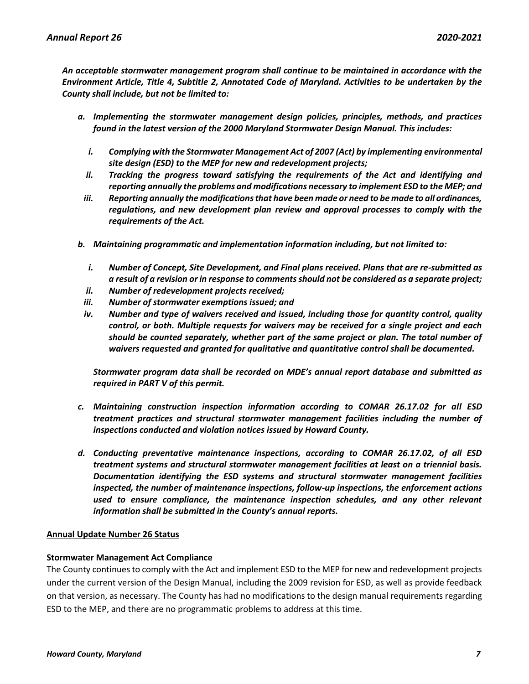*An acceptable stormwater management program shall continue to be maintained in accordance with the Environment Article, Title 4, Subtitle 2, Annotated Code of Maryland. Activities to be undertaken by the County shall include, but not be limited to:*

- *a. Implementing the stormwater management design policies, principles, methods, and practices found in the latest version of the 2000 Maryland Stormwater Design Manual. This includes:*
	- *i. Complying with the Stormwater Management Act of 2007 (Act) by implementing environmental site design (ESD) to the MEP for new and redevelopment projects;*
	- *ii. Tracking the progress toward satisfying the requirements of the Act and identifying and reporting annually the problems and modifications necessary to implement ESD to the MEP; and*
	- *iii. Reporting annually the modifications that have been made or need to be made to all ordinances, regulations, and new development plan review and approval processes to comply with the requirements of the Act.*
- *b. Maintaining programmatic and implementation information including, but not limited to:*
	- *i. Number of Concept, Site Development, and Final plans received. Plans that are re-submitted as a result of a revision or in response to comments should not be considered as a separate project;*
	- *ii. Number of redevelopment projects received;*
- *iii. Number of stormwater exemptions issued; and*
- *iv. Number and type of waivers received and issued, including those for quantity control, quality control, or both. Multiple requests for waivers may be received for a single project and each should be counted separately, whether part of the same project or plan. The total number of waivers requested and granted for qualitative and quantitative control shall be documented.*

*Stormwater program data shall be recorded on MDE's annual report database and submitted as required in PART V of this permit.*

- *c. Maintaining construction inspection information according to COMAR 26.17.02 for all ESD treatment practices and structural stormwater management facilities including the number of inspections conducted and violation notices issued by Howard County.*
- *d. Conducting preventative maintenance inspections, according to COMAR 26.17.02, of all ESD treatment systems and structural stormwater management facilities at least on a triennial basis. Documentation identifying the ESD systems and structural stormwater management facilities inspected, the number of maintenance inspections, follow-up inspections, the enforcement actions used to ensure compliance, the maintenance inspection schedules, and any other relevant information shall be submitted in the County's annual reports.*

#### **Annual Update Number 26 Status**

#### **Stormwater Management Act Compliance**

The County continues to comply with the Act and implement ESD to the MEP for new and redevelopment projects under the current version of the Design Manual, including the 2009 revision for ESD, as well as provide feedback on that version, as necessary. The County has had no modifications to the design manual requirements regarding ESD to the MEP, and there are no programmatic problems to address at this time.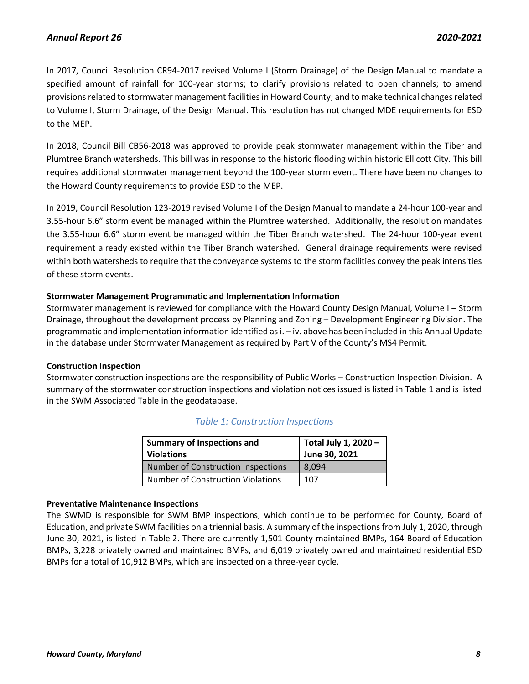In 2017, Council Resolution CR94-2017 revised Volume I (Storm Drainage) of the Design Manual to mandate a specified amount of rainfall for 100-year storms; to clarify provisions related to open channels; to amend provisions related to stormwater management facilities in Howard County; and to make technical changes related to Volume I, Storm Drainage, of the Design Manual. This resolution has not changed MDE requirements for ESD to the MEP.

In 2018, Council Bill CB56-2018 was approved to provide peak stormwater management within the Tiber and Plumtree Branch watersheds. This bill was in response to the historic flooding within historic Ellicott City. This bill requires additional stormwater management beyond the 100-year storm event. There have been no changes to the Howard County requirements to provide ESD to the MEP.

In 2019, Council Resolution 123-2019 revised Volume I of the Design Manual to mandate a 24-hour 100-year and 3.55-hour 6.6" storm event be managed within the Plumtree watershed. Additionally, the resolution mandates the 3.55-hour 6.6" storm event be managed within the Tiber Branch watershed. The 24-hour 100-year event requirement already existed within the Tiber Branch watershed. General drainage requirements were revised within both watersheds to require that the conveyance systems to the storm facilities convey the peak intensities of these storm events.

# **Stormwater Management Programmatic and Implementation Information**

Stormwater management is reviewed for compliance with the Howard County Design Manual, Volume I – Storm Drainage, throughout the development process by Planning and Zoning – Development Engineering Division. The programmatic and implementation information identified as i. – iv. above has been included in this Annual Update in the database under Stormwater Management as required by Part V of the County's MS4 Permit.

# **Construction Inspection**

Stormwater construction inspections are the responsibility of Public Works – Construction Inspection Division. A summary of the stormwater construction inspections and violation notices issued is listed in Table 1 and is listed in the SWM Associated Table in the geodatabase.

| <b>Summary of Inspections and</b><br><b>Violations</b> | Total July 1, 2020 -<br>June 30, 2021 |
|--------------------------------------------------------|---------------------------------------|
| Number of Construction Inspections                     | 8.094                                 |
| <b>Number of Construction Violations</b>               | 107                                   |

# *Table 1: Construction Inspections*

# **Preventative Maintenance Inspections**

The SWMD is responsible for SWM BMP inspections, which continue to be performed for County, Board of Education, and private SWM facilities on a triennial basis. A summary of the inspections from July 1, 2020, through June 30, 2021, is listed in Table 2. There are currently 1,501 County-maintained BMPs, 164 Board of Education BMPs, 3,228 privately owned and maintained BMPs, and 6,019 privately owned and maintained residential ESD BMPs for a total of 10,912 BMPs, which are inspected on a three-year cycle.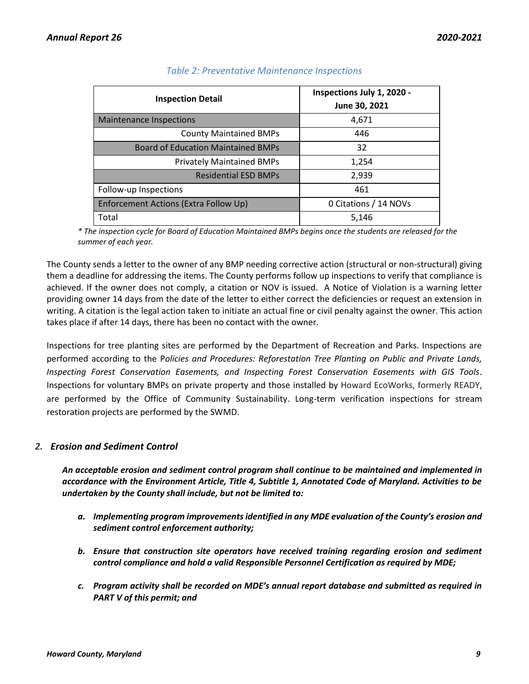| <b>Inspection Detail</b>                  | Inspections July 1, 2020 -<br>June 30, 2021 |  |
|-------------------------------------------|---------------------------------------------|--|
| <b>Maintenance Inspections</b>            | 4,671                                       |  |
| <b>County Maintained BMPs</b>             | 446                                         |  |
| <b>Board of Education Maintained BMPs</b> | 32                                          |  |
| <b>Privately Maintained BMPs</b>          | 1,254                                       |  |
| <b>Residential ESD BMPs</b>               | 2,939                                       |  |
| Follow-up Inspections                     | 461                                         |  |
| Enforcement Actions (Extra Follow Up)     | 0 Citations / 14 NOVs                       |  |
| Total                                     | 5,146                                       |  |

# *Table 2: Preventative Maintenance Inspections*

*\* The inspection cycle for Board of Education Maintained BMPs begins once the students are released for the summer of each year.*

The County sends a letter to the owner of any BMP needing corrective action (structural or non-structural) giving them a deadline for addressing the items. The County performs follow up inspections to verify that compliance is achieved. If the owner does not comply, a citation or NOV is issued. A Notice of Violation is a warning letter providing owner 14 days from the date of the letter to either correct the deficiencies or request an extension in writing. A citation is the legal action taken to initiate an actual fine or civil penalty against the owner. This action takes place if after 14 days, there has been no contact with the owner.

Inspections for tree planting sites are performed by the Department of Recreation and Parks. Inspections are performed according to the P*olicies and Procedures: Reforestation Tree Planting on Public and Private Lands, Inspecting Forest Conservation Easements, and Inspecting Forest Conservation Easements with GIS Tools*. Inspections for voluntary BMPs on private property and those installed by Howard EcoWorks, formerly READY, are performed by the Office of Community Sustainability. Long-term verification inspections for stream restoration projects are performed by the SWMD.

# <span id="page-9-0"></span>*2. Erosion and Sediment Control*

*An acceptable erosion and sediment control program shall continue to be maintained and implemented in accordance with the Environment Article, Title 4, Subtitle 1, Annotated Code of Maryland. Activities to be undertaken by the County shall include, but not be limited to:*

- *a. Implementing program improvements identified in any MDE evaluation of the County's erosion and sediment control enforcement authority;*
- *b. Ensure that construction site operators have received training regarding erosion and sediment control compliance and hold a valid Responsible Personnel Certification as required by MDE;*
- *c. Program activity shall be recorded on MDE's annual report database and submitted as required in PART V of this permit; and*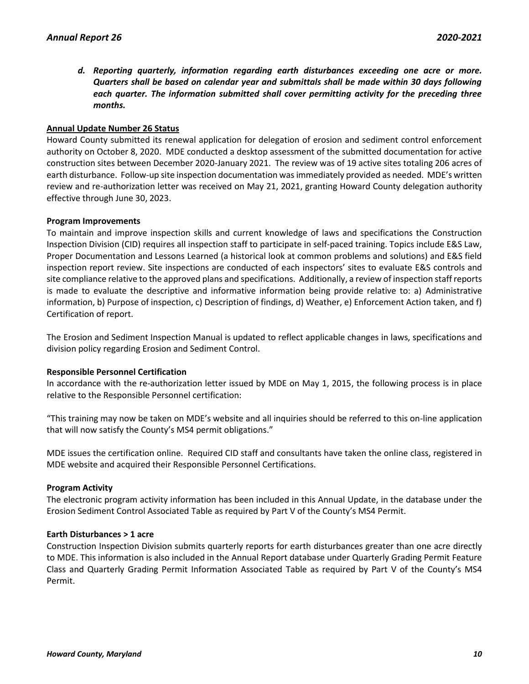*d. Reporting quarterly, information regarding earth disturbances exceeding one acre or more. Quarters shall be based on calendar year and submittals shall be made within 30 days following each quarter. The information submitted shall cover permitting activity for the preceding three months.*

# **Annual Update Number 26 Status**

Howard County submitted its renewal application for delegation of erosion and sediment control enforcement authority on October 8, 2020. MDE conducted a desktop assessment of the submitted documentation for active construction sites between December 2020-January 2021. The review was of 19 active sites totaling 206 acres of earth disturbance. Follow-up site inspection documentation was immediately provided as needed. MDE's written review and re-authorization letter was received on May 21, 2021, granting Howard County delegation authority effective through June 30, 2023.

# **Program Improvements**

To maintain and improve inspection skills and current knowledge of laws and specifications the Construction Inspection Division (CID) requires all inspection staff to participate in self-paced training. Topics include E&S Law, Proper Documentation and Lessons Learned (a historical look at common problems and solutions) and E&S field inspection report review. Site inspections are conducted of each inspectors' sites to evaluate E&S controls and site compliance relative to the approved plans and specifications. Additionally, a review of inspection staff reports is made to evaluate the descriptive and informative information being provide relative to: a) Administrative information, b) Purpose of inspection, c) Description of findings, d) Weather, e) Enforcement Action taken, and f) Certification of report.

The Erosion and Sediment Inspection Manual is updated to reflect applicable changes in laws, specifications and division policy regarding Erosion and Sediment Control.

# **Responsible Personnel Certification**

In accordance with the re-authorization letter issued by MDE on May 1, 2015, the following process is in place relative to the Responsible Personnel certification:

"This training may now be taken on MDE's website and all inquiries should be referred to this on-line application that will now satisfy the County's MS4 permit obligations."

MDE issues the certification online. Required CID staff and consultants have taken the online class, registered in MDE website and acquired their Responsible Personnel Certifications.

# **Program Activity**

The electronic program activity information has been included in this Annual Update, in the database under the Erosion Sediment Control Associated Table as required by Part V of the County's MS4 Permit.

# **Earth Disturbances > 1 acre**

Construction Inspection Division submits quarterly reports for earth disturbances greater than one acre directly to MDE. This information is also included in the Annual Report database under Quarterly Grading Permit Feature Class and Quarterly Grading Permit Information Associated Table as required by Part V of the County's MS4 Permit.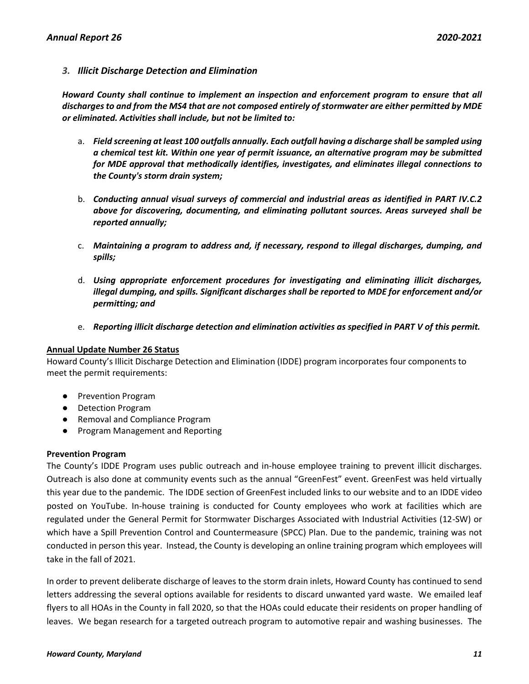# <span id="page-11-0"></span>*3. Illicit Discharge Detection and Elimination*

*Howard County shall continue to implement an inspection and enforcement program to ensure that all discharges to and from the MS4 that are not composed entirely of stormwater are either permitted by MDE or eliminated. Activities shall include, but not be limited to:*

- a. *Field screening at least 100 outfalls annually. Each outfall having a discharge shall be sampled using a chemical test kit. Within one year of permit issuance, an alternative program may be submitted for MDE approval that methodically identifies, investigates, and eliminates illegal connections to the County's storm drain system;*
- b. *Conducting annual visual surveys of commercial and industrial areas as identified in PART IV.C.2 above for discovering, documenting, and eliminating pollutant sources. Areas surveyed shall be reported annually;*
- c. *Maintaining a program to address and, if necessary, respond to illegal discharges, dumping, and spills;*
- d. *Using appropriate enforcement procedures for investigating and eliminating illicit discharges, illegal dumping, and spills. Significant discharges shall be reported to MDE for enforcement and/or permitting; and*
- e. *Reporting illicit discharge detection and elimination activities as specified in PART V of this permit.*

# **Annual Update Number 26 Status**

Howard County's Illicit Discharge Detection and Elimination (IDDE) program incorporates four components to meet the permit requirements:

- Prevention Program
- Detection Program
- Removal and Compliance Program
- Program Management and Reporting

# **Prevention Program**

The County's IDDE Program uses public outreach and in-house employee training to prevent illicit discharges. Outreach is also done at community events such as the annual "GreenFest" event. GreenFest was held virtually this year due to the pandemic. The IDDE section of GreenFest included links to our website and to an IDDE video posted on YouTube. In-house training is conducted for County employees who work at facilities which are regulated under the General Permit for Stormwater Discharges Associated with Industrial Activities (12-SW) or which have a Spill Prevention Control and Countermeasure (SPCC) Plan. Due to the pandemic, training was not conducted in person this year. Instead, the County is developing an online training program which employees will take in the fall of 2021.

In order to prevent deliberate discharge of leaves to the storm drain inlets, Howard County has continued to send letters addressing the several options available for residents to discard unwanted yard waste. We emailed leaf flyers to all HOAs in the County in fall 2020, so that the HOAs could educate their residents on proper handling of leaves. We began research for a targeted outreach program to automotive repair and washing businesses. The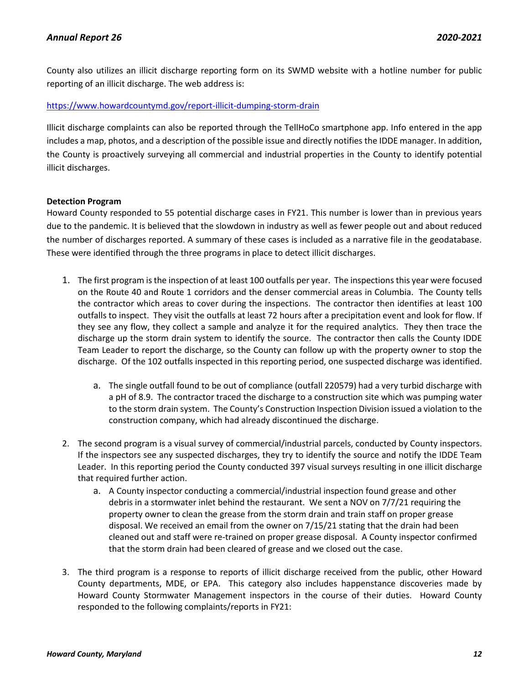County also utilizes an illicit discharge reporting form on its SWMD website with a hotline number for public reporting of an illicit discharge. The web address is:

# <https://www.howardcountymd.gov/report-illicit-dumping-storm-drain>

Illicit discharge complaints can also be reported through the TellHoCo smartphone app. Info entered in the app includes a map, photos, and a description of the possible issue and directly notifies the IDDE manager. In addition, the County is proactively surveying all commercial and industrial properties in the County to identify potential illicit discharges.

# **Detection Program**

Howard County responded to 55 potential discharge cases in FY21. This number is lower than in previous years due to the pandemic. It is believed that the slowdown in industry as well as fewer people out and about reduced the number of discharges reported. A summary of these cases is included as a narrative file in the geodatabase. These were identified through the three programs in place to detect illicit discharges.

- 1. The first program is the inspection of at least 100 outfalls per year. The inspections this year were focused on the Route 40 and Route 1 corridors and the denser commercial areas in Columbia. The County tells the contractor which areas to cover during the inspections. The contractor then identifies at least 100 outfalls to inspect. They visit the outfalls at least 72 hours after a precipitation event and look for flow. If they see any flow, they collect a sample and analyze it for the required analytics. They then trace the discharge up the storm drain system to identify the source. The contractor then calls the County IDDE Team Leader to report the discharge, so the County can follow up with the property owner to stop the discharge. Of the 102 outfalls inspected in this reporting period, one suspected discharge was identified.
	- a. The single outfall found to be out of compliance (outfall 220579) had a very turbid discharge with a pH of 8.9. The contractor traced the discharge to a construction site which was pumping water to the storm drain system. The County's Construction Inspection Division issued a violation to the construction company, which had already discontinued the discharge.
- 2. The second program is a visual survey of commercial/industrial parcels, conducted by County inspectors. If the inspectors see any suspected discharges, they try to identify the source and notify the IDDE Team Leader. In this reporting period the County conducted 397 visual surveys resulting in one illicit discharge that required further action.
	- a. A County inspector conducting a commercial/industrial inspection found grease and other debris in a stormwater inlet behind the restaurant. We sent a NOV on 7/7/21 requiring the property owner to clean the grease from the storm drain and train staff on proper grease disposal. We received an email from the owner on 7/15/21 stating that the drain had been cleaned out and staff were re-trained on proper grease disposal. A County inspector confirmed that the storm drain had been cleared of grease and we closed out the case.
- 3. The third program is a response to reports of illicit discharge received from the public, other Howard County departments, MDE, or EPA. This category also includes happenstance discoveries made by Howard County Stormwater Management inspectors in the course of their duties. Howard County responded to the following complaints/reports in FY21: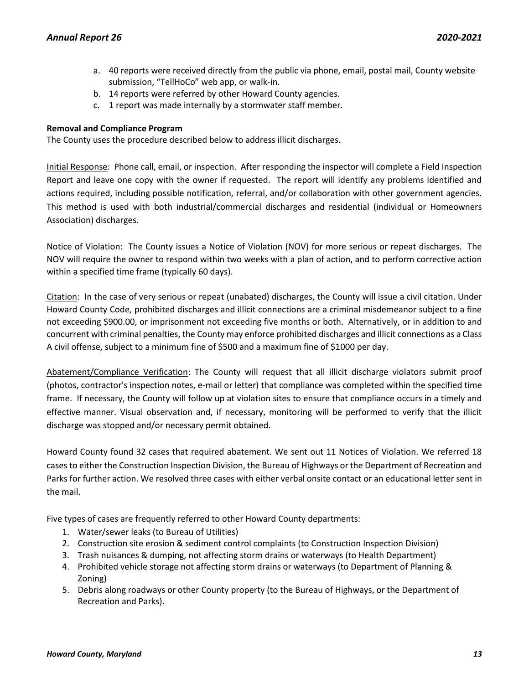- a. 40 reports were received directly from the public via phone, email, postal mail, County website submission, "TellHoCo" web app, or walk-in.
- b. 14 reports were referred by other Howard County agencies.
- c. 1 report was made internally by a stormwater staff member.

# **Removal and Compliance Program**

The County uses the procedure described below to address illicit discharges.

Initial Response: Phone call, email, or inspection. After responding the inspector will complete a Field Inspection Report and leave one copy with the owner if requested. The report will identify any problems identified and actions required, including possible notification, referral, and/or collaboration with other government agencies. This method is used with both industrial/commercial discharges and residential (individual or Homeowners Association) discharges.

Notice of Violation: The County issues a Notice of Violation (NOV) for more serious or repeat discharges. The NOV will require the owner to respond within two weeks with a plan of action, and to perform corrective action within a specified time frame (typically 60 days).

Citation: In the case of very serious or repeat (unabated) discharges, the County will issue a civil citation. Under Howard County Code, prohibited discharges and illicit connections are a criminal misdemeanor subject to a fine not exceeding \$900.00, or imprisonment not exceeding five months or both. Alternatively, or in addition to and concurrent with criminal penalties, the County may enforce prohibited discharges and illicit connections as a Class A civil offense, subject to a minimum fine of \$500 and a maximum fine of \$1000 per day.

Abatement/Compliance Verification: The County will request that all illicit discharge violators submit proof (photos, contractor's inspection notes, e-mail or letter) that compliance was completed within the specified time frame. If necessary, the County will follow up at violation sites to ensure that compliance occurs in a timely and effective manner. Visual observation and, if necessary, monitoring will be performed to verify that the illicit discharge was stopped and/or necessary permit obtained.

Howard County found 32 cases that required abatement. We sent out 11 Notices of Violation. We referred 18 cases to either the Construction Inspection Division, the Bureau of Highways or the Department of Recreation and Parks for further action. We resolved three cases with either verbal onsite contact or an educational letter sent in the mail.

Five types of cases are frequently referred to other Howard County departments:

- 1. Water/sewer leaks (to Bureau of Utilities)
- 2. Construction site erosion & sediment control complaints (to Construction Inspection Division)
- 3. Trash nuisances & dumping, not affecting storm drains or waterways (to Health Department)
- 4. Prohibited vehicle storage not affecting storm drains or waterways (to Department of Planning & Zoning)
- 5. Debris along roadways or other County property (to the Bureau of Highways, or the Department of Recreation and Parks).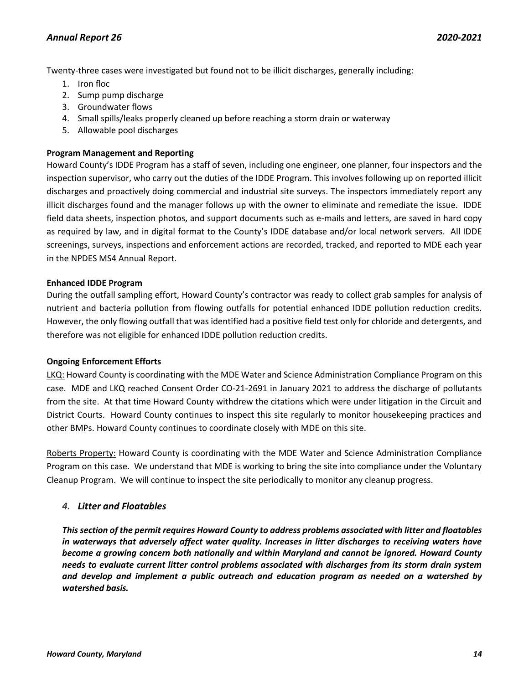Twenty-three cases were investigated but found not to be illicit discharges, generally including:

- 1. Iron floc
- 2. Sump pump discharge
- 3. Groundwater flows
- 4. Small spills/leaks properly cleaned up before reaching a storm drain or waterway
- 5. Allowable pool discharges

# **Program Management and Reporting**

Howard County's IDDE Program has a staff of seven, including one engineer, one planner, four inspectors and the inspection supervisor, who carry out the duties of the IDDE Program. This involves following up on reported illicit discharges and proactively doing commercial and industrial site surveys. The inspectors immediately report any illicit discharges found and the manager follows up with the owner to eliminate and remediate the issue. IDDE field data sheets, inspection photos, and support documents such as e-mails and letters, are saved in hard copy as required by law, and in digital format to the County's IDDE database and/or local network servers. All IDDE screenings, surveys, inspections and enforcement actions are recorded, tracked, and reported to MDE each year in the NPDES MS4 Annual Report.

# **Enhanced IDDE Program**

During the outfall sampling effort, Howard County's contractor was ready to collect grab samples for analysis of nutrient and bacteria pollution from flowing outfalls for potential enhanced IDDE pollution reduction credits. However, the only flowing outfall that was identified had a positive field test only for chloride and detergents, and therefore was not eligible for enhanced IDDE pollution reduction credits.

# **Ongoing Enforcement Efforts**

LKQ: Howard County is coordinating with the MDE Water and Science Administration Compliance Program on this case. MDE and LKQ reached Consent Order CO-21-2691 in January 2021 to address the discharge of pollutants from the site. At that time Howard County withdrew the citations which were under litigation in the Circuit and District Courts. Howard County continues to inspect this site regularly to monitor housekeeping practices and other BMPs. Howard County continues to coordinate closely with MDE on this site.

Roberts Property: Howard County is coordinating with the MDE Water and Science Administration Compliance Program on this case. We understand that MDE is working to bring the site into compliance under the Voluntary Cleanup Program. We will continue to inspect the site periodically to monitor any cleanup progress.

# <span id="page-14-0"></span>*4. Litter and Floatables*

*This section of the permit requires Howard County to address problems associated with litter and floatables in waterways that adversely affect water quality. Increases in litter discharges to receiving waters have become a growing concern both nationally and within Maryland and cannot be ignored. Howard County needs to evaluate current litter control problems associated with discharges from its storm drain system and develop and implement a public outreach and education program as needed on a watershed by watershed basis.*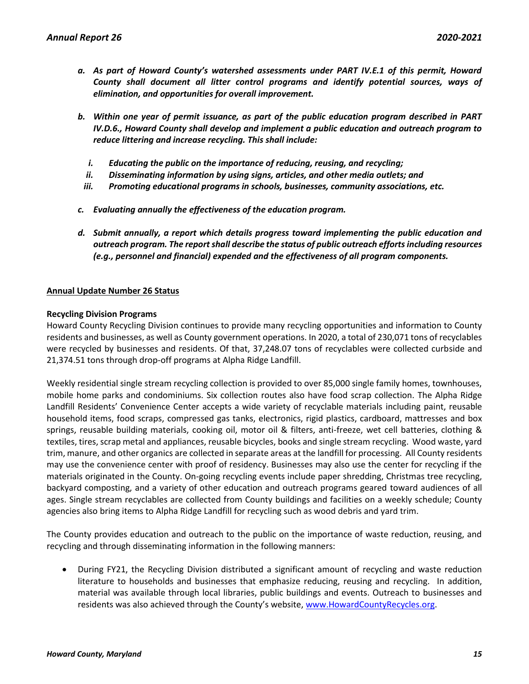- *a. As part of Howard County's watershed assessments under PART IV.E.1 of this permit, Howard County shall document all litter control programs and identify potential sources, ways of elimination, and opportunities for overall improvement.*
- *b. Within one year of permit issuance, as part of the public education program described in PART IV.D.6., Howard County shall develop and implement a public education and outreach program to reduce littering and increase recycling. This shall include:*
	- *i. Educating the public on the importance of reducing, reusing, and recycling;*
	- *ii. Disseminating information by using signs, articles, and other media outlets; and*
- *iii. Promoting educational programs in schools, businesses, community associations, etc.*
- *c. Evaluating annually the effectiveness of the education program.*
- *d. Submit annually, a report which details progress toward implementing the public education and outreach program. The report shall describe the status of public outreach efforts including resources (e.g., personnel and financial) expended and the effectiveness of all program components.*

# **Annual Update Number 26 Status**

# **Recycling Division Programs**

Howard County Recycling Division continues to provide many recycling opportunities and information to County residents and businesses, as well as County government operations. In 2020, a total of 230,071 tons of recyclables were recycled by businesses and residents. Of that, 37,248.07 tons of recyclables were collected curbside and 21,374.51 tons through drop-off programs at Alpha Ridge Landfill.

Weekly residential single stream recycling collection is provided to over 85,000 single family homes, townhouses, mobile home parks and condominiums. Six collection routes also have food scrap collection. The Alpha Ridge Landfill Residents' Convenience Center accepts a wide variety of recyclable materials including paint, reusable household items, food scraps, compressed gas tanks, electronics, rigid plastics, cardboard, mattresses and box springs, reusable building materials, cooking oil, motor oil & filters, anti-freeze, wet cell batteries, clothing & textiles, tires, scrap metal and appliances, reusable bicycles, books and single stream recycling. Wood waste, yard trim, manure, and other organics are collected in separate areas at the landfill for processing. All County residents may use the convenience center with proof of residency. Businesses may also use the center for recycling if the materials originated in the County. On-going recycling events include paper shredding, Christmas tree recycling, backyard composting, and a variety of other education and outreach programs geared toward audiences of all ages. Single stream recyclables are collected from County buildings and facilities on a weekly schedule; County agencies also bring items to Alpha Ridge Landfill for recycling such as wood debris and yard trim.

The County provides education and outreach to the public on the importance of waste reduction, reusing, and recycling and through disseminating information in the following manners:

• During FY21, the Recycling Division distributed a significant amount of recycling and waste reduction literature to households and businesses that emphasize reducing, reusing and recycling. In addition, material was available through local libraries, public buildings and events. Outreach to businesses and residents was also achieved through the County's website, [www.HowardCountyRecycles.org.](http://www.howardcountyrecycles.org/)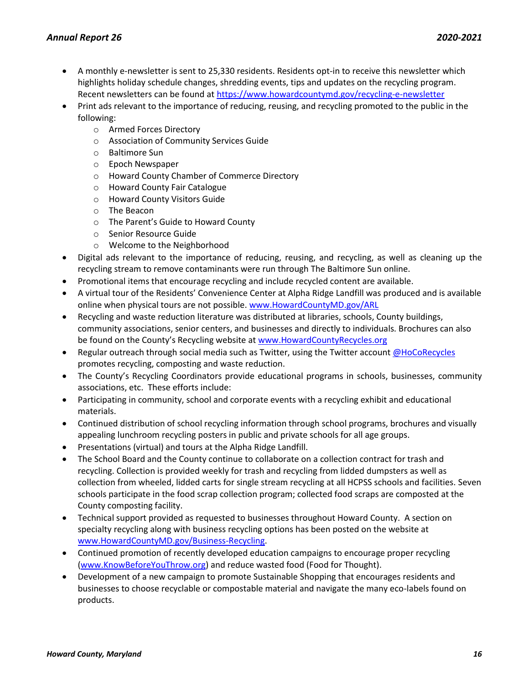- A monthly e-newsletter is sent to 25,330 residents. Residents opt-in to receive this newsletter which highlights holiday schedule changes, shredding events, tips and updates on the recycling program. Recent newsletters can be found a[t https://www.howardcountymd.gov/recycling-e-newsletter](https://www.howardcountymd.gov/recycling-e-newsletter)
- Print ads relevant to the importance of reducing, reusing, and recycling promoted to the public in the following:
	- o Armed Forces Directory
	- o Association of Community Services Guide
	- o Baltimore Sun
	- o Epoch Newspaper
	- o Howard County Chamber of Commerce Directory
	- o Howard County Fair Catalogue
	- o Howard County Visitors Guide
	- o The Beacon
	- o The Parent's Guide to Howard County
	- o Senior Resource Guide
	- o Welcome to the Neighborhood
- Digital ads relevant to the importance of reducing, reusing, and recycling, as well as cleaning up the recycling stream to remove contaminants were run through The Baltimore Sun online.
- Promotional items that encourage recycling and include recycled content are available.
- A virtual tour of the Residents' Convenience Center at Alpha Ridge Landfill was produced and is available online when physical tours are not possible[. www.HowardCountyMD.gov/ARL](http://www.howardcountymd.gov/ARL)
- Recycling and waste reduction literature was distributed at libraries, schools, County buildings, community associations, senior centers, and businesses and directly to individuals. Brochures can also be found on the County's Recycling website at [www.HowardCountyRecycles.org](http://www.howardcountyrecycles.org/)
- Regular outreach through social media such as Twitter, using the Twitter accoun[t @HoCoRecycles](https://twitter.com/HoCoRecycles) promotes recycling, composting and waste reduction.
- The County's Recycling Coordinators provide educational programs in schools, businesses, community associations, etc. These efforts include:
- Participating in community, school and corporate events with a recycling exhibit and educational materials.
- Continued distribution of school recycling information through school programs, brochures and visually appealing lunchroom recycling posters in public and private schools for all age groups.
- Presentations (virtual) and tours at the Alpha Ridge Landfill.
- The School Board and the County continue to collaborate on a collection contract for trash and recycling. Collection is provided weekly for trash and recycling from lidded dumpsters as well as collection from wheeled, lidded carts for single stream recycling at all HCPSS schools and facilities. Seven schools participate in the food scrap collection program; collected food scraps are composted at the County composting facility.
- Technical support provided as requested to businesses throughout Howard County. A section on specialty recycling along with business recycling options has been posted on the website at [www.HowardCountyMD.gov/Business-Recycling.](http://www.howardcountymd.gov/Business-Recycling)
- Continued promotion of recently developed education campaigns to encourage proper recycling [\(www.KnowBeforeYouThrow.org\)](http://www.knowbeforeyouthrow.org/) and reduce wasted food (Food for Thought).
- Development of a new campaign to promote Sustainable Shopping that encourages residents and businesses to choose recyclable or compostable material and navigate the many eco-labels found on products.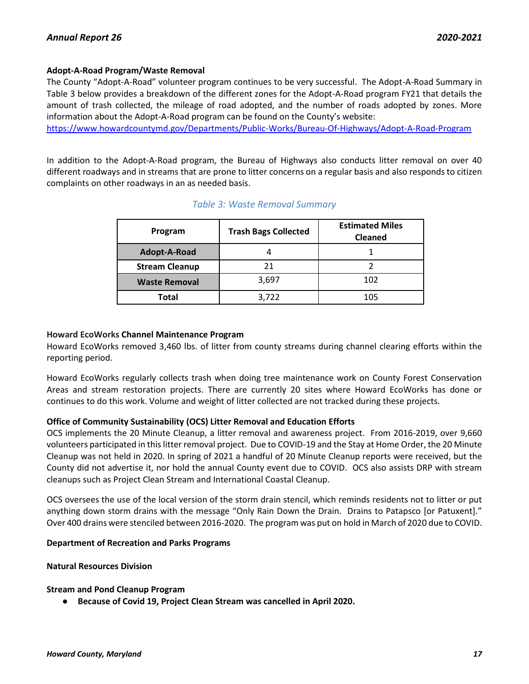# **Adopt-A-Road Program/Waste Removal**

The County "Adopt-A-Road" volunteer program continues to be very successful. The Adopt-A-Road Summary in Table 3 below provides a breakdown of the different zones for the Adopt-A-Road program FY21 that details the amount of trash collected, the mileage of road adopted, and the number of roads adopted by zones. More information about the Adopt-A-Road program can be found on the County's website:

<https://www.howardcountymd.gov/Departments/Public-Works/Bureau-Of-Highways/Adopt-A-Road-Program>

In addition to the Adopt-A-Road program, the Bureau of Highways also conducts litter removal on over 40 different roadways and in streams that are prone to litter concerns on a regular basis and also responds to citizen complaints on other roadways in an as needed basis.

| Program               | <b>Trash Bags Collected</b> | <b>Estimated Miles</b><br><b>Cleaned</b> |
|-----------------------|-----------------------------|------------------------------------------|
| Adopt-A-Road          |                             |                                          |
| <b>Stream Cleanup</b> | 21                          |                                          |
| <b>Waste Removal</b>  | 3,697                       | 102                                      |
| Total                 | 3,722                       | 105                                      |

# *Table 3: Waste Removal Summary*

# **Howard EcoWorks Channel Maintenance Program**

Howard EcoWorks removed 3,460 lbs. of litter from county streams during channel clearing efforts within the reporting period.

Howard EcoWorks regularly collects trash when doing tree maintenance work on County Forest Conservation Areas and stream restoration projects. There are currently 20 sites where Howard EcoWorks has done or continues to do this work. Volume and weight of litter collected are not tracked during these projects.

# **Office of Community Sustainability (OCS) Litter Removal and Education Efforts**

OCS implements the 20 Minute Cleanup, a litter removal and awareness project. From 2016-2019, over 9,660 volunteers participated in this litter removal project. Due to COVID-19 and the Stay at Home Order, the 20 Minute Cleanup was not held in 2020. In spring of 2021 a handful of 20 Minute Cleanup reports were received, but the County did not advertise it, nor hold the annual County event due to COVID. OCS also assists DRP with stream cleanups such as Project Clean Stream and International Coastal Cleanup.

OCS oversees the use of the local version of the storm drain stencil, which reminds residents not to litter or put anything down storm drains with the message "Only Rain Down the Drain. Drains to Patapsco [or Patuxent]." Over 400 drains were stenciled between 2016-2020. The program was put on hold in March of 2020 due to COVID.

# **Department of Recreation and Parks Programs**

# **Natural Resources Division**

# **Stream and Pond Cleanup Program**

● **Because of Covid 19, Project Clean Stream was cancelled in April 2020.**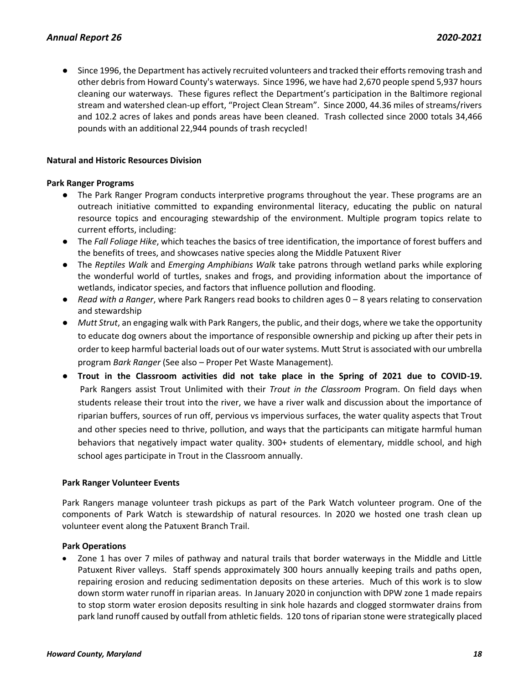● Since 1996, the Department has actively recruited volunteers and tracked their efforts removing trash and other debris from Howard County's waterways. Since 1996, we have had 2,670 people spend 5,937 hours cleaning our waterways. These figures reflect the Department's participation in the Baltimore regional stream and watershed clean-up effort, "Project Clean Stream". Since 2000, 44.36 miles of streams/rivers and 102.2 acres of lakes and ponds areas have been cleaned. Trash collected since 2000 totals 34,466 pounds with an additional 22,944 pounds of trash recycled!

### **Natural and Historic Resources Division**

#### **Park Ranger Programs**

- The Park Ranger Program conducts interpretive programs throughout the year. These programs are an outreach initiative committed to expanding environmental literacy, educating the public on natural resource topics and encouraging stewardship of the environment. Multiple program topics relate to current efforts, including:
- The *Fall Foliage Hike*, which teaches the basics of tree identification, the importance of forest buffers and the benefits of trees, and showcases native species along the Middle Patuxent River
- The *Reptiles Walk* and *Emerging Amphibians Walk* take patrons through wetland parks while exploring the wonderful world of turtles, snakes and frogs, and providing information about the importance of wetlands, indicator species, and factors that influence pollution and flooding.
- *Read with a Ranger*, where Park Rangers read books to children ages 0 8 years relating to conservation and stewardship
- *Mutt Strut*, an engaging walk with Park Rangers, the public, and their dogs, where we take the opportunity to educate dog owners about the importance of responsible ownership and picking up after their pets in order to keep harmful bacterial loads out of our water systems. Mutt Strut is associated with our umbrella program *Bark Ranger* (See also – Proper Pet Waste Management)*.*
- **Trout in the Classroom activities did not take place in the Spring of 2021 due to COVID-19.** Park Rangers assist Trout Unlimited with their *Trout in the Classroom* Program. On field days when students release their trout into the river, we have a river walk and discussion about the importance of riparian buffers, sources of run off, pervious vs impervious surfaces, the water quality aspects that Trout and other species need to thrive, pollution, and ways that the participants can mitigate harmful human behaviors that negatively impact water quality. 300+ students of elementary, middle school, and high school ages participate in Trout in the Classroom annually.

# **Park Ranger Volunteer Events**

Park Rangers manage volunteer trash pickups as part of the Park Watch volunteer program. One of the components of Park Watch is stewardship of natural resources. In 2020 we hosted one trash clean up volunteer event along the Patuxent Branch Trail.

#### **Park Operations**

• Zone 1 has over 7 miles of pathway and natural trails that border waterways in the Middle and Little Patuxent River valleys. Staff spends approximately 300 hours annually keeping trails and paths open, repairing erosion and reducing sedimentation deposits on these arteries. Much of this work is to slow down storm water runoff in riparian areas. In January 2020 in conjunction with DPW zone 1 made repairs to stop storm water erosion deposits resulting in sink hole hazards and clogged stormwater drains from park land runoff caused by outfall from athletic fields. 120 tons of riparian stone were strategically placed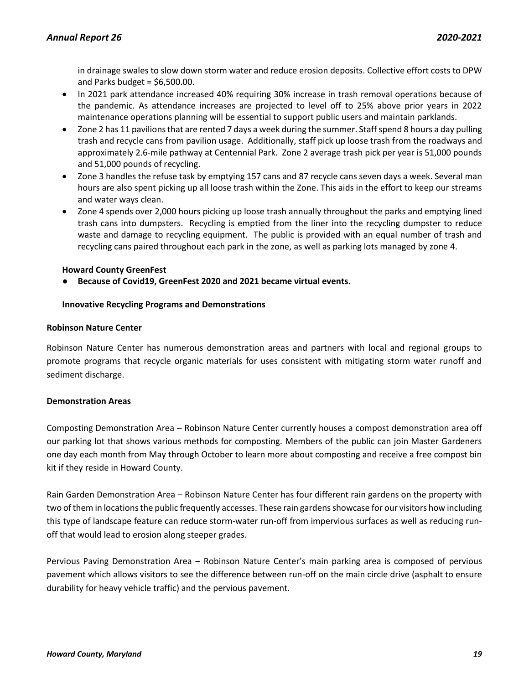in drainage swales to slow down storm water and reduce erosion deposits. Collective effort costs to DPW and Parks budget =  $$6,500.00$ .

- In 2021 park attendance increased 40% requiring 30% increase in trash removal operations because of the pandemic. As attendance increases are projected to level off to 25% above prior years in 2022 maintenance operations planning will be essential to support public users and maintain parklands.
- Zone 2 has 11 pavilions that are rented 7 days a week during the summer. Staff spend 8 hours a day pulling trash and recycle cans from pavilion usage. Additionally, staff pick up loose trash from the roadways and approximately 2.6-mile pathway at Centennial Park. Zone 2 average trash pick per year is 51,000 pounds and 51,000 pounds of recycling.
- Zone 3 handles the refuse task by emptying 157 cans and 87 recycle cans seven days a week. Several man hours are also spent picking up all loose trash within the Zone. This aids in the effort to keep our streams and water ways clean.
- Zone 4 spends over 2,000 hours picking up loose trash annually throughout the parks and emptying lined trash cans into dumpsters. Recycling is emptied from the liner into the recycling dumpster to reduce waste and damage to recycling equipment. The public is provided with an equal number of trash and recycling cans paired throughout each park in the zone, as well as parking lots managed by zone 4.

# **Howard County GreenFest**

● **Because of Covid19, GreenFest 2020 and 2021 became virtual events.**

# **Innovative Recycling Programs and Demonstrations**

# **Robinson Nature Center**

Robinson Nature Center has numerous demonstration areas and partners with local and regional groups to promote programs that recycle organic materials for uses consistent with mitigating storm water runoff and sediment discharge.

# **Demonstration Areas**

Composting Demonstration Area – Robinson Nature Center currently houses a compost demonstration area off our parking lot that shows various methods for composting. Members of the public can join Master Gardeners one day each month from May through October to learn more about composting and receive a free compost bin kit if they reside in Howard County.

Rain Garden Demonstration Area – Robinson Nature Center has four different rain gardens on the property with two of them in locations the public frequently accesses. These rain gardens showcase for our visitors how including this type of landscape feature can reduce storm-water run-off from impervious surfaces as well as reducing runoff that would lead to erosion along steeper grades.

Pervious Paving Demonstration Area – Robinson Nature Center's main parking area is composed of pervious pavement which allows visitors to see the difference between run-off on the main circle drive (asphalt to ensure durability for heavy vehicle traffic) and the pervious pavement.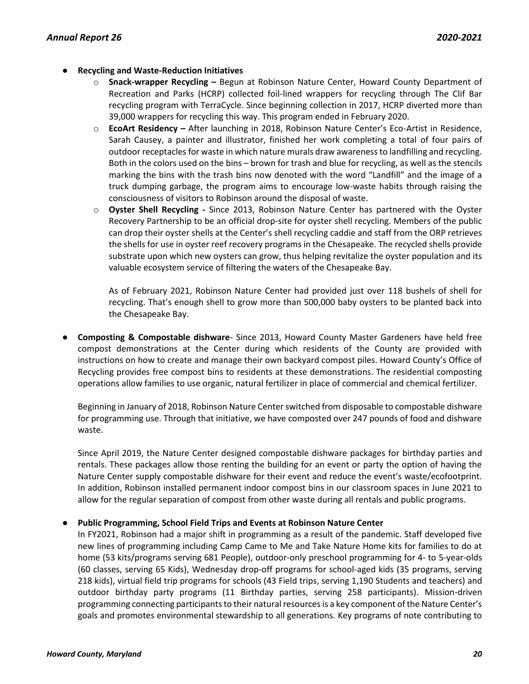- **Recycling and Waste-Reduction Initiatives**
	- **Snack-wrapper Recycling –** Begun at Robinson Nature Center, Howard County Department of Recreation and Parks (HCRP) collected foil-lined wrappers for recycling through The Clif Bar recycling program with TerraCycle. Since beginning collection in 2017, HCRP diverted more than 39,000 wrappers for recycling this way. This program ended in February 2020.
	- o **EcoArt Residency –** After launching in 2018, Robinson Nature Center's Eco-Artist in Residence, Sarah Causey, a painter and illustrator, finished her work completing a total of four pairs of outdoor receptacles for waste in which nature murals draw awareness to landfilling and recycling. Both in the colors used on the bins – brown for trash and blue for recycling, as well as the stencils marking the bins with the trash bins now denoted with the word "Landfill" and the image of a truck dumping garbage, the program aims to encourage low-waste habits through raising the consciousness of visitors to Robinson around the disposal of waste.
	- o **Oyster Shell Recycling -** Since 2013, Robinson Nature Center has partnered with the Oyster Recovery Partnership to be an official drop-site for oyster shell recycling. Members of the public can drop their oyster shells at the Center's shell recycling caddie and staff from the ORP retrieves the shells for use in oyster reef recovery programs in the Chesapeake. The recycled shells provide substrate upon which new oysters can grow, thus helping revitalize the oyster population and its valuable ecosystem service of filtering the waters of the Chesapeake Bay.

As of February 2021, Robinson Nature Center had provided just over 118 bushels of shell for recycling. That's enough shell to grow more than 500,000 baby oysters to be planted back into the Chesapeake Bay.

● **Composting & Compostable dishware**- Since 2013, Howard County Master Gardeners have held free compost demonstrations at the Center during which residents of the County are provided with instructions on how to create and manage their own backyard compost piles. Howard County's Office of Recycling provides free compost bins to residents at these demonstrations. The residential composting operations allow families to use organic, natural fertilizer in place of commercial and chemical fertilizer.

Beginning in January of 2018, Robinson Nature Center switched from disposable to compostable dishware for programming use. Through that initiative, we have composted over 247 pounds of food and dishware waste.

Since April 2019, the Nature Center designed compostable dishware packages for birthday parties and rentals. These packages allow those renting the building for an event or party the option of having the Nature Center supply compostable dishware for their event and reduce the event's waste/ecofootprint. In addition, Robinson installed permanent indoor compost bins in our classroom spaces in June 2021 to allow for the regular separation of compost from other waste during all rentals and public programs.

# ● **Public Programming, School Field Trips and Events at Robinson Nature Center**

In FY2021, Robinson had a major shift in programming as a result of the pandemic. Staff developed five new lines of programming including Camp Came to Me and Take Nature Home kits for families to do at home (53 kits/programs serving 681 People), outdoor-only preschool programming for 4- to 5-year-olds (60 classes, serving 65 Kids), Wednesday drop-off programs for school-aged kids (35 programs, serving 218 kids), virtual field trip programs for schools (43 Field trips, serving 1,190 Students and teachers) and outdoor birthday party programs (11 Birthday parties, serving 258 participants). Mission-driven programming connecting participants to their natural resources is a key component of the Nature Center's goals and promotes environmental stewardship to all generations. Key programs of note contributing to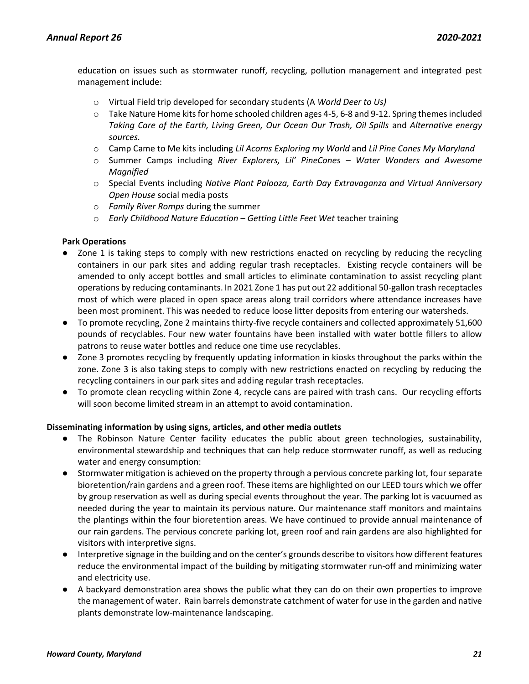education on issues such as stormwater runoff, recycling, pollution management and integrated pest management include:

- o Virtual Field trip developed for secondary students (A *World Deer to Us)*
- o Take Nature Home kits for home schooled children ages 4-5, 6-8 and 9-12. Spring themes included *Taking Care of the Earth, Living Green, Our Ocean Our Trash, Oil Spills* and *Alternative energy sources.*
- o Camp Came to Me kits including *Lil Acorns Exploring my World* and *Lil Pine Cones My Maryland*
- o Summer Camps including *River Explorers, Lil' PineCones – Water Wonders and Awesome Magnified*
- o Special Events including *Native Plant Palooza, Earth Day Extravaganza and Virtual Anniversary Open House* social media posts
- o *Family River Romps* during the summer
- o *Early Childhood Nature Education – Getting Little Feet Wet* teacher training

# **Park Operations**

- Zone 1 is taking steps to comply with new restrictions enacted on recycling by reducing the recycling containers in our park sites and adding regular trash receptacles. Existing recycle containers will be amended to only accept bottles and small articles to eliminate contamination to assist recycling plant operations by reducing contaminants. In 2021 Zone 1 has put out 22 additional 50-gallon trash receptacles most of which were placed in open space areas along trail corridors where attendance increases have been most prominent. This was needed to reduce loose litter deposits from entering our watersheds.
- To promote recycling, Zone 2 maintains thirty-five recycle containers and collected approximately 51,600 pounds of recyclables. Four new water fountains have been installed with water bottle fillers to allow patrons to reuse water bottles and reduce one time use recyclables.
- Zone 3 promotes recycling by frequently updating information in kiosks throughout the parks within the zone. Zone 3 is also taking steps to comply with new restrictions enacted on recycling by reducing the recycling containers in our park sites and adding regular trash receptacles.
- To promote clean recycling within Zone 4, recycle cans are paired with trash cans. Our recycling efforts will soon become limited stream in an attempt to avoid contamination.

# **Disseminating information by using signs, articles, and other media outlets**

- The Robinson Nature Center facility educates the public about green technologies, sustainability, environmental stewardship and techniques that can help reduce stormwater runoff, as well as reducing water and energy consumption:
- Stormwater mitigation is achieved on the property through a pervious concrete parking lot, four separate bioretention/rain gardens and a green roof. These items are highlighted on our LEED tours which we offer by group reservation as well as during special events throughout the year. The parking lot is vacuumed as needed during the year to maintain its pervious nature. Our maintenance staff monitors and maintains the plantings within the four bioretention areas. We have continued to provide annual maintenance of our rain gardens. The pervious concrete parking lot, green roof and rain gardens are also highlighted for visitors with interpretive signs.
- Interpretive signage in the building and on the center's grounds describe to visitors how different features reduce the environmental impact of the building by mitigating stormwater run-off and minimizing water and electricity use.
- A backyard demonstration area shows the public what they can do on their own properties to improve the management of water. Rain barrels demonstrate catchment of water for use in the garden and native plants demonstrate low-maintenance landscaping.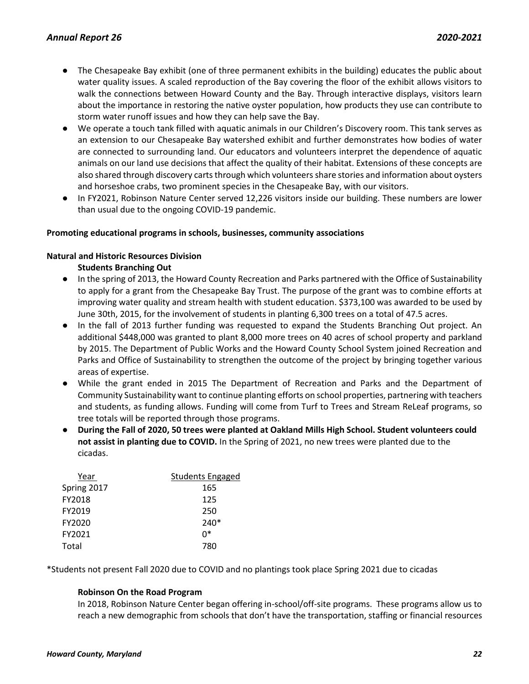- The Chesapeake Bay exhibit (one of three permanent exhibits in the building) educates the public about water quality issues. A scaled reproduction of the Bay covering the floor of the exhibit allows visitors to walk the connections between Howard County and the Bay. Through interactive displays, visitors learn about the importance in restoring the native oyster population, how products they use can contribute to storm water runoff issues and how they can help save the Bay.
- We operate a touch tank filled with aquatic animals in our Children's Discovery room. This tank serves as an extension to our Chesapeake Bay watershed exhibit and further demonstrates how bodies of water are connected to surrounding land. Our educators and volunteers interpret the dependence of aquatic animals on our land use decisions that affect the quality of their habitat. Extensions of these concepts are also shared through discovery carts through which volunteers share stories and information about oysters and horseshoe crabs, two prominent species in the Chesapeake Bay, with our visitors.
- In FY2021, Robinson Nature Center served 12,226 visitors inside our building. These numbers are lower than usual due to the ongoing COVID-19 pandemic.

# **Promoting educational programs in schools, businesses, community associations**

#### **Natural and Historic Resources Division**

**Students Branching Out**

- In the spring of 2013, the Howard County Recreation and Parks partnered with the Office of Sustainability to apply for a grant from the Chesapeake Bay Trust. The purpose of the grant was to combine efforts at improving water quality and stream health with student education. \$373,100 was awarded to be used by June 30th, 2015, for the involvement of students in planting 6,300 trees on a total of 47.5 acres.
- In the fall of 2013 further funding was requested to expand the Students Branching Out project. An additional \$448,000 was granted to plant 8,000 more trees on 40 acres of school property and parkland by 2015. The Department of Public Works and the Howard County School System joined Recreation and Parks and Office of Sustainability to strengthen the outcome of the project by bringing together various areas of expertise.
- While the grant ended in 2015 The Department of Recreation and Parks and the Department of Community Sustainability want to continue planting efforts on school properties, partnering with teachers and students, as funding allows. Funding will come from Turf to Trees and Stream ReLeaf programs, so tree totals will be reported through those programs.
- **During the Fall of 2020, 50 trees were planted at Oakland Mills High School. Student volunteers could not assist in planting due to COVID.** In the Spring of 2021, no new trees were planted due to the cicadas.

| Year        | <b>Students Engaged</b> |
|-------------|-------------------------|
| Spring 2017 | 165                     |
| FY2018      | 125                     |
| FY2019      | 250                     |
| FY2020      | $240*$                  |
| FY2021      | n*                      |
| Total       | 780                     |
|             |                         |

\*Students not present Fall 2020 due to COVID and no plantings took place Spring 2021 due to cicadas

#### **Robinson On the Road Program**

In 2018, Robinson Nature Center began offering in-school/off-site programs. These programs allow us to reach a new demographic from schools that don't have the transportation, staffing or financial resources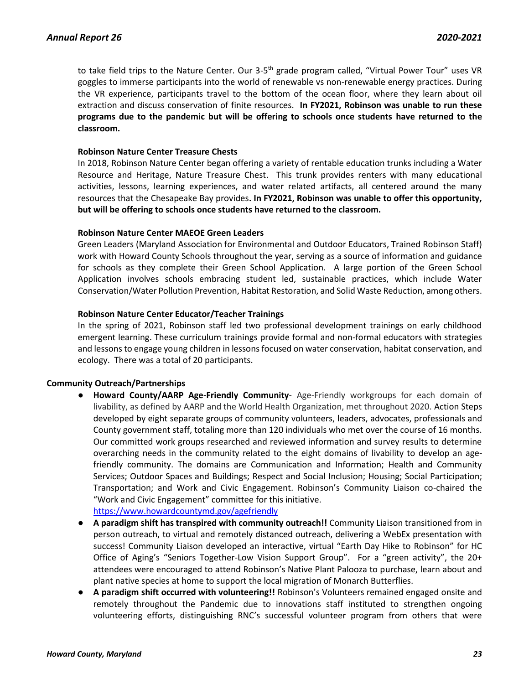to take field trips to the Nature Center. Our 3-5<sup>th</sup> grade program called, "Virtual Power Tour" uses VR goggles to immerse participants into the world of renewable vs non-renewable energy practices. During the VR experience, participants travel to the bottom of the ocean floor, where they learn about oil extraction and discuss conservation of finite resources. **In FY2021, Robinson was unable to run these programs due to the pandemic but will be offering to schools once students have returned to the classroom.**

# **Robinson Nature Center Treasure Chests**

In 2018, Robinson Nature Center began offering a variety of rentable education trunks including a Water Resource and Heritage, Nature Treasure Chest. This trunk provides renters with many educational activities, lessons, learning experiences, and water related artifacts, all centered around the many resources that the Chesapeake Bay provides**. In FY2021, Robinson was unable to offer this opportunity, but will be offering to schools once students have returned to the classroom.**

# **Robinson Nature Center MAEOE Green Leaders**

Green Leaders (Maryland Association for Environmental and Outdoor Educators, Trained Robinson Staff) work with Howard County Schools throughout the year, serving as a source of information and guidance for schools as they complete their Green School Application. A large portion of the Green School Application involves schools embracing student led, sustainable practices, which include Water Conservation/Water Pollution Prevention, Habitat Restoration, and Solid Waste Reduction, among others.

# **Robinson Nature Center Educator/Teacher Trainings**

In the spring of 2021, Robinson staff led two professional development trainings on early childhood emergent learning. These curriculum trainings provide formal and non-formal educators with strategies and lessons to engage young children in lessons focused on water conservation, habitat conservation, and ecology. There was a total of 20 participants.

# **Community Outreach/Partnerships**

- **Howard County/AARP Age-Friendly Community** Age-Friendly workgroups for each domain of livability, as defined by AARP and the World Health Organization, met throughout 2020. Action Steps developed by eight separate groups of community volunteers, leaders, advocates, professionals and County government staff, totaling more than 120 individuals who met over the course of 16 months. Our committed work groups researched and reviewed information and survey results to determine overarching needs in the community related to the eight domains of livability to develop an agefriendly community. The domains are Communication and Information; Health and Community Services; Outdoor Spaces and Buildings; Respect and Social Inclusion; Housing; Social Participation; Transportation; and Work and Civic Engagement. Robinson's Community Liaison co-chaired the "Work and Civic Engagement" committee for this initiative. <https://www.howardcountymd.gov/agefriendly>
- **A paradigm shift has transpired with community outreach!!** Community Liaison transitioned from in person outreach, to virtual and remotely distanced outreach, delivering a WebEx presentation with success! Community Liaison developed an interactive, virtual "Earth Day Hike to Robinson" for HC Office of Aging's "Seniors Together-Low Vision Support Group". For a "green activity", the 20+ attendees were encouraged to attend Robinson's Native Plant Palooza to purchase, learn about and plant native species at home to support the local migration of Monarch Butterflies.
- **A paradigm shift occurred with volunteering!!** Robinson's Volunteers remained engaged onsite and remotely throughout the Pandemic due to innovations staff instituted to strengthen ongoing volunteering efforts, distinguishing RNC's successful volunteer program from others that were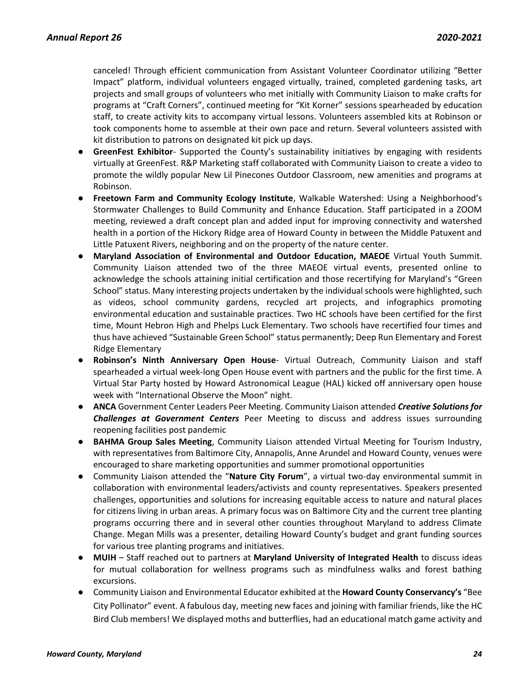canceled! Through efficient communication from Assistant Volunteer Coordinator utilizing "Better Impact" platform, individual volunteers engaged virtually, trained, completed gardening tasks, art projects and small groups of volunteers who met initially with Community Liaison to make crafts for programs at "Craft Corners", continued meeting for "Kit Korner" sessions spearheaded by education staff, to create activity kits to accompany virtual lessons. Volunteers assembled kits at Robinson or took components home to assemble at their own pace and return. Several volunteers assisted with kit distribution to patrons on designated kit pick up days.

- **GreenFest Exhibitor** Supported the County's sustainability initiatives by engaging with residents virtually at GreenFest. R&P Marketing staff collaborated with Community Liaison to create a video to promote the wildly popular New Lil Pinecones Outdoor Classroom, new amenities and programs at Robinson.
- **Freetown Farm and Community Ecology Institute**, Walkable Watershed: Using a Neighborhood's Stormwater Challenges to Build Community and Enhance Education. Staff participated in a ZOOM meeting, reviewed a draft concept plan and added input for improving connectivity and watershed health in a portion of the Hickory Ridge area of Howard County in between the Middle Patuxent and Little Patuxent Rivers, neighboring and on the property of the nature center.
- **Maryland Association of Environmental and Outdoor Education, MAEOE** Virtual Youth Summit. Community Liaison attended two of the three MAEOE virtual events, presented online to acknowledge the schools attaining initial certification and those recertifying for Maryland's "Green School" status. Many interesting projects undertaken by the individual schools were highlighted, such as videos, school community gardens, recycled art projects, and infographics promoting environmental education and sustainable practices. Two HC schools have been certified for the first time, Mount Hebron High and Phelps Luck Elementary. Two schools have recertified four times and thus have achieved "Sustainable Green School" status permanently; Deep Run Elementary and Forest Ridge Elementary
- **Robinson's Ninth Anniversary Open House** Virtual Outreach, Community Liaison and staff spearheaded a virtual week-long Open House event with partners and the public for the first time. A Virtual Star Party hosted by Howard Astronomical League (HAL) kicked off anniversary open house week with "International Observe the Moon" night.
- **ANCA** Government Center Leaders Peer Meeting. Community Liaison attended *Creative Solutions for Challenges at Government Centers* Peer Meeting to discuss and address issues surrounding reopening facilities post pandemic
- **BAHMA Group Sales Meeting**, Community Liaison attended Virtual Meeting for Tourism Industry, with representatives from Baltimore City, Annapolis, Anne Arundel and Howard County, venues were encouraged to share marketing opportunities and summer promotional opportunities
- Community Liaison attended the "**Nature City Forum**", a virtual two-day environmental summit in collaboration with environmental leaders/activists and county representatives. Speakers presented challenges, opportunities and solutions for increasing equitable access to nature and natural places for citizens living in urban areas. A primary focus was on Baltimore City and the current tree planting programs occurring there and in several other counties throughout Maryland to address Climate Change. Megan Mills was a presenter, detailing Howard County's budget and grant funding sources for various tree planting programs and initiatives.
- **MUIH** Staff reached out to partners at **Maryland University of Integrated Health** to discuss ideas for mutual collaboration for wellness programs such as mindfulness walks and forest bathing excursions.
- Community Liaison and Environmental Educator exhibited at the **Howard County Conservancy's** "Bee City Pollinator" event. A fabulous day, meeting new faces and joining with familiar friends, like the HC Bird Club members! We displayed moths and butterflies, had an educational match game activity and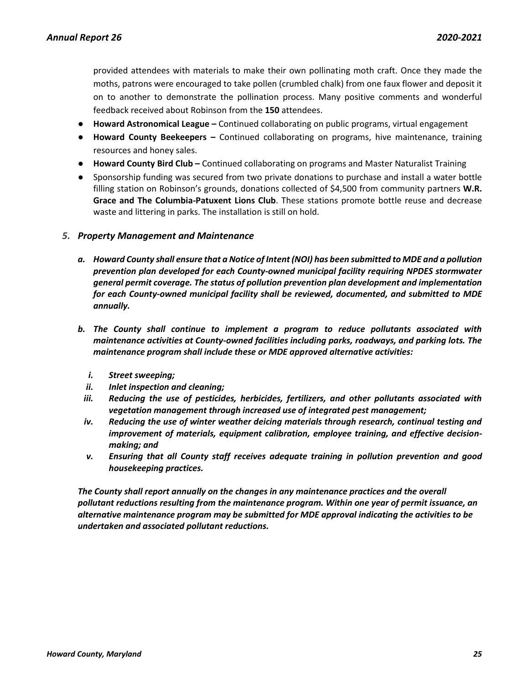provided attendees with materials to make their own pollinating moth craft. Once they made the moths, patrons were encouraged to take pollen (crumbled chalk) from one faux flower and deposit it on to another to demonstrate the pollination process. Many positive comments and wonderful feedback received about Robinson from the **150** attendees.

- **Howard Astronomical League –** Continued collaborating on public programs, virtual engagement
- **Howard County Beekeepers –** Continued collaborating on programs, hive maintenance, training resources and honey sales.
- **Howard County Bird Club –** Continued collaborating on programs and Master Naturalist Training
- Sponsorship funding was secured from two private donations to purchase and install a water bottle filling station on Robinson's grounds, donations collected of \$4,500 from community partners **W.R. Grace and The Columbia-Patuxent Lions Club**. These stations promote bottle reuse and decrease waste and littering in parks. The installation is still on hold.

# <span id="page-25-0"></span>*5. Property Management and Maintenance*

- *a. Howard County shall ensure that a Notice of Intent (NOI) has been submitted to MDE and a pollution prevention plan developed for each County-owned municipal facility requiring NPDES stormwater general permit coverage. The status of pollution prevention plan development and implementation for each County-owned municipal facility shall be reviewed, documented, and submitted to MDE annually.*
- *b. The County shall continue to implement a program to reduce pollutants associated with maintenance activities at County-owned facilities including parks, roadways, and parking lots. The maintenance program shall include these or MDE approved alternative activities:*
	- *i. Street sweeping;*
	- *ii. Inlet inspection and cleaning;*
- *iii. Reducing the use of pesticides, herbicides, fertilizers, and other pollutants associated with vegetation management through increased use of integrated pest management;*
- *iv. Reducing the use of winter weather deicing materials through research, continual testing and improvement of materials, equipment calibration, employee training, and effective decisionmaking; and*
- *v. Ensuring that all County staff receives adequate training in pollution prevention and good housekeeping practices.*

*The County shall report annually on the changes in any maintenance practices and the overall pollutant reductions resulting from the maintenance program. Within one year of permit issuance, an alternative maintenance program may be submitted for MDE approval indicating the activities to be undertaken and associated pollutant reductions.*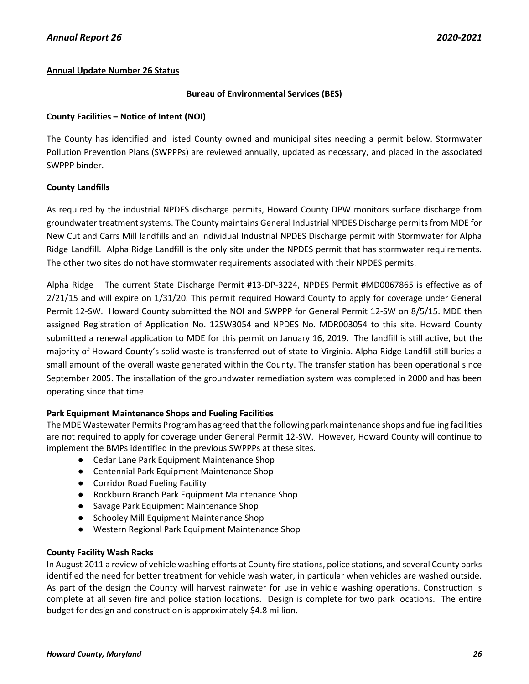# **Annual Update Number 26 Status**

# **Bureau of Environmental Services (BES)**

# **County Facilities – Notice of Intent (NOI)**

The County has identified and listed County owned and municipal sites needing a permit below. Stormwater Pollution Prevention Plans (SWPPPs) are reviewed annually, updated as necessary, and placed in the associated SWPPP binder.

# **County Landfills**

As required by the industrial NPDES discharge permits, Howard County DPW monitors surface discharge from groundwater treatment systems. The County maintains General Industrial NPDES Discharge permits from MDE for New Cut and Carrs Mill landfills and an Individual Industrial NPDES Discharge permit with Stormwater for Alpha Ridge Landfill. Alpha Ridge Landfill is the only site under the NPDES permit that has stormwater requirements. The other two sites do not have stormwater requirements associated with their NPDES permits.

Alpha Ridge – The current State Discharge Permit #13-DP-3224, NPDES Permit #MD0067865 is effective as of 2/21/15 and will expire on 1/31/20. This permit required Howard County to apply for coverage under General Permit 12-SW. Howard County submitted the NOI and SWPPP for General Permit 12-SW on 8/5/15. MDE then assigned Registration of Application No. 12SW3054 and NPDES No. MDR003054 to this site. Howard County submitted a renewal application to MDE for this permit on January 16, 2019. The landfill is still active, but the majority of Howard County's solid waste is transferred out of state to Virginia. Alpha Ridge Landfill still buries a small amount of the overall waste generated within the County. The transfer station has been operational since September 2005. The installation of the groundwater remediation system was completed in 2000 and has been operating since that time.

# **Park Equipment Maintenance Shops and Fueling Facilities**

The MDE Wastewater Permits Program has agreed that the following park maintenance shops and fueling facilities are not required to apply for coverage under General Permit 12-SW. However, Howard County will continue to implement the BMPs identified in the previous SWPPPs at these sites.

- Cedar Lane Park Equipment Maintenance Shop
- Centennial Park Equipment Maintenance Shop
- Corridor Road Fueling Facility
- Rockburn Branch Park Equipment Maintenance Shop
- Savage Park Equipment Maintenance Shop
- Schooley Mill Equipment Maintenance Shop
- Western Regional Park Equipment Maintenance Shop

# **County Facility Wash Racks**

In August 2011 a review of vehicle washing efforts at County fire stations, police stations, and several County parks identified the need for better treatment for vehicle wash water, in particular when vehicles are washed outside. As part of the design the County will harvest rainwater for use in vehicle washing operations. Construction is complete at all seven fire and police station locations. Design is complete for two park locations. The entire budget for design and construction is approximately \$4.8 million.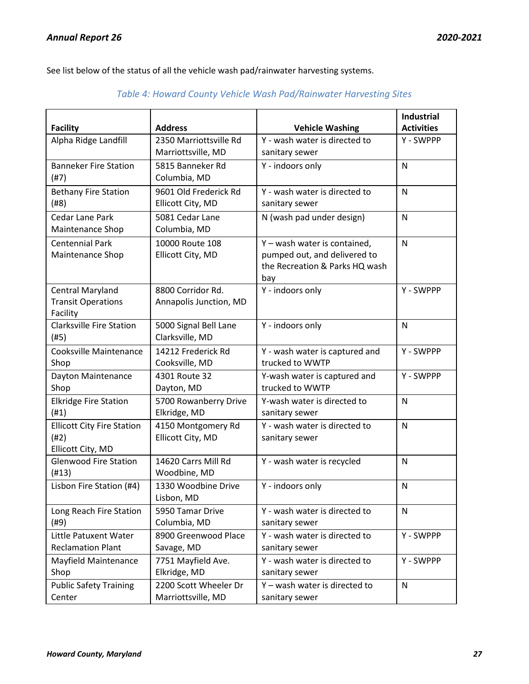See list below of the status of all the vehicle wash pad/rainwater harvesting systems.

| <b>Facility</b>                                                  | <b>Address</b>                               | <b>Vehicle Washing</b>                                                                                | <b>Industrial</b><br><b>Activities</b> |
|------------------------------------------------------------------|----------------------------------------------|-------------------------------------------------------------------------------------------------------|----------------------------------------|
| Alpha Ridge Landfill                                             | 2350 Marriottsville Rd<br>Marriottsville, MD | Y - wash water is directed to<br>sanitary sewer                                                       | Y - SWPPP                              |
| <b>Banneker Fire Station</b><br>(#7)                             | 5815 Banneker Rd<br>Columbia, MD             | Y - indoors only                                                                                      | N                                      |
| <b>Bethany Fire Station</b><br>(#8)                              | 9601 Old Frederick Rd<br>Ellicott City, MD   | Y - wash water is directed to<br>sanitary sewer                                                       | N                                      |
| Cedar Lane Park<br>Maintenance Shop                              | 5081 Cedar Lane<br>Columbia, MD              | N (wash pad under design)                                                                             | N                                      |
| <b>Centennial Park</b><br>Maintenance Shop                       | 10000 Route 108<br>Ellicott City, MD         | Y - wash water is contained,<br>pumped out, and delivered to<br>the Recreation & Parks HQ wash<br>bay | N                                      |
| <b>Central Maryland</b><br><b>Transit Operations</b><br>Facility | 8800 Corridor Rd.<br>Annapolis Junction, MD  | Y - indoors only                                                                                      | Y - SWPPP                              |
| <b>Clarksville Fire Station</b><br>(#5)                          | 5000 Signal Bell Lane<br>Clarksville, MD     | Y - indoors only                                                                                      | N                                      |
| Cooksville Maintenance<br>Shop                                   | 14212 Frederick Rd<br>Cooksville, MD         | Y - wash water is captured and<br>trucked to WWTP                                                     | Y - SWPPP                              |
| Dayton Maintenance<br>Shop                                       | 4301 Route 32<br>Dayton, MD                  | Y-wash water is captured and<br>trucked to WWTP                                                       | Y - SWPPP                              |
| <b>Elkridge Fire Station</b><br>(H1)                             | 5700 Rowanberry Drive<br>Elkridge, MD        | Y-wash water is directed to<br>sanitary sewer                                                         | N                                      |
| <b>Ellicott City Fire Station</b><br>(#2)<br>Ellicott City, MD   | 4150 Montgomery Rd<br>Ellicott City, MD      | Y - wash water is directed to<br>sanitary sewer                                                       | N                                      |
| <b>Glenwood Fire Station</b><br>(H13)                            | 14620 Carrs Mill Rd<br>Woodbine, MD          | Y - wash water is recycled                                                                            | N                                      |
| Lisbon Fire Station (#4)                                         | 1330 Woodbine Drive<br>Lisbon, MD            | Y - indoors only                                                                                      | N                                      |
| Long Reach Fire Station<br>(#9)                                  | 5950 Tamar Drive<br>Columbia, MD             | Y - wash water is directed to<br>sanitary sewer                                                       | N                                      |
| Little Patuxent Water<br><b>Reclamation Plant</b>                | 8900 Greenwood Place<br>Savage, MD           | Y - wash water is directed to<br>sanitary sewer                                                       | Y - SWPPP                              |
| Mayfield Maintenance<br>Shop                                     | 7751 Mayfield Ave.<br>Elkridge, MD           | Y - wash water is directed to<br>sanitary sewer                                                       | Y - SWPPP                              |
| <b>Public Safety Training</b><br>Center                          | 2200 Scott Wheeler Dr<br>Marriottsville, MD  | Y - wash water is directed to<br>sanitary sewer                                                       | N                                      |

# *Table 4: Howard County Vehicle Wash Pad/Rainwater Harvesting Sites*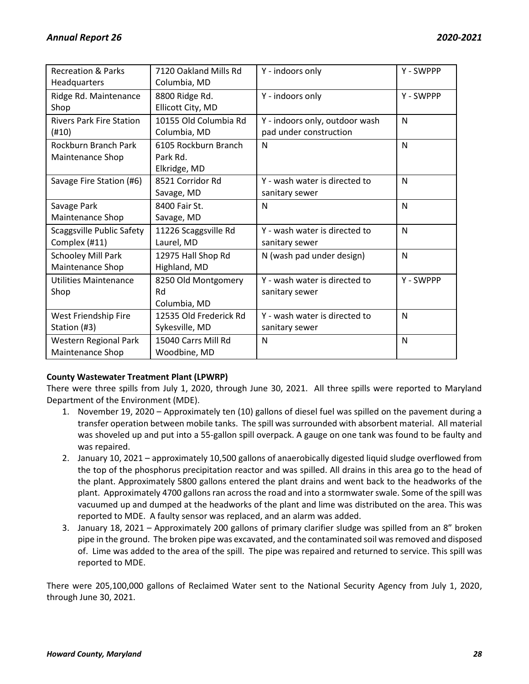| <b>Recreation &amp; Parks</b>    | 7120 Oakland Mills Rd  | Y - indoors only               | Y - SWPPP |
|----------------------------------|------------------------|--------------------------------|-----------|
| Headquarters                     | Columbia, MD           |                                |           |
| Ridge Rd. Maintenance            | 8800 Ridge Rd.         | Y - indoors only               | Y - SWPPP |
| Shop                             | Ellicott City, MD      |                                |           |
| <b>Rivers Park Fire Station</b>  | 10155 Old Columbia Rd  | Y - indoors only, outdoor wash | N         |
| (#10)                            | Columbia, MD           | pad under construction         |           |
| Rockburn Branch Park             | 6105 Rockburn Branch   | N                              | N         |
| Maintenance Shop                 | Park Rd.               |                                |           |
|                                  | Elkridge, MD           |                                |           |
| Savage Fire Station (#6)         | 8521 Corridor Rd       | Y - wash water is directed to  | N         |
|                                  | Savage, MD             | sanitary sewer                 |           |
| Savage Park                      | 8400 Fair St.          | N                              | N         |
| Maintenance Shop                 | Savage, MD             |                                |           |
| <b>Scaggsville Public Safety</b> | 11226 Scaggsville Rd   | Y - wash water is directed to  | N         |
| Complex (#11)                    | Laurel, MD             | sanitary sewer                 |           |
| Schooley Mill Park               | 12975 Hall Shop Rd     | N (wash pad under design)      | N         |
| Maintenance Shop                 | Highland, MD           |                                |           |
| Utilities Maintenance            | 8250 Old Montgomery    | Y - wash water is directed to  | Y - SWPPP |
| Shop                             | Rd                     | sanitary sewer                 |           |
|                                  | Columbia, MD           |                                |           |
| West Friendship Fire             | 12535 Old Frederick Rd | Y - wash water is directed to  | N         |
| Station (#3)                     | Sykesville, MD         | sanitary sewer                 |           |
| <b>Western Regional Park</b>     | 15040 Carrs Mill Rd    | $\mathsf{N}$                   | N         |
| Maintenance Shop                 | Woodbine, MD           |                                |           |

# **County Wastewater Treatment Plant (LPWRP)**

There were three spills from July 1, 2020, through June 30, 2021. All three spills were reported to Maryland Department of the Environment (MDE).

- 1. November 19, 2020 Approximately ten (10) gallons of diesel fuel was spilled on the pavement during a transfer operation between mobile tanks. The spill was surrounded with absorbent material. All material was shoveled up and put into a 55-gallon spill overpack. A gauge on one tank was found to be faulty and was repaired.
- 2. January 10, 2021 approximately 10,500 gallons of anaerobically digested liquid sludge overflowed from the top of the phosphorus precipitation reactor and was spilled. All drains in this area go to the head of the plant. Approximately 5800 gallons entered the plant drains and went back to the headworks of the plant. Approximately 4700 gallons ran across the road and into a stormwater swale. Some of the spill was vacuumed up and dumped at the headworks of the plant and lime was distributed on the area. This was reported to MDE. A faulty sensor was replaced, and an alarm was added.
- 3. January 18, 2021 Approximately 200 gallons of primary clarifier sludge was spilled from an 8" broken pipe in the ground. The broken pipe was excavated, and the contaminated soil was removed and disposed of. Lime was added to the area of the spill. The pipe was repaired and returned to service. This spill was reported to MDE.

There were 205,100,000 gallons of Reclaimed Water sent to the National Security Agency from July 1, 2020, through June 30, 2021.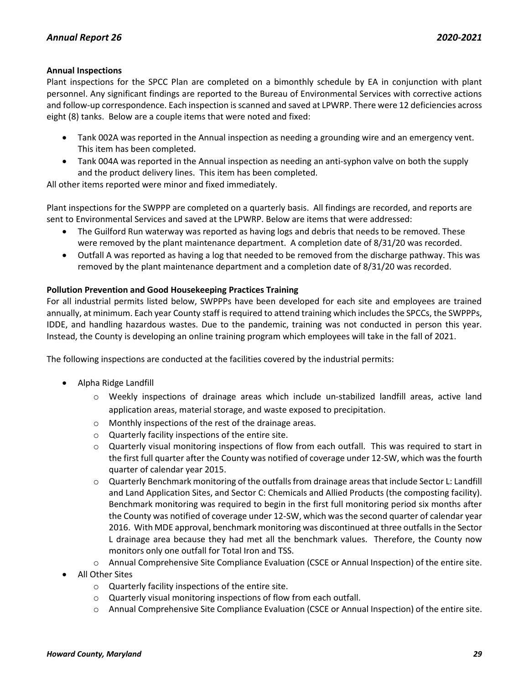# **Annual Inspections**

Plant inspections for the SPCC Plan are completed on a bimonthly schedule by EA in conjunction with plant personnel. Any significant findings are reported to the Bureau of Environmental Services with corrective actions and follow-up correspondence. Each inspection is scanned and saved at LPWRP. There were 12 deficiencies across eight (8) tanks. Below are a couple items that were noted and fixed:

- Tank 002A was reported in the Annual inspection as needing a grounding wire and an emergency vent. This item has been completed.
- Tank 004A was reported in the Annual inspection as needing an anti-syphon valve on both the supply and the product delivery lines. This item has been completed.

All other items reported were minor and fixed immediately.

Plant inspections for the SWPPP are completed on a quarterly basis. All findings are recorded, and reports are sent to Environmental Services and saved at the LPWRP. Below are items that were addressed:

- The Guilford Run waterway was reported as having logs and debris that needs to be removed. These were removed by the plant maintenance department. A completion date of 8/31/20 was recorded.
- Outfall A was reported as having a log that needed to be removed from the discharge pathway. This was removed by the plant maintenance department and a completion date of 8/31/20 was recorded.

# **Pollution Prevention and Good Housekeeping Practices Training**

For all industrial permits listed below, SWPPPs have been developed for each site and employees are trained annually, at minimum. Each year County staff is required to attend training which includes the SPCCs, the SWPPPs, IDDE, and handling hazardous wastes. Due to the pandemic, training was not conducted in person this year. Instead, the County is developing an online training program which employees will take in the fall of 2021.

The following inspections are conducted at the facilities covered by the industrial permits:

- Alpha Ridge Landfill
	- o Weekly inspections of drainage areas which include un-stabilized landfill areas, active land application areas, material storage, and waste exposed to precipitation.
	- o Monthly inspections of the rest of the drainage areas.
	- o Quarterly facility inspections of the entire site.
	- o Quarterly visual monitoring inspections of flow from each outfall. This was required to start in the first full quarter after the County was notified of coverage under 12-SW, which was the fourth quarter of calendar year 2015.
	- o Quarterly Benchmark monitoring of the outfalls from drainage areas that include Sector L: Landfill and Land Application Sites, and Sector C: Chemicals and Allied Products (the composting facility). Benchmark monitoring was required to begin in the first full monitoring period six months after the County was notified of coverage under 12-SW, which was the second quarter of calendar year 2016. With MDE approval, benchmark monitoring was discontinued at three outfalls in the Sector L drainage area because they had met all the benchmark values. Therefore, the County now monitors only one outfall for Total Iron and TSS.
	- o Annual Comprehensive Site Compliance Evaluation (CSCE or Annual Inspection) of the entire site.
- All Other Sites
	- o Quarterly facility inspections of the entire site.
	- o Quarterly visual monitoring inspections of flow from each outfall.
	- o Annual Comprehensive Site Compliance Evaluation (CSCE or Annual Inspection) of the entire site.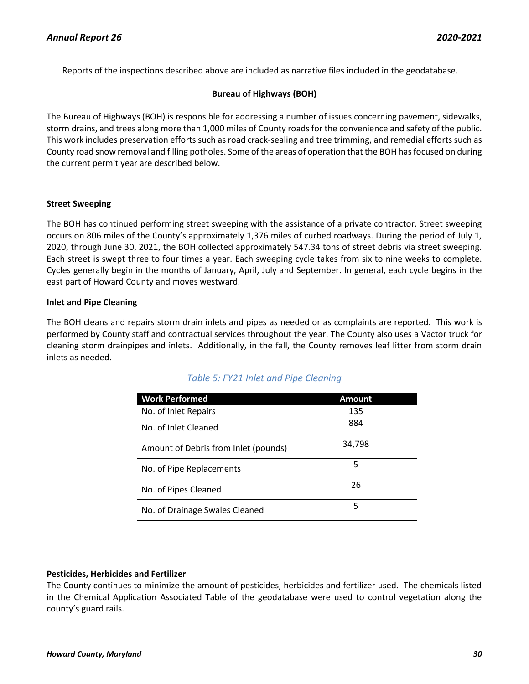Reports of the inspections described above are included as narrative files included in the geodatabase.

# **Bureau of Highways (BOH)**

The Bureau of Highways (BOH) is responsible for addressing a number of issues concerning pavement, sidewalks, storm drains, and trees along more than 1,000 miles of County roads for the convenience and safety of the public. This work includes preservation efforts such as road crack-sealing and tree trimming, and remedial efforts such as County road snow removal and filling potholes. Some of the areas of operation that the BOH has focused on during the current permit year are described below.

#### **Street Sweeping**

The BOH has continued performing street sweeping with the assistance of a private contractor. Street sweeping occurs on 806 miles of the County's approximately 1,376 miles of curbed roadways. During the period of July 1, 2020, through June 30, 2021, the BOH collected approximately 547.34 tons of street debris via street sweeping. Each street is swept three to four times a year. Each sweeping cycle takes from six to nine weeks to complete. Cycles generally begin in the months of January, April, July and September. In general, each cycle begins in the east part of Howard County and moves westward.

# **Inlet and Pipe Cleaning**

The BOH cleans and repairs storm drain inlets and pipes as needed or as complaints are reported. This work is performed by County staff and contractual services throughout the year. The County also uses a Vactor truck for cleaning storm drainpipes and inlets. Additionally, in the fall, the County removes leaf litter from storm drain inlets as needed.

| <b>Work Performed</b>                | <b>Amount</b> |
|--------------------------------------|---------------|
| No. of Inlet Repairs                 | 135           |
| No. of Inlet Cleaned                 | 884           |
| Amount of Debris from Inlet (pounds) | 34,798        |
| No. of Pipe Replacements             | 5             |
| No. of Pipes Cleaned                 | 26            |
| No. of Drainage Swales Cleaned       | 5             |

# *Table 5: FY21 Inlet and Pipe Cleaning*

# **Pesticides, Herbicides and Fertilizer**

The County continues to minimize the amount of pesticides, herbicides and fertilizer used. The chemicals listed in the Chemical Application Associated Table of the geodatabase were used to control vegetation along the county's guard rails.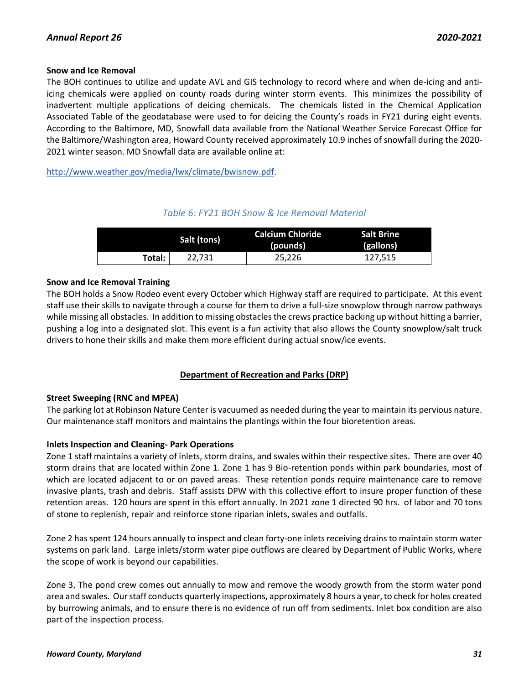# **Snow and Ice Removal**

The BOH continues to utilize and update AVL and GIS technology to record where and when de-icing and antiicing chemicals were applied on county roads during winter storm events. This minimizes the possibility of inadvertent multiple applications of deicing chemicals. The chemicals listed in the Chemical Application Associated Table of the geodatabase were used to for deicing the County's roads in FY21 during eight events. According to the Baltimore, MD, Snowfall data available from the National Weather Service Forecast Office for the Baltimore/Washington area, Howard County received approximately 10.9 inches of snowfall during the 2020- 2021 winter season. MD Snowfall data are available online at:

[http://www.weather.gov/media/lwx/climate/bwisnow.pdf.](http://www.weather.gov/media/lwx/climate/bwisnow.pdf)

# *Table 6: FY21 BOH Snow & Ice Removal Material*

| Salt (tons) |        | Calcium Chloride<br>(pounds) | <b>Salt Brine</b><br>(gallons) |
|-------------|--------|------------------------------|--------------------------------|
| Total:      | 22.731 | 25,226                       | 127,515                        |

# **Snow and Ice Removal Training**

The BOH holds a Snow Rodeo event every October which Highway staff are required to participate. At this event staff use their skills to navigate through a course for them to drive a full-size snowplow through narrow pathways while missing all obstacles. In addition to missing obstacles the crews practice backing up without hitting a barrier, pushing a log into a designated slot. This event is a fun activity that also allows the County snowplow/salt truck drivers to hone their skills and make them more efficient during actual snow/ice events.

# **Department of Recreation and Parks (DRP)**

# **Street Sweeping (RNC and MPEA)**

The parking lot at Robinson Nature Center is vacuumed as needed during the year to maintain its pervious nature. Our maintenance staff monitors and maintains the plantings within the four bioretention areas.

# **Inlets Inspection and Cleaning- Park Operations**

Zone 1 staff maintains a variety of inlets, storm drains, and swales within their respective sites. There are over 40 storm drains that are located within Zone 1. Zone 1 has 9 Bio-retention ponds within park boundaries, most of which are located adjacent to or on paved areas. These retention ponds require maintenance care to remove invasive plants, trash and debris. Staff assists DPW with this collective effort to insure proper function of these retention areas. 120 hours are spent in this effort annually. In 2021 zone 1 directed 90 hrs. of labor and 70 tons of stone to replenish, repair and reinforce stone riparian inlets, swales and outfalls.

Zone 2 has spent 124 hours annually to inspect and clean forty-one inlets receiving drains to maintain storm water systems on park land. Large inlets/storm water pipe outflows are cleared by Department of Public Works, where the scope of work is beyond our capabilities.

Zone 3, The pond crew comes out annually to mow and remove the woody growth from the storm water pond area and swales. Our staff conducts quarterly inspections, approximately 8 hours a year, to check for holes created by burrowing animals, and to ensure there is no evidence of run off from sediments. Inlet box condition are also part of the inspection process.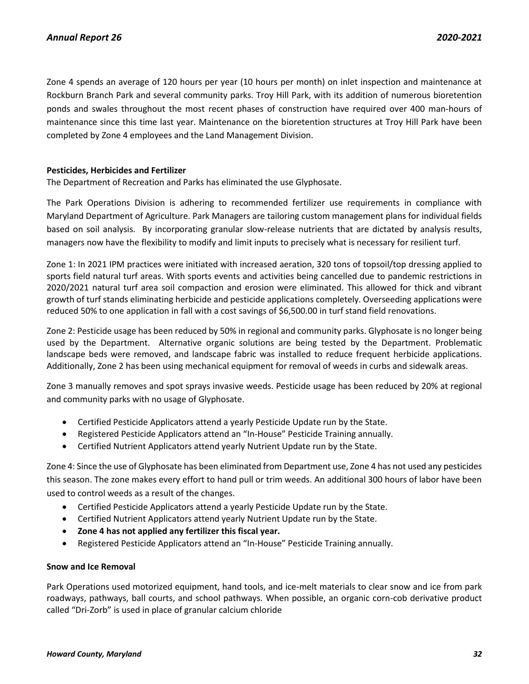Zone 4 spends an average of 120 hours per year (10 hours per month) on inlet inspection and maintenance at Rockburn Branch Park and several community parks. Troy Hill Park, with its addition of numerous bioretention ponds and swales throughout the most recent phases of construction have required over 400 man-hours of maintenance since this time last year. Maintenance on the bioretention structures at Troy Hill Park have been completed by Zone 4 employees and the Land Management Division.

### **Pesticides, Herbicides and Fertilizer**

The Department of Recreation and Parks has eliminated the use Glyphosate.

The Park Operations Division is adhering to recommended fertilizer use requirements in compliance with Maryland Department of Agriculture. Park Managers are tailoring custom management plans for individual fields based on soil analysis. By incorporating granular slow-release nutrients that are dictated by analysis results, managers now have the flexibility to modify and limit inputs to precisely what is necessary for resilient turf.

Zone 1: In 2021 IPM practices were initiated with increased aeration, 320 tons of topsoil/top dressing applied to sports field natural turf areas. With sports events and activities being cancelled due to pandemic restrictions in 2020/2021 natural turf area soil compaction and erosion were eliminated. This allowed for thick and vibrant growth of turf stands eliminating herbicide and pesticide applications completely. Overseeding applications were reduced 50% to one application in fall with a cost savings of \$6,500.00 in turf stand field renovations.

Zone 2: Pesticide usage has been reduced by 50% in regional and community parks. Glyphosate is no longer being used by the Department. Alternative organic solutions are being tested by the Department. Problematic landscape beds were removed, and landscape fabric was installed to reduce frequent herbicide applications. Additionally, Zone 2 has been using mechanical equipment for removal of weeds in curbs and sidewalk areas.

Zone 3 manually removes and spot sprays invasive weeds. Pesticide usage has been reduced by 20% at regional and community parks with no usage of Glyphosate.

- Certified Pesticide Applicators attend a yearly Pesticide Update run by the State.
- Registered Pesticide Applicators attend an "In-House" Pesticide Training annually.
- Certified Nutrient Applicators attend yearly Nutrient Update run by the State.

Zone 4: Since the use of Glyphosate has been eliminated from Department use, Zone 4 has not used any pesticides this season. The zone makes every effort to hand pull or trim weeds. An additional 300 hours of labor have been used to control weeds as a result of the changes.

- Certified Pesticide Applicators attend a yearly Pesticide Update run by the State.
- Certified Nutrient Applicators attend yearly Nutrient Update run by the State.
- **Zone 4 has not applied any fertilizer this fiscal year.**
- Registered Pesticide Applicators attend an "In-House" Pesticide Training annually.

#### **Snow and Ice Removal**

Park Operations used motorized equipment, hand tools, and ice-melt materials to clear snow and ice from park roadways, pathways, ball courts, and school pathways. When possible, an organic corn-cob derivative product called "Dri-Zorb" is used in place of granular calcium chloride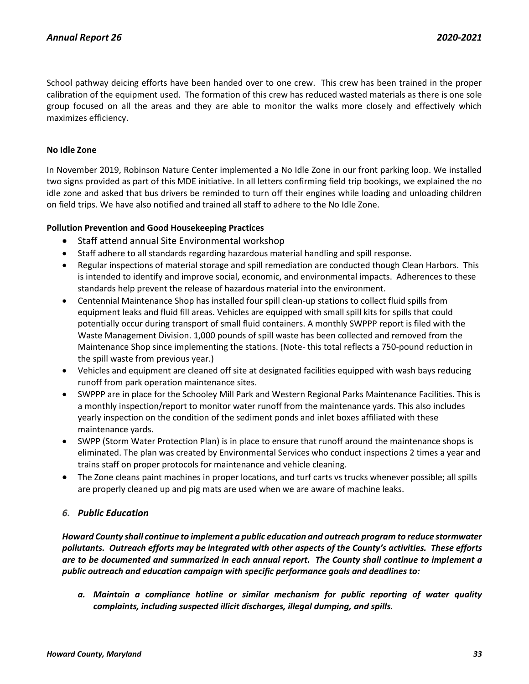School pathway deicing efforts have been handed over to one crew. This crew has been trained in the proper calibration of the equipment used. The formation of this crew has reduced wasted materials as there is one sole group focused on all the areas and they are able to monitor the walks more closely and effectively which maximizes efficiency.

# **No Idle Zone**

In November 2019, Robinson Nature Center implemented a No Idle Zone in our front parking loop. We installed two signs provided as part of this MDE initiative. In all letters confirming field trip bookings, we explained the no idle zone and asked that bus drivers be reminded to turn off their engines while loading and unloading children on field trips. We have also notified and trained all staff to adhere to the No Idle Zone.

# **Pollution Prevention and Good Housekeeping Practices**

- Staff attend annual Site Environmental workshop
- Staff adhere to all standards regarding hazardous material handling and spill response.
- Regular inspections of material storage and spill remediation are conducted though Clean Harbors. This is intended to identify and improve social, economic, and environmental impacts. Adherences to these standards help prevent the release of hazardous material into the environment.
- Centennial Maintenance Shop has installed four spill clean-up stations to collect fluid spills from equipment leaks and fluid fill areas. Vehicles are equipped with small spill kits for spills that could potentially occur during transport of small fluid containers. A monthly SWPPP report is filed with the Waste Management Division. 1,000 pounds of spill waste has been collected and removed from the Maintenance Shop since implementing the stations. (Note- this total reflects a 750-pound reduction in the spill waste from previous year.)
- Vehicles and equipment are cleaned off site at designated facilities equipped with wash bays reducing runoff from park operation maintenance sites.
- SWPPP are in place for the Schooley Mill Park and Western Regional Parks Maintenance Facilities. This is a monthly inspection/report to monitor water runoff from the maintenance yards. This also includes yearly inspection on the condition of the sediment ponds and inlet boxes affiliated with these maintenance yards.
- SWPP (Storm Water Protection Plan) is in place to ensure that runoff around the maintenance shops is eliminated. The plan was created by Environmental Services who conduct inspections 2 times a year and trains staff on proper protocols for maintenance and vehicle cleaning.
- The Zone cleans paint machines in proper locations, and turf carts vs trucks whenever possible; all spills are properly cleaned up and pig mats are used when we are aware of machine leaks.

# <span id="page-33-0"></span>*6. Public Education*

*Howard County shall continue to implement a public education and outreach program to reduce stormwater pollutants. Outreach efforts may be integrated with other aspects of the County's activities. These efforts are to be documented and summarized in each annual report. The County shall continue to implement a public outreach and education campaign with specific performance goals and deadlines to:*

*a. Maintain a compliance hotline or similar mechanism for public reporting of water quality complaints, including suspected illicit discharges, illegal dumping, and spills.*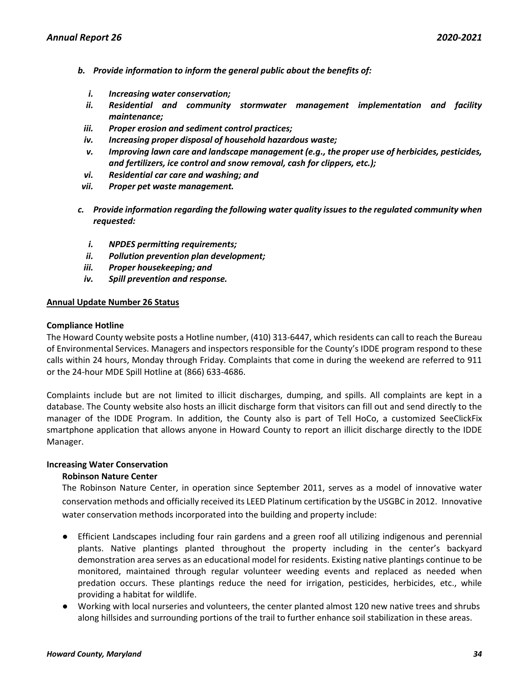- *b. Provide information to inform the general public about the benefits of:*
	- *i. Increasing water conservation;*
	- *ii. Residential and community stormwater management implementation and facility maintenance;*
- *iii. Proper erosion and sediment control practices;*
- *iv. Increasing proper disposal of household hazardous waste;*
- *v. Improving lawn care and landscape management (e.g., the proper use of herbicides, pesticides, and fertilizers, ice control and snow removal, cash for clippers, etc.);*
- *vi. Residential car care and washing; and*
- *vii. Proper pet waste management.*
- *c. Provide information regarding the following water quality issues to the regulated community when requested:*
	- *i. NPDES permitting requirements;*
	- *ii. Pollution prevention plan development;*
- *iii. Proper housekeeping; and*
- *iv. Spill prevention and response.*

# **Annual Update Number 26 Status**

#### **Compliance Hotline**

The Howard County website posts a Hotline number, (410) 313-6447, which residents can call to reach the Bureau of Environmental Services. Managers and inspectors responsible for the County's IDDE program respond to these calls within 24 hours, Monday through Friday. Complaints that come in during the weekend are referred to 911 or the 24-hour MDE Spill Hotline at (866) 633-4686.

Complaints include but are not limited to illicit discharges, dumping, and spills. All complaints are kept in a database. The County website also hosts an illicit discharge form that visitors can fill out and send directly to the manager of the IDDE Program. In addition, the County also is part of Tell HoCo, a customized SeeClickFix smartphone application that allows anyone in Howard County to report an illicit discharge directly to the IDDE Manager.

# **Increasing Water Conservation**

# **Robinson Nature Center**

The Robinson Nature Center, in operation since September 2011, serves as a model of innovative water conservation methods and officially received its LEED Platinum certification by the USGBC in 2012. Innovative water conservation methods incorporated into the building and property include:

- Efficient Landscapes including four rain gardens and a green roof all utilizing indigenous and perennial plants. Native plantings planted throughout the property including in the center's backyard demonstration area serves as an educational model for residents. Existing native plantings continue to be monitored, maintained through regular volunteer weeding events and replaced as needed when predation occurs. These plantings reduce the need for irrigation, pesticides, herbicides, etc., while providing a habitat for wildlife.
- Working with local nurseries and volunteers, the center planted almost 120 new native trees and shrubs along hillsides and surrounding portions of the trail to further enhance soil stabilization in these areas.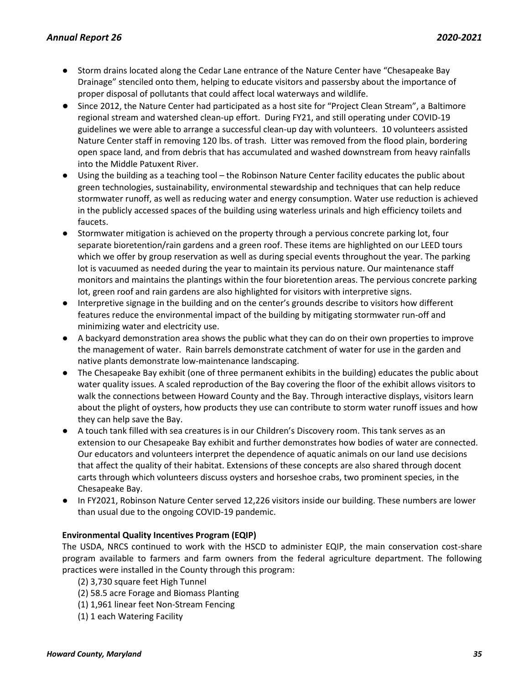- Storm drains located along the Cedar Lane entrance of the Nature Center have "Chesapeake Bay Drainage" stenciled onto them, helping to educate visitors and passersby about the importance of proper disposal of pollutants that could affect local waterways and wildlife.
- Since 2012, the Nature Center had participated as a host site for "Project Clean Stream", a Baltimore regional stream and watershed clean-up effort. During FY21, and still operating under COVID-19 guidelines we were able to arrange a successful clean-up day with volunteers. 10 volunteers assisted Nature Center staff in removing 120 lbs. of trash. Litter was removed from the flood plain, bordering open space land, and from debris that has accumulated and washed downstream from heavy rainfalls into the Middle Patuxent River.
- Using the building as a teaching tool the Robinson Nature Center facility educates the public about green technologies, sustainability, environmental stewardship and techniques that can help reduce stormwater runoff, as well as reducing water and energy consumption. Water use reduction is achieved in the publicly accessed spaces of the building using waterless urinals and high efficiency toilets and faucets.
- Stormwater mitigation is achieved on the property through a pervious concrete parking lot, four separate bioretention/rain gardens and a green roof. These items are highlighted on our LEED tours which we offer by group reservation as well as during special events throughout the year. The parking lot is vacuumed as needed during the year to maintain its pervious nature. Our maintenance staff monitors and maintains the plantings within the four bioretention areas. The pervious concrete parking lot, green roof and rain gardens are also highlighted for visitors with interpretive signs.
- Interpretive signage in the building and on the center's grounds describe to visitors how different features reduce the environmental impact of the building by mitigating stormwater run-off and minimizing water and electricity use.
- A backyard demonstration area shows the public what they can do on their own properties to improve the management of water. Rain barrels demonstrate catchment of water for use in the garden and native plants demonstrate low-maintenance landscaping.
- The Chesapeake Bay exhibit (one of three permanent exhibits in the building) educates the public about water quality issues. A scaled reproduction of the Bay covering the floor of the exhibit allows visitors to walk the connections between Howard County and the Bay. Through interactive displays, visitors learn about the plight of oysters, how products they use can contribute to storm water runoff issues and how they can help save the Bay.
- A touch tank filled with sea creatures is in our Children's Discovery room. This tank serves as an extension to our Chesapeake Bay exhibit and further demonstrates how bodies of water are connected. Our educators and volunteers interpret the dependence of aquatic animals on our land use decisions that affect the quality of their habitat. Extensions of these concepts are also shared through docent carts through which volunteers discuss oysters and horseshoe crabs, two prominent species, in the Chesapeake Bay.
- In FY2021, Robinson Nature Center served 12,226 visitors inside our building. These numbers are lower than usual due to the ongoing COVID-19 pandemic.

# **Environmental Quality Incentives Program (EQIP)**

The USDA, NRCS continued to work with the HSCD to administer EQIP, the main conservation cost-share program available to farmers and farm owners from the federal agriculture department. The following practices were installed in the County through this program:

- (2) 3,730 square feet High Tunnel
- (2) 58.5 acre Forage and Biomass Planting
- (1) 1,961 linear feet Non-Stream Fencing
- (1) 1 each Watering Facility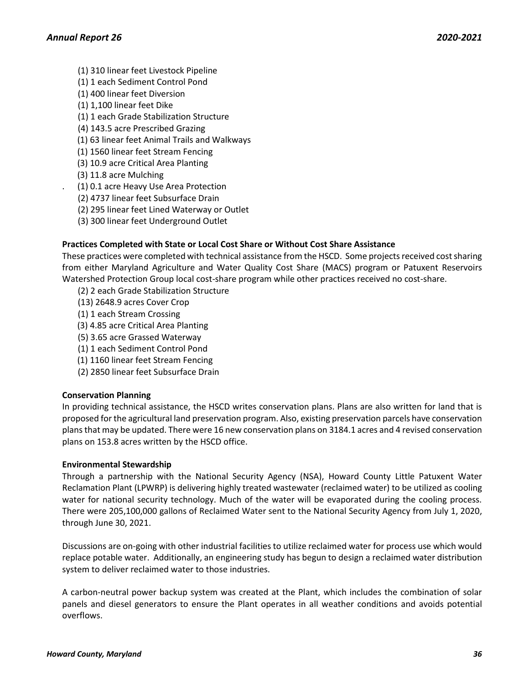- (1) 310 linear feet Livestock Pipeline
- (1) 1 each Sediment Control Pond
- (1) 400 linear feet Diversion
- (1) 1,100 linear feet Dike
- (1) 1 each Grade Stabilization Structure
- (4) 143.5 acre Prescribed Grazing
- (1) 63 linear feet Animal Trails and Walkways
- (1) 1560 linear feet Stream Fencing
- (3) 10.9 acre Critical Area Planting
- (3) 11.8 acre Mulching
- . (1) 0.1 acre Heavy Use Area Protection
	- (2) 4737 linear feet Subsurface Drain
	- (2) 295 linear feet Lined Waterway or Outlet
	- (3) 300 linear feet Underground Outlet

# **Practices Completed with State or Local Cost Share or Without Cost Share Assistance**

These practices were completed with technical assistance from the HSCD. Some projects received cost sharing from either Maryland Agriculture and Water Quality Cost Share (MACS) program or Patuxent Reservoirs Watershed Protection Group local cost-share program while other practices received no cost-share.

- (2) 2 each Grade Stabilization Structure
- (13) 2648.9 acres Cover Crop
- (1) 1 each Stream Crossing
- (3) 4.85 acre Critical Area Planting
- (5) 3.65 acre Grassed Waterway
- (1) 1 each Sediment Control Pond
- (1) 1160 linear feet Stream Fencing
- (2) 2850 linear feet Subsurface Drain

# **Conservation Planning**

In providing technical assistance, the HSCD writes conservation plans. Plans are also written for land that is proposed for the agricultural land preservation program. Also, existing preservation parcels have conservation plans that may be updated. There were 16 new conservation plans on 3184.1 acres and 4 revised conservation plans on 153.8 acres written by the HSCD office.

### **Environmental Stewardship**

Through a partnership with the National Security Agency (NSA), Howard County Little Patuxent Water Reclamation Plant (LPWRP) is delivering highly treated wastewater (reclaimed water) to be utilized as cooling water for national security technology. Much of the water will be evaporated during the cooling process. There were 205,100,000 gallons of Reclaimed Water sent to the National Security Agency from July 1, 2020, through June 30, 2021.

Discussions are on-going with other industrial facilities to utilize reclaimed water for process use which would replace potable water. Additionally, an engineering study has begun to design a reclaimed water distribution system to deliver reclaimed water to those industries.

A carbon-neutral power backup system was created at the Plant, which includes the combination of solar panels and diesel generators to ensure the Plant operates in all weather conditions and avoids potential overflows.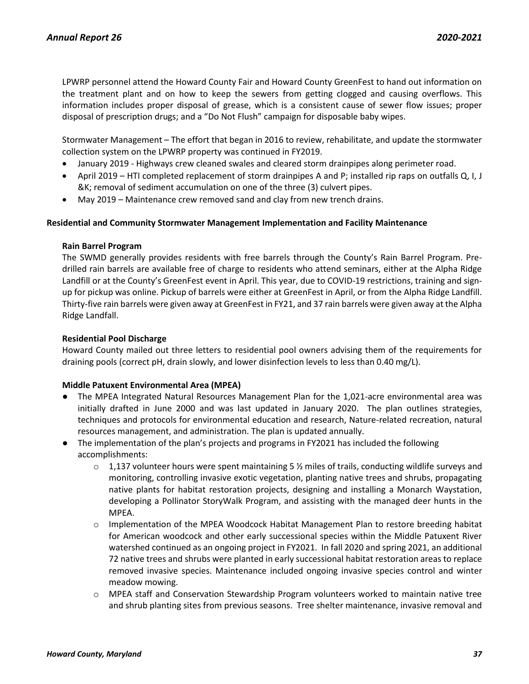LPWRP personnel attend the Howard County Fair and Howard County GreenFest to hand out information on the treatment plant and on how to keep the sewers from getting clogged and causing overflows. This information includes proper disposal of grease, which is a consistent cause of sewer flow issues; proper disposal of prescription drugs; and a "Do Not Flush" campaign for disposable baby wipes.

Stormwater Management – The effort that began in 2016 to review, rehabilitate, and update the stormwater collection system on the LPWRP property was continued in FY2019.

- January 2019 Highways crew cleaned swales and cleared storm drainpipes along perimeter road.
- April 2019 HTI completed replacement of storm drainpipes A and P; installed rip raps on outfalls Q, I, J &K; removal of sediment accumulation on one of the three (3) culvert pipes.
- May 2019 Maintenance crew removed sand and clay from new trench drains.

### **Residential and Community Stormwater Management Implementation and Facility Maintenance**

### **Rain Barrel Program**

The SWMD generally provides residents with free barrels through the County's Rain Barrel Program. Predrilled rain barrels are available free of charge to residents who attend seminars, either at the Alpha Ridge Landfill or at the County's GreenFest event in April. This year, due to COVID-19 restrictions, training and signup for pickup was online. Pickup of barrels were either at GreenFest in April, or from the Alpha Ridge Landfill. Thirty-five rain barrels were given away at GreenFest in FY21, and 37 rain barrels were given away at the Alpha Ridge Landfall.

### **Residential Pool Discharge**

Howard County mailed out three letters to residential pool owners advising them of the requirements for draining pools (correct pH, drain slowly, and lower disinfection levels to less than 0.40 mg/L).

### **Middle Patuxent Environmental Area (MPEA)**

- The MPEA Integrated Natural Resources Management Plan for the 1,021-acre environmental area was initially drafted in June 2000 and was last updated in January 2020. The plan outlines strategies, techniques and protocols for environmental education and research, Nature-related recreation, natural resources management, and administration. The plan is updated annually.
- The implementation of the plan's projects and programs in FY2021 has included the following accomplishments:
	- $\circ$  1,137 volunteer hours were spent maintaining 5 % miles of trails, conducting wildlife surveys and monitoring, controlling invasive exotic vegetation, planting native trees and shrubs, propagating native plants for habitat restoration projects, designing and installing a Monarch Waystation, developing a Pollinator StoryWalk Program, and assisting with the managed deer hunts in the MPEA.
	- $\circ$  Implementation of the MPEA Woodcock Habitat Management Plan to restore breeding habitat for American woodcock and other early successional species within the Middle Patuxent River watershed continued as an ongoing project in FY2021. In fall 2020 and spring 2021, an additional 72 native trees and shrubs were planted in early successional habitat restoration areas to replace removed invasive species. Maintenance included ongoing invasive species control and winter meadow mowing.
	- o MPEA staff and Conservation Stewardship Program volunteers worked to maintain native tree and shrub planting sites from previous seasons. Tree shelter maintenance, invasive removal and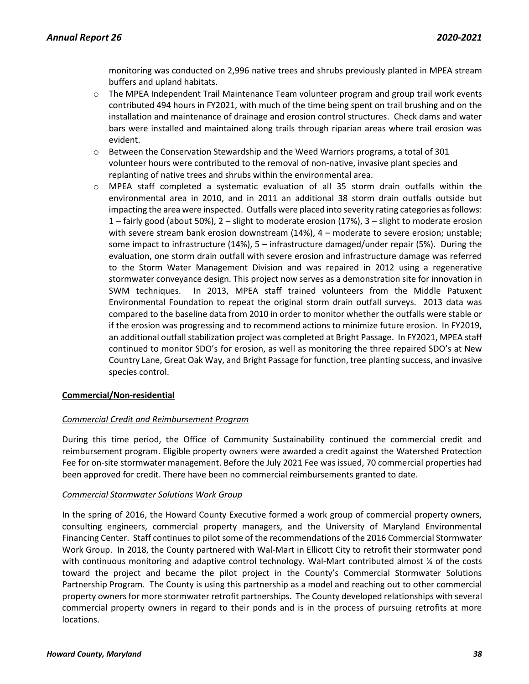monitoring was conducted on 2,996 native trees and shrubs previously planted in MPEA stream buffers and upland habitats.

- $\circ$  The MPEA Independent Trail Maintenance Team volunteer program and group trail work events contributed 494 hours in FY2021, with much of the time being spent on trail brushing and on the installation and maintenance of drainage and erosion control structures. Check dams and water bars were installed and maintained along trails through riparian areas where trail erosion was evident.
- o Between the Conservation Stewardship and the Weed Warriors programs, a total of 301 volunteer hours were contributed to the removal of non-native, invasive plant species and replanting of native trees and shrubs within the environmental area.
- o MPEA staff completed a systematic evaluation of all 35 storm drain outfalls within the environmental area in 2010, and in 2011 an additional 38 storm drain outfalls outside but impacting the area were inspected. Outfalls were placed into severity rating categories as follows: 1 – fairly good (about 50%), 2 – slight to moderate erosion (17%), 3 – slight to moderate erosion with severe stream bank erosion downstream (14%), 4 – moderate to severe erosion; unstable; some impact to infrastructure (14%), 5 – infrastructure damaged/under repair (5%). During the evaluation, one storm drain outfall with severe erosion and infrastructure damage was referred to the Storm Water Management Division and was repaired in 2012 using a regenerative stormwater conveyance design. This project now serves as a demonstration site for innovation in SWM techniques. In 2013, MPEA staff trained volunteers from the Middle Patuxent Environmental Foundation to repeat the original storm drain outfall surveys. 2013 data was compared to the baseline data from 2010 in order to monitor whether the outfalls were stable or if the erosion was progressing and to recommend actions to minimize future erosion. In FY2019, an additional outfall stabilization project was completed at Bright Passage. In FY2021, MPEA staff continued to monitor SDO's for erosion, as well as monitoring the three repaired SDO's at New Country Lane, Great Oak Way, and Bright Passage for function, tree planting success, and invasive species control.

### **Commercial/Non-residential**

### *Commercial Credit and Reimbursement Program*

During this time period, the Office of Community Sustainability continued the commercial credit and reimbursement program. Eligible property owners were awarded a credit against the Watershed Protection Fee for on-site stormwater management. Before the July 2021 Fee was issued, 70 commercial properties had been approved for credit. There have been no commercial reimbursements granted to date.

### *Commercial Stormwater Solutions Work Group*

In the spring of 2016, the Howard County Executive formed a work group of commercial property owners, consulting engineers, commercial property managers, and the University of Maryland Environmental Financing Center. Staff continues to pilot some of the recommendations of the 2016 Commercial Stormwater Work Group. In 2018, the County partnered with Wal-Mart in Ellicott City to retrofit their stormwater pond with continuous monitoring and adaptive control technology. Wal-Mart contributed almost % of the costs toward the project and became the pilot project in the County's Commercial Stormwater Solutions Partnership Program. The County is using this partnership as a model and reaching out to other commercial property owners for more stormwater retrofit partnerships. The County developed relationships with several commercial property owners in regard to their ponds and is in the process of pursuing retrofits at more locations.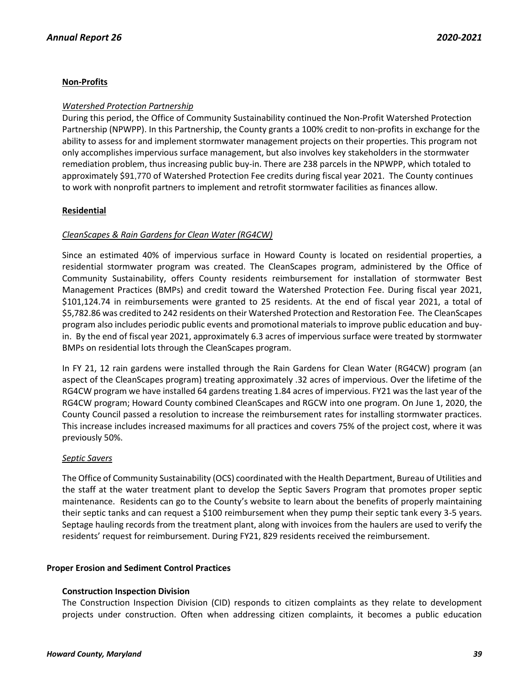## **Non-Profits**

### *Watershed Protection Partnership*

During this period, the Office of Community Sustainability continued the Non-Profit Watershed Protection Partnership (NPWPP). In this Partnership, the County grants a 100% credit to non-profits in exchange for the ability to assess for and implement stormwater management projects on their properties. This program not only accomplishes impervious surface management, but also involves key stakeholders in the stormwater remediation problem, thus increasing public buy-in. There are 238 parcels in the NPWPP, which totaled to approximately \$91,770 of Watershed Protection Fee credits during fiscal year 2021. The County continues to work with nonprofit partners to implement and retrofit stormwater facilities as finances allow.

## **Residential**

## *CleanScapes & Rain Gardens for Clean Water (RG4CW)*

Since an estimated 40% of impervious surface in Howard County is located on residential properties, a residential stormwater program was created. The CleanScapes program, administered by the Office of Community Sustainability, offers County residents reimbursement for installation of stormwater Best Management Practices (BMPs) and credit toward the Watershed Protection Fee. During fiscal year 2021, \$101,124.74 in reimbursements were granted to 25 residents. At the end of fiscal year 2021, a total of \$5,782.86 was credited to 242 residents on their Watershed Protection and Restoration Fee. The CleanScapes program also includes periodic public events and promotional materials to improve public education and buyin. By the end of fiscal year 2021, approximately 6.3 acres of impervious surface were treated by stormwater BMPs on residential lots through the CleanScapes program.

In FY 21, 12 rain gardens were installed through the Rain Gardens for Clean Water (RG4CW) program (an aspect of the CleanScapes program) treating approximately .32 acres of impervious. Over the lifetime of the RG4CW program we have installed 64 gardens treating 1.84 acres of impervious. FY21 was the last year of the RG4CW program; Howard County combined CleanScapes and RGCW into one program. On June 1, 2020, the County Council passed a resolution to increase the reimbursement rates for installing stormwater practices. This increase includes increased maximums for all practices and covers 75% of the project cost, where it was previously 50%.

### *Septic Savers*

The Office of Community Sustainability (OCS) coordinated with the Health Department, Bureau of Utilities and the staff at the water treatment plant to develop the Septic Savers Program that promotes proper septic maintenance. Residents can go to the County's website to learn about the benefits of properly maintaining their septic tanks and can request a \$100 reimbursement when they pump their septic tank every 3-5 years. Septage hauling records from the treatment plant, along with invoices from the haulers are used to verify the residents' request for reimbursement. During FY21, 829 residents received the reimbursement.

### **Proper Erosion and Sediment Control Practices**

### **Construction Inspection Division**

The Construction Inspection Division (CID) responds to citizen complaints as they relate to development projects under construction. Often when addressing citizen complaints, it becomes a public education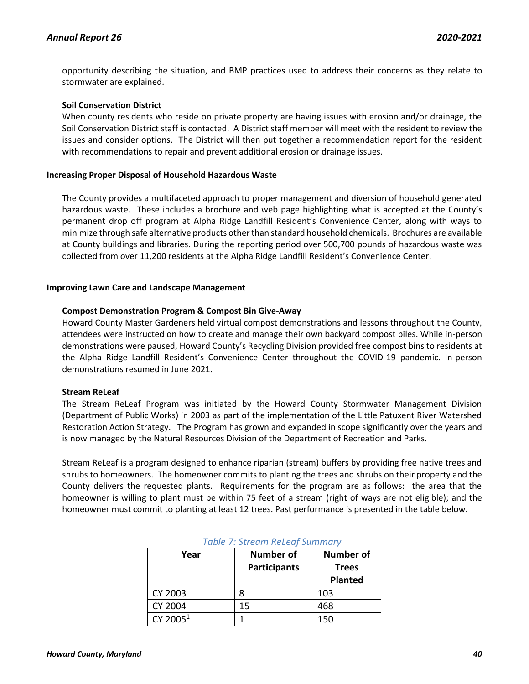opportunity describing the situation, and BMP practices used to address their concerns as they relate to stormwater are explained.

### **Soil Conservation District**

When county residents who reside on private property are having issues with erosion and/or drainage, the Soil Conservation District staff is contacted. A District staff member will meet with the resident to review the issues and consider options. The District will then put together a recommendation report for the resident with recommendations to repair and prevent additional erosion or drainage issues.

### **Increasing Proper Disposal of Household Hazardous Waste**

The County provides a multifaceted approach to proper management and diversion of household generated hazardous waste. These includes a brochure and web page highlighting what is accepted at the County's permanent drop off program at Alpha Ridge Landfill Resident's Convenience Center, along with ways to minimize through safe alternative products other than standard household chemicals. Brochures are available at County buildings and libraries. During the reporting period over 500,700 pounds of hazardous waste was collected from over 11,200 residents at the Alpha Ridge Landfill Resident's Convenience Center.

### **Improving Lawn Care and Landscape Management**

### **Compost Demonstration Program & Compost Bin Give-Away**

Howard County Master Gardeners held virtual compost demonstrations and lessons throughout the County, attendees were instructed on how to create and manage their own backyard compost piles. While in-person demonstrations were paused, Howard County's Recycling Division provided free compost bins to residents at the Alpha Ridge Landfill Resident's Convenience Center throughout the COVID-19 pandemic. In-person demonstrations resumed in June 2021.

#### **Stream ReLeaf**

The Stream ReLeaf Program was initiated by the Howard County Stormwater Management Division (Department of Public Works) in 2003 as part of the implementation of the Little Patuxent River Watershed Restoration Action Strategy. The Program has grown and expanded in scope significantly over the years and is now managed by the Natural Resources Division of the Department of Recreation and Parks.

Stream ReLeaf is a program designed to enhance riparian (stream) buffers by providing free native trees and shrubs to homeowners. The homeowner commits to planting the trees and shrubs on their property and the County delivers the requested plants. Requirements for the program are as follows: the area that the homeowner is willing to plant must be within 75 feet of a stream (right of ways are not eligible); and the homeowner must commit to planting at least 12 trees. Past performance is presented in the table below.

| Year                 | <b>Number of</b>    | <b>Number of</b> |
|----------------------|---------------------|------------------|
|                      | <b>Participants</b> | <b>Trees</b>     |
|                      |                     | <b>Planted</b>   |
| CY 2003              |                     | 103              |
| CY 2004              | 15                  | 468              |
| CY 2005 <sup>1</sup> |                     | 150              |

### *Table 7: Stream ReLeaf Summary*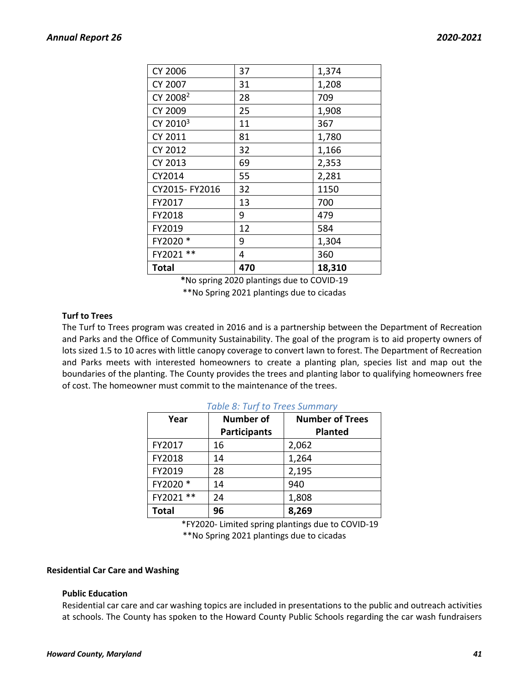| CY 2006              | 37  | 1,374  |
|----------------------|-----|--------|
| CY 2007              | 31  | 1,208  |
| CY 2008 <sup>2</sup> | 28  | 709    |
| CY 2009              | 25  | 1,908  |
| CY 2010 <sup>3</sup> | 11  | 367    |
| CY 2011              | 81  | 1,780  |
| CY 2012              | 32  | 1,166  |
| CY 2013              | 69  | 2,353  |
| CY2014               | 55  | 2,281  |
| CY2015- FY2016       | 32  | 1150   |
| FY2017               | 13  | 700    |
| FY2018               | 9   | 479    |
| FY2019               | 12  | 584    |
| FY2020 *             | 9   | 1,304  |
| FY2021 **            | 4   | 360    |
| Total                | 470 | 18,310 |

**\***No spring 2020 plantings due to COVID-19

\*\*No Spring 2021 plantings due to cicadas

### **Turf to Trees**

The Turf to Trees program was created in 2016 and is a partnership between the Department of Recreation and Parks and the Office of Community Sustainability. The goal of the program is to aid property owners of lots sized 1.5 to 10 acres with little canopy coverage to convert lawn to forest. The Department of Recreation and Parks meets with interested homeowners to create a planting plan, species list and map out the boundaries of the planting. The County provides the trees and planting labor to qualifying homeowners free of cost. The homeowner must commit to the maintenance of the trees.

| Year            | <b>Number of</b><br><b>Participants</b> | <b>Number of Trees</b><br><b>Planted</b> |
|-----------------|-----------------------------------------|------------------------------------------|
| FY2017          | 16                                      | 2,062                                    |
| FY2018          | 14                                      | 1,264                                    |
| FY2019          | 28                                      | 2,195                                    |
| FY2020 *        | 14                                      | 940                                      |
| FY2021<br>$***$ | 24                                      | 1,808                                    |
| <b>Total</b>    | 96                                      | 8,269                                    |

### *Table 8: Turf to Trees Summary*

\*FY2020- Limited spring plantings due to COVID-19 \*\*No Spring 2021 plantings due to cicadas

### **Residential Car Care and Washing**

### **Public Education**

Residential car care and car washing topics are included in presentations to the public and outreach activities at schools. The County has spoken to the Howard County Public Schools regarding the car wash fundraisers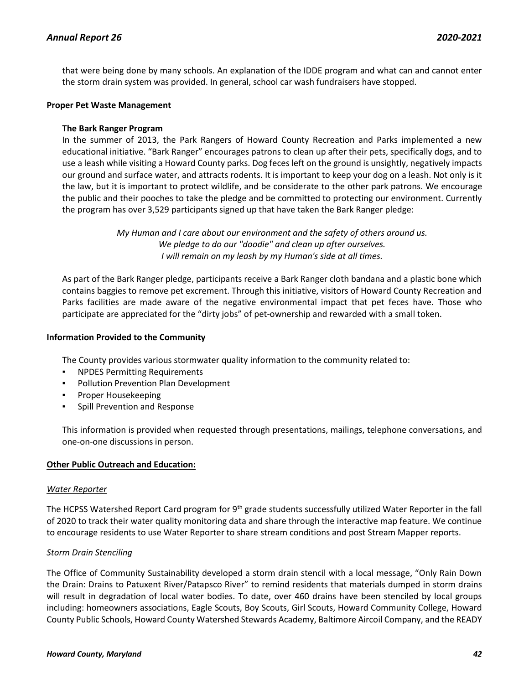that were being done by many schools. An explanation of the IDDE program and what can and cannot enter the storm drain system was provided. In general, school car wash fundraisers have stopped.

### **Proper Pet Waste Management**

### **The Bark Ranger Program**

In the summer of 2013, the Park Rangers of Howard County Recreation and Parks implemented a new educational initiative. "Bark Ranger" encourages patrons to clean up after their pets, specifically dogs, and to use a leash while visiting a Howard County parks. Dog feces left on the ground is unsightly, negatively impacts our ground and surface water, and attracts rodents. It is important to keep your dog on a leash. Not only is it the law, but it is important to protect wildlife, and be considerate to the other park patrons. We encourage the public and their pooches to take the pledge and be committed to protecting our environment. Currently the program has over 3,529 participants signed up that have taken the Bark Ranger pledge:

> *My Human and I care about our environment and the safety of others around us. We pledge to do our "doodie" and clean up after ourselves. I will remain on my leash by my Human's side at all times.*

As part of the Bark Ranger pledge, participants receive a Bark Ranger cloth bandana and a plastic bone which contains baggies to remove pet excrement. Through this initiative, visitors of Howard County Recreation and Parks facilities are made aware of the negative environmental impact that pet feces have. Those who participate are appreciated for the "dirty jobs" of pet-ownership and rewarded with a small token.

### **Information Provided to the Community**

The County provides various stormwater quality information to the community related to:

- NPDES Permitting Requirements
- Pollution Prevention Plan Development
- **Proper Housekeeping**
- Spill Prevention and Response

This information is provided when requested through presentations, mailings, telephone conversations, and one-on-one discussions in person.

### **Other Public Outreach and Education:**

#### *Water Reporter*

The HCPSS Watershed Report Card program for  $9<sup>th</sup>$  grade students successfully utilized Water Reporter in the fall of 2020 to track their water quality monitoring data and share through the interactive map feature. We continue to encourage residents to use Water Reporter to share stream conditions and post Stream Mapper reports.

### *Storm Drain Stenciling*

The Office of Community Sustainability developed a storm drain stencil with a local message, "Only Rain Down the Drain: Drains to Patuxent River/Patapsco River" to remind residents that materials dumped in storm drains will result in degradation of local water bodies. To date, over 460 drains have been stenciled by local groups including: homeowners associations, Eagle Scouts, Boy Scouts, Girl Scouts, Howard Community College, Howard County Public Schools, Howard County Watershed Stewards Academy, Baltimore Aircoil Company, and the READY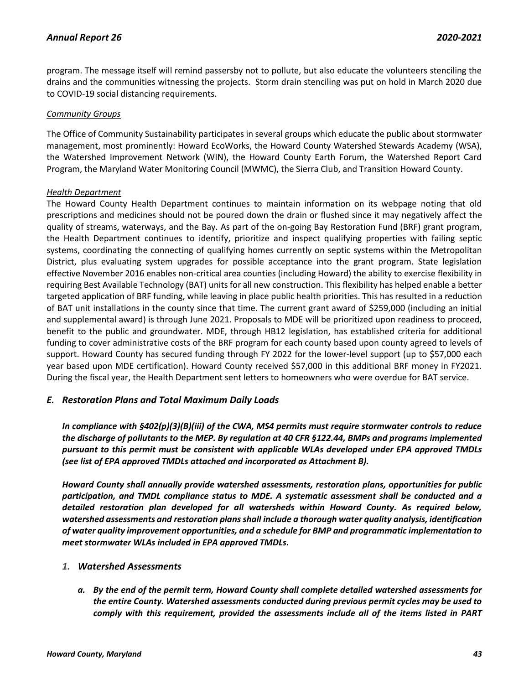program. The message itself will remind passersby not to pollute, but also educate the volunteers stenciling the drains and the communities witnessing the projects. Storm drain stenciling was put on hold in March 2020 due to COVID-19 social distancing requirements.

### *Community Groups*

The Office of Community Sustainability participates in several groups which educate the public about stormwater management, most prominently: Howard EcoWorks, the Howard County Watershed Stewards Academy (WSA), the Watershed Improvement Network (WIN), the Howard County Earth Forum, the Watershed Report Card Program, the Maryland Water Monitoring Council (MWMC), the Sierra Club, and Transition Howard County.

### *Health Department*

The Howard County Health Department continues to maintain information on its webpage noting that old prescriptions and medicines should not be poured down the drain or flushed since it may negatively affect the quality of streams, waterways, and the Bay. As part of the on-going Bay Restoration Fund (BRF) grant program, the Health Department continues to identify, prioritize and inspect qualifying properties with failing septic systems, coordinating the connecting of qualifying homes currently on septic systems within the Metropolitan District, plus evaluating system upgrades for possible acceptance into the grant program. State legislation effective November 2016 enables non-critical area counties (including Howard) the ability to exercise flexibility in requiring Best Available Technology (BAT) units for all new construction. This flexibility has helped enable a better targeted application of BRF funding, while leaving in place public health priorities. This has resulted in a reduction of BAT unit installations in the county since that time. The current grant award of \$259,000 (including an initial and supplemental award) is through June 2021. Proposals to MDE will be prioritized upon readiness to proceed, benefit to the public and groundwater. MDE, through HB12 legislation, has established criteria for additional funding to cover administrative costs of the BRF program for each county based upon county agreed to levels of support. Howard County has secured funding through FY 2022 for the lower-level support (up to \$57,000 each year based upon MDE certification). Howard County received \$57,000 in this additional BRF money in FY2021. During the fiscal year, the Health Department sent letters to homeowners who were overdue for BAT service.

### *E. Restoration Plans and Total Maximum Daily Loads*

*In compliance with §402(p)(3)(B)(iii) of the CWA, MS4 permits must require stormwater controls to reduce the discharge of pollutants to the MEP. By regulation at 40 CFR §122.44, BMPs and programs implemented pursuant to this permit must be consistent with applicable WLAs developed under EPA approved TMDLs (see list of EPA approved TMDLs attached and incorporated as Attachment B).* 

*Howard County shall annually provide watershed assessments, restoration plans, opportunities for public participation, and TMDL compliance status to MDE. A systematic assessment shall be conducted and a detailed restoration plan developed for all watersheds within Howard County. As required below, watershed assessments and restoration plans shall include a thorough water quality analysis, identification of water quality improvement opportunities, and a schedule for BMP and programmatic implementation to meet stormwater WLAs included in EPA approved TMDLs.*

### *1. Watershed Assessments*

*a. By the end of the permit term, Howard County shall complete detailed watershed assessments for the entire County. Watershed assessments conducted during previous permit cycles may be used to comply with this requirement, provided the assessments include all of the items listed in PART*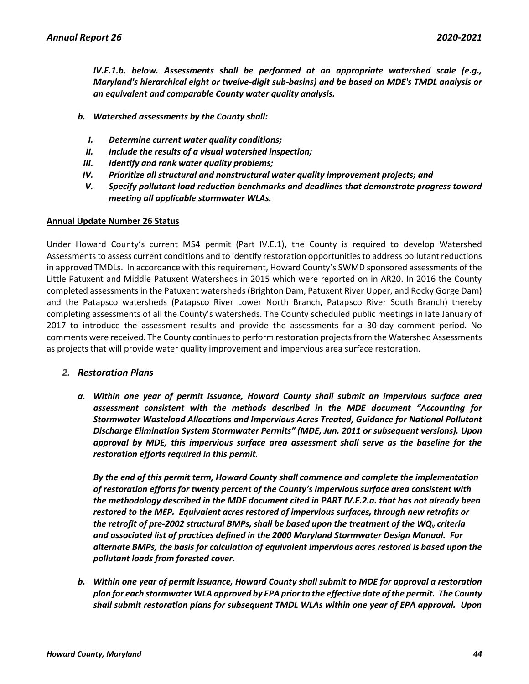*IV.E.1.b. below. Assessments shall be performed at an appropriate watershed scale (e.g., Maryland's hierarchical eight or twelve-digit sub-basins) and be based on MDE's TMDL analysis or an equivalent and comparable County water quality analysis.*

- *b. Watershed assessments by the County shall:*
	- *I. Determine current water quality conditions;*
	- *II. Include the results of a visual watershed inspection;*
	- *III. Identify and rank water quality problems;*
- *IV. Prioritize all structural and nonstructural water quality improvement projects; and*
- *V. Specify pollutant load reduction benchmarks and deadlines that demonstrate progress toward meeting all applicable stormwater WLAs.*

### **Annual Update Number 26 Status**

Under Howard County's current MS4 permit (Part IV.E.1), the County is required to develop Watershed Assessments to assess current conditions and to identify restoration opportunities to address pollutant reductions in approved TMDLs. In accordance with this requirement, Howard County's SWMD sponsored assessments of the Little Patuxent and Middle Patuxent Watersheds in 2015 which were reported on in AR20. In 2016 the County completed assessments in the Patuxent watersheds (Brighton Dam, Patuxent River Upper, and Rocky Gorge Dam) and the Patapsco watersheds (Patapsco River Lower North Branch, Patapsco River South Branch) thereby completing assessments of all the County's watersheds. The County scheduled public meetings in late January of 2017 to introduce the assessment results and provide the assessments for a 30-day comment period. No comments were received. The County continues to perform restoration projects from the Watershed Assessments as projects that will provide water quality improvement and impervious area surface restoration.

### *2. Restoration Plans*

*a. Within one year of permit issuance, Howard County shall submit an impervious surface area assessment consistent with the methods described in the MDE document "Accounting for Stormwater Wasteload Allocations and Impervious Acres Treated, Guidance for National Pollutant Discharge Elimination System Stormwater Permits" (MDE, Jun. 2011 or subsequent versions). Upon approval by MDE, this impervious surface area assessment shall serve as the baseline for the restoration efforts required in this permit.*

*By the end of this permit term, Howard County shall commence and complete the implementation of restoration efforts for twenty percent of the County's impervious surface area consistent with the methodology described in the MDE document cited in PART IV.E.2.a. that has not already been restored to the MEP. Equivalent acres restored of impervious surfaces, through new retrofits or the retrofit of pre-2002 structural BMPs, shall be based upon the treatment of the WQ<sup>v</sup> criteria and associated list of practices defined in the 2000 Maryland Stormwater Design Manual. For alternate BMPs, the basis for calculation of equivalent impervious acres restored is based upon the pollutant loads from forested cover.*

*b. Within one year of permit issuance, Howard County shall submit to MDE for approval a restoration plan for each stormwater WLA approved by EPA prior to the effective date of the permit. The County shall submit restoration plans for subsequent TMDL WLAs within one year of EPA approval. Upon*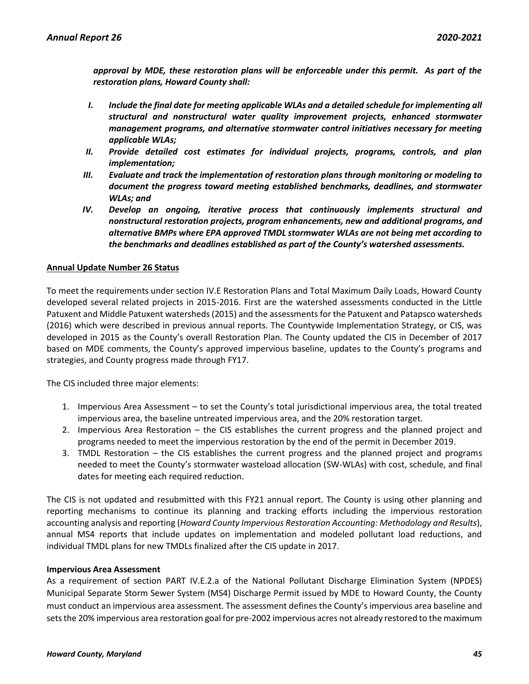*approval by MDE, these restoration plans will be enforceable under this permit. As part of the restoration plans, Howard County shall:*

- *I. Include the final date for meeting applicable WLAs and a detailed schedule for implementing all structural and nonstructural water quality improvement projects, enhanced stormwater management programs, and alternative stormwater control initiatives necessary for meeting applicable WLAs;*
- *II. Provide detailed cost estimates for individual projects, programs, controls, and plan implementation;*
- *III. Evaluate and track the implementation of restoration plans through monitoring or modeling to document the progress toward meeting established benchmarks, deadlines, and stormwater WLAs; and*
- *IV. Develop an ongoing, iterative process that continuously implements structural and nonstructural restoration projects, program enhancements, new and additional programs, and alternative BMPs where EPA approved TMDL stormwater WLAs are not being met according to the benchmarks and deadlines established as part of the County's watershed assessments.*

### **Annual Update Number 26 Status**

To meet the requirements under section IV.E Restoration Plans and Total Maximum Daily Loads, Howard County developed several related projects in 2015-2016. First are the watershed assessments conducted in the Little Patuxent and Middle Patuxent watersheds (2015) and the assessments for the Patuxent and Patapsco watersheds (2016) which were described in previous annual reports. The Countywide Implementation Strategy, or CIS, was developed in 2015 as the County's overall Restoration Plan. The County updated the CIS in December of 2017 based on MDE comments, the County's approved impervious baseline, updates to the County's programs and strategies, and County progress made through FY17.

The CIS included three major elements:

- 1. Impervious Area Assessment to set the County's total jurisdictional impervious area, the total treated impervious area, the baseline untreated impervious area, and the 20% restoration target.
- 2. Impervious Area Restoration the CIS establishes the current progress and the planned project and programs needed to meet the impervious restoration by the end of the permit in December 2019.
- 3. TMDL Restoration the CIS establishes the current progress and the planned project and programs needed to meet the County's stormwater wasteload allocation (SW-WLAs) with cost, schedule, and final dates for meeting each required reduction.

The CIS is not updated and resubmitted with this FY21 annual report. The County is using other planning and reporting mechanisms to continue its planning and tracking efforts including the impervious restoration accounting analysis and reporting (*Howard County Impervious Restoration Accounting: Methodology and Results*), annual MS4 reports that include updates on implementation and modeled pollutant load reductions, and individual TMDL plans for new TMDLs finalized after the CIS update in 2017.

### **Impervious Area Assessment**

As a requirement of section PART IV.E.2.a of the National Pollutant Discharge Elimination System (NPDES) Municipal Separate Storm Sewer System (MS4) Discharge Permit issued by MDE to Howard County, the County must conduct an impervious area assessment. The assessment defines the County's impervious area baseline and sets the 20% impervious area restoration goal for pre-2002 impervious acres not already restored to the maximum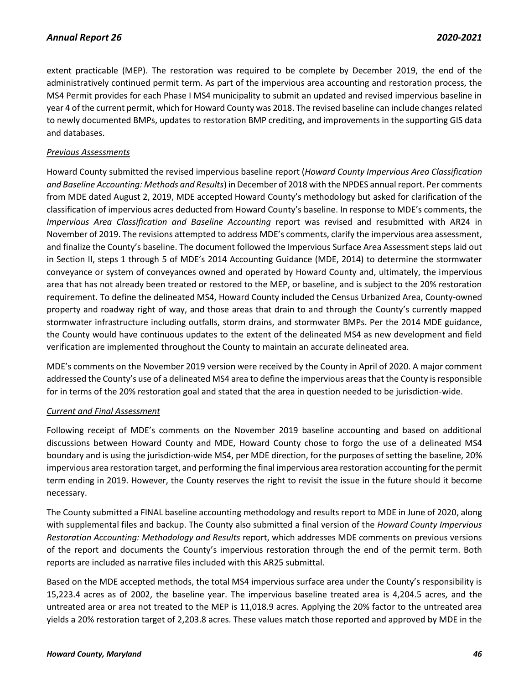extent practicable (MEP). The restoration was required to be complete by December 2019, the end of the administratively continued permit term. As part of the impervious area accounting and restoration process, the MS4 Permit provides for each Phase I MS4 municipality to submit an updated and revised impervious baseline in year 4 of the current permit, which for Howard County was 2018. The revised baseline can include changes related to newly documented BMPs, updates to restoration BMP crediting, and improvements in the supporting GIS data and databases.

# *Previous Assessments*

Howard County submitted the revised impervious baseline report (*Howard County Impervious Area Classification and Baseline Accounting: Methods and Results*) in December of 2018 with the NPDES annual report. Per comments from MDE dated August 2, 2019, MDE accepted Howard County's methodology but asked for clarification of the classification of impervious acres deducted from Howard County's baseline. In response to MDE's comments, the *Impervious Area Classification and Baseline Accounting* report was revised and resubmitted with AR24 in November of 2019. The revisions attempted to address MDE's comments, clarify the impervious area assessment, and finalize the County's baseline. The document followed the Impervious Surface Area Assessment steps laid out in Section II, steps 1 through 5 of MDE's 2014 Accounting Guidance (MDE, 2014) to determine the stormwater conveyance or system of conveyances owned and operated by Howard County and, ultimately, the impervious area that has not already been treated or restored to the MEP, or baseline, and is subject to the 20% restoration requirement. To define the delineated MS4, Howard County included the Census Urbanized Area, County-owned property and roadway right of way, and those areas that drain to and through the County's currently mapped stormwater infrastructure including outfalls, storm drains, and stormwater BMPs. Per the 2014 MDE guidance, the County would have continuous updates to the extent of the delineated MS4 as new development and field verification are implemented throughout the County to maintain an accurate delineated area.

MDE's comments on the November 2019 version were received by the County in April of 2020. A major comment addressed the County's use of a delineated MS4 area to define the impervious areas that the County is responsible for in terms of the 20% restoration goal and stated that the area in question needed to be jurisdiction-wide.

# *Current and Final Assessment*

Following receipt of MDE's comments on the November 2019 baseline accounting and based on additional discussions between Howard County and MDE, Howard County chose to forgo the use of a delineated MS4 boundary and is using the jurisdiction‐wide MS4, per MDE direction, for the purposes of setting the baseline, 20% impervious area restoration target, and performing the final impervious area restoration accounting for the permit term ending in 2019. However, the County reserves the right to revisit the issue in the future should it become necessary.

The County submitted a FINAL baseline accounting methodology and results report to MDE in June of 2020, along with supplemental files and backup. The County also submitted a final version of the *Howard County Impervious Restoration Accounting: Methodology and Results* report, which addresses MDE comments on previous versions of the report and documents the County's impervious restoration through the end of the permit term. Both reports are included as narrative files included with this AR25 submittal.

Based on the MDE accepted methods, the total MS4 impervious surface area under the County's responsibility is 15,223.4 acres as of 2002, the baseline year. The impervious baseline treated area is 4,204.5 acres, and the untreated area or area not treated to the MEP is 11,018.9 acres. Applying the 20% factor to the untreated area yields a 20% restoration target of 2,203.8 acres. These values match those reported and approved by MDE in the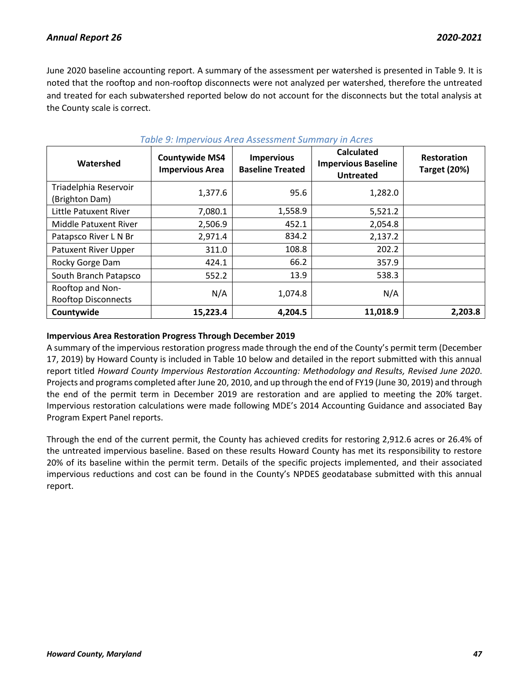June 2020 baseline accounting report. A summary of the assessment per watershed is presented in Table 9. It is noted that the rooftop and non-rooftop disconnects were not analyzed per watershed, therefore the untreated and treated for each subwatershed reported below do not account for the disconnects but the total analysis at the County scale is correct.

| Watershed                                      | <b>Countywide MS4</b><br><b>Impervious Area</b> | <b>Impervious</b><br><b>Baseline Treated</b> | <b>Calculated</b><br><b>Impervious Baseline</b><br><b>Untreated</b> | <b>Restoration</b><br><b>Target (20%)</b> |
|------------------------------------------------|-------------------------------------------------|----------------------------------------------|---------------------------------------------------------------------|-------------------------------------------|
| Triadelphia Reservoir<br>(Brighton Dam)        | 1,377.6                                         | 95.6                                         | 1,282.0                                                             |                                           |
| Little Patuxent River                          | 7,080.1                                         | 1,558.9                                      | 5,521.2                                                             |                                           |
| <b>Middle Patuxent River</b>                   | 2,506.9                                         | 452.1                                        | 2,054.8                                                             |                                           |
| Patapsco River L N Br                          | 2,971.4                                         | 834.2                                        | 2,137.2                                                             |                                           |
| Patuxent River Upper                           | 311.0                                           | 108.8                                        | 202.2                                                               |                                           |
| Rocky Gorge Dam                                | 424.1                                           | 66.2                                         | 357.9                                                               |                                           |
| South Branch Patapsco                          | 552.2                                           | 13.9                                         | 538.3                                                               |                                           |
| Rooftop and Non-<br><b>Rooftop Disconnects</b> | N/A                                             | 1,074.8                                      | N/A                                                                 |                                           |
| Countywide                                     | 15,223.4                                        | 4,204.5                                      | 11,018.9                                                            | 2,203.8                                   |

## *Table 9: Impervious Area Assessment Summary in Acres*

### **Impervious Area Restoration Progress Through December 2019**

A summary of the impervious restoration progress made through the end of the County's permit term (December 17, 2019) by Howard County is included in Table 10 below and detailed in the report submitted with this annual report titled *Howard County Impervious Restoration Accounting: Methodology and Results, Revised June 2020*. Projects and programs completed after June 20, 2010, and up through the end of FY19 (June 30, 2019) and through the end of the permit term in December 2019 are restoration and are applied to meeting the 20% target. Impervious restoration calculations were made following MDE's 2014 Accounting Guidance and associated Bay Program Expert Panel reports.

Through the end of the current permit, the County has achieved credits for restoring 2,912.6 acres or 26.4% of the untreated impervious baseline. Based on these results Howard County has met its responsibility to restore 20% of its baseline within the permit term. Details of the specific projects implemented, and their associated impervious reductions and cost can be found in the County's NPDES geodatabase submitted with this annual report.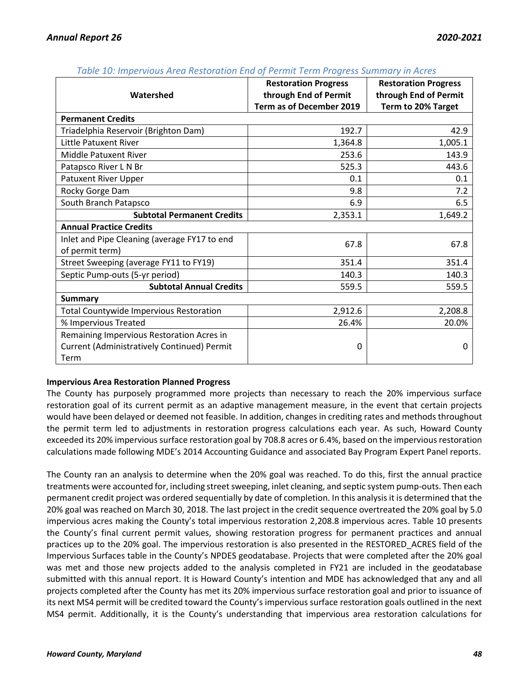|                                                | <b>Restoration Progress</b> | <b>Restoration Progress</b> |
|------------------------------------------------|-----------------------------|-----------------------------|
| Watershed                                      | through End of Permit       | through End of Permit       |
|                                                | Term as of December 2019    | Term to 20% Target          |
| <b>Permanent Credits</b>                       |                             |                             |
| Triadelphia Reservoir (Brighton Dam)           | 192.7                       | 42.9                        |
| Little Patuxent River                          | 1,364.8                     | 1,005.1                     |
| Middle Patuxent River                          | 253.6                       | 143.9                       |
| Patapsco River L N Br                          | 525.3                       | 443.6                       |
| <b>Patuxent River Upper</b>                    | 0.1                         | 0.1                         |
| Rocky Gorge Dam                                | 9.8                         | 7.2                         |
| South Branch Patapsco                          | 6.9                         | 6.5                         |
| <b>Subtotal Permanent Credits</b>              | 2,353.1                     | 1,649.2                     |
| <b>Annual Practice Credits</b>                 |                             |                             |
| Inlet and Pipe Cleaning (average FY17 to end   | 67.8                        | 67.8                        |
| of permit term)                                |                             |                             |
| Street Sweeping (average FY11 to FY19)         | 351.4                       | 351.4                       |
| Septic Pump-outs (5-yr period)                 | 140.3                       | 140.3                       |
| <b>Subtotal Annual Credits</b>                 | 559.5                       | 559.5                       |
| <b>Summary</b>                                 |                             |                             |
| <b>Total Countywide Impervious Restoration</b> | 2,912.6                     | 2,208.8                     |
| % Impervious Treated                           | 26.4%                       | 20.0%                       |
| Remaining Impervious Restoration Acres in      |                             |                             |
| Current (Administratively Continued) Permit    | 0                           | 0                           |
| Term                                           |                             |                             |

*Table 10: Impervious Area Restoration End of Permit Term Progress Summary in Acres*

# **Impervious Area Restoration Planned Progress**

The County has purposely programmed more projects than necessary to reach the 20% impervious surface restoration goal of its current permit as an adaptive management measure, in the event that certain projects would have been delayed or deemed not feasible. In addition, changes in crediting rates and methods throughout the permit term led to adjustments in restoration progress calculations each year. As such, Howard County exceeded its 20% impervious surface restoration goal by 708.8 acres or 6.4%, based on the impervious restoration calculations made following MDE's 2014 Accounting Guidance and associated Bay Program Expert Panel reports.

The County ran an analysis to determine when the 20% goal was reached. To do this, first the annual practice treatments were accounted for, including street sweeping, inlet cleaning, and septic system pump-outs. Then each permanent credit project was ordered sequentially by date of completion. In this analysis it is determined that the 20% goal was reached on March 30, 2018. The last project in the credit sequence overtreated the 20% goal by 5.0 impervious acres making the County's total impervious restoration 2,208.8 impervious acres. Table 10 presents the County's final current permit values, showing restoration progress for permanent practices and annual practices up to the 20% goal. The impervious restoration is also presented in the RESTORED\_ACRES field of the Impervious Surfaces table in the County's NPDES geodatabase. Projects that were completed after the 20% goal was met and those new projects added to the analysis completed in FY21 are included in the geodatabase submitted with this annual report. It is Howard County's intention and MDE has acknowledged that any and all projects completed after the County has met its 20% impervious surface restoration goal and prior to issuance of its next MS4 permit will be credited toward the County's impervious surface restoration goals outlined in the next MS4 permit. Additionally, it is the County's understanding that impervious area restoration calculations for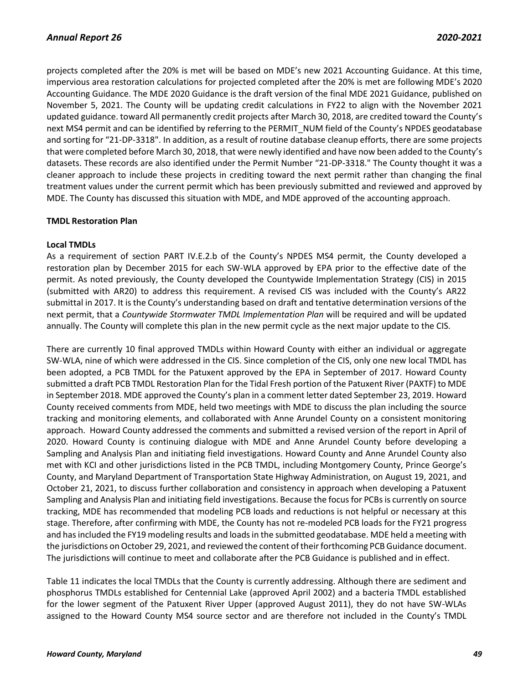projects completed after the 20% is met will be based on MDE's new 2021 Accounting Guidance. At this time, impervious area restoration calculations for projected completed after the 20% is met are following MDE's 2020 Accounting Guidance. The MDE 2020 Guidance is the draft version of the final MDE 2021 Guidance, published on November 5, 2021. The County will be updating credit calculations in FY22 to align with the November 2021 updated guidance. toward All permanently credit projects after March 30, 2018, are credited toward the County's next MS4 permit and can be identified by referring to the PERMIT\_NUM field of the County's NPDES geodatabase and sorting for "21-DP-3318". In addition, as a result of routine database cleanup efforts, there are some projects that were completed before March 30, 2018, that were newly identified and have now been added to the County's datasets. These records are also identified under the Permit Number "21-DP-3318." The County thought it was a cleaner approach to include these projects in crediting toward the next permit rather than changing the final treatment values under the current permit which has been previously submitted and reviewed and approved by MDE. The County has discussed this situation with MDE, and MDE approved of the accounting approach.

### **TMDL Restoration Plan**

### **Local TMDLs**

As a requirement of section PART IV.E.2.b of the County's NPDES MS4 permit, the County developed a restoration plan by December 2015 for each SW-WLA approved by EPA prior to the effective date of the permit. As noted previously, the County developed the Countywide Implementation Strategy (CIS) in 2015 (submitted with AR20) to address this requirement. A revised CIS was included with the County's AR22 submittal in 2017. It is the County's understanding based on draft and tentative determination versions of the next permit, that a *Countywide Stormwater TMDL Implementation Plan* will be required and will be updated annually. The County will complete this plan in the new permit cycle as the next major update to the CIS.

There are currently 10 final approved TMDLs within Howard County with either an individual or aggregate SW-WLA, nine of which were addressed in the CIS. Since completion of the CIS, only one new local TMDL has been adopted, a PCB TMDL for the Patuxent approved by the EPA in September of 2017. Howard County submitted a draft PCB TMDL Restoration Plan for the Tidal Fresh portion of the Patuxent River (PAXTF) to MDE in September 2018. MDE approved the County's plan in a comment letter dated September 23, 2019. Howard County received comments from MDE, held two meetings with MDE to discuss the plan including the source tracking and monitoring elements, and collaborated with Anne Arundel County on a consistent monitoring approach. Howard County addressed the comments and submitted a revised version of the report in April of 2020. Howard County is continuing dialogue with MDE and Anne Arundel County before developing a Sampling and Analysis Plan and initiating field investigations. Howard County and Anne Arundel County also met with KCI and other jurisdictions listed in the PCB TMDL, including Montgomery County, Prince George's County, and Maryland Department of Transportation State Highway Administration, on August 19, 2021, and October 21, 2021, to discuss further collaboration and consistency in approach when developing a Patuxent Sampling and Analysis Plan and initiating field investigations. Because the focus for PCBs is currently on source tracking, MDE has recommended that modeling PCB loads and reductions is not helpful or necessary at this stage. Therefore, after confirming with MDE, the County has not re-modeled PCB loads for the FY21 progress and has included the FY19 modeling results and loads in the submitted geodatabase. MDE held a meeting with the jurisdictions on October 29, 2021, and reviewed the content of their forthcoming PCB Guidance document. The jurisdictions will continue to meet and collaborate after the PCB Guidance is published and in effect.

Table 11 indicates the local TMDLs that the County is currently addressing. Although there are sediment and phosphorus TMDLs established for Centennial Lake (approved April 2002) and a bacteria TMDL established for the lower segment of the Patuxent River Upper (approved August 2011), they do not have SW-WLAs assigned to the Howard County MS4 source sector and are therefore not included in the County's TMDL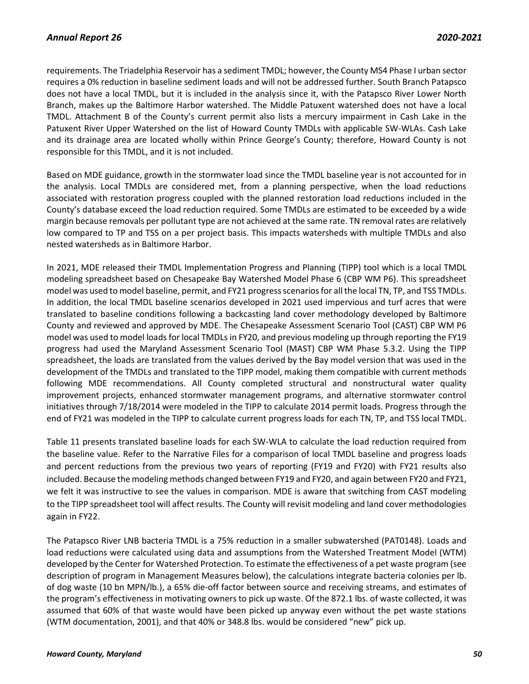requirements. The Triadelphia Reservoir has a sediment TMDL; however, the County MS4 Phase I urban sector requires a 0% reduction in baseline sediment loads and will not be addressed further. South Branch Patapsco does not have a local TMDL, but it is included in the analysis since it, with the Patapsco River Lower North Branch, makes up the Baltimore Harbor watershed. The Middle Patuxent watershed does not have a local TMDL. Attachment B of the County's current permit also lists a mercury impairment in Cash Lake in the Patuxent River Upper Watershed on the list of Howard County TMDLs with applicable SW-WLAs. Cash Lake and its drainage area are located wholly within Prince George's County; therefore, Howard County is not responsible for this TMDL, and it is not included.

Based on MDE guidance, growth in the stormwater load since the TMDL baseline year is not accounted for in the analysis. Local TMDLs are considered met, from a planning perspective, when the load reductions associated with restoration progress coupled with the planned restoration load reductions included in the County's database exceed the load reduction required. Some TMDLs are estimated to be exceeded by a wide margin because removals per pollutant type are not achieved at the same rate. TN removal rates are relatively low compared to TP and TSS on a per project basis. This impacts watersheds with multiple TMDLs and also nested watersheds as in Baltimore Harbor.

In 2021, MDE released their TMDL Implementation Progress and Planning (TIPP) tool which is a local TMDL modeling spreadsheet based on Chesapeake Bay Watershed Model Phase 6 (CBP WM P6). This spreadsheet model was used to model baseline, permit, and FY21 progress scenarios for allthe local TN, TP, and TSS TMDLs. In addition, the local TMDL baseline scenarios developed in 2021 used impervious and turf acres that were translated to baseline conditions following a backcasting land cover methodology developed by Baltimore County and reviewed and approved by MDE. The Chesapeake Assessment Scenario Tool (CAST) CBP WM P6 model was used to model loads for local TMDLsin FY20, and previous modeling up through reporting the FY19 progress had used the Maryland Assessment Scenario Tool (MAST) CBP WM Phase 5.3.2. Using the TIPP spreadsheet, the loads are translated from the values derived by the Bay model version that was used in the development of the TMDLs and translated to the TIPP model, making them compatible with current methods following MDE recommendations. All County completed structural and nonstructural water quality improvement projects, enhanced stormwater management programs, and alternative stormwater control initiatives through 7/18/2014 were modeled in the TIPP to calculate 2014 permit loads. Progress through the end of FY21 was modeled in the TIPP to calculate current progress loads for each TN, TP, and TSS local TMDL.

Table 11 presents translated baseline loads for each SW-WLA to calculate the load reduction required from the baseline value. Refer to the Narrative Files for a comparison of local TMDL baseline and progress loads and percent reductions from the previous two years of reporting (FY19 and FY20) with FY21 results also included. Because the modeling methods changed between FY19 and FY20, and again between FY20 and FY21, we felt it was instructive to see the values in comparison. MDE is aware that switching from CAST modeling to the TIPP spreadsheet tool will affect results. The County will revisit modeling and land cover methodologies again in FY22.

The Patapsco River LNB bacteria TMDL is a 75% reduction in a smaller subwatershed (PAT0148). Loads and load reductions were calculated using data and assumptions from the Watershed Treatment Model (WTM) developed by the Center for Watershed Protection. To estimate the effectiveness of a pet waste program (see description of program in Management Measures below), the calculations integrate bacteria colonies per lb. of dog waste (10 bn MPN/lb.), a 65% die-off factor between source and receiving streams, and estimates of the program's effectiveness in motivating owners to pick up waste. Of the 872.1 lbs. of waste collected, it was assumed that 60% of that waste would have been picked up anyway even without the pet waste stations (WTM documentation, 2001), and that 40% or 348.8 lbs. would be considered "new" pick up.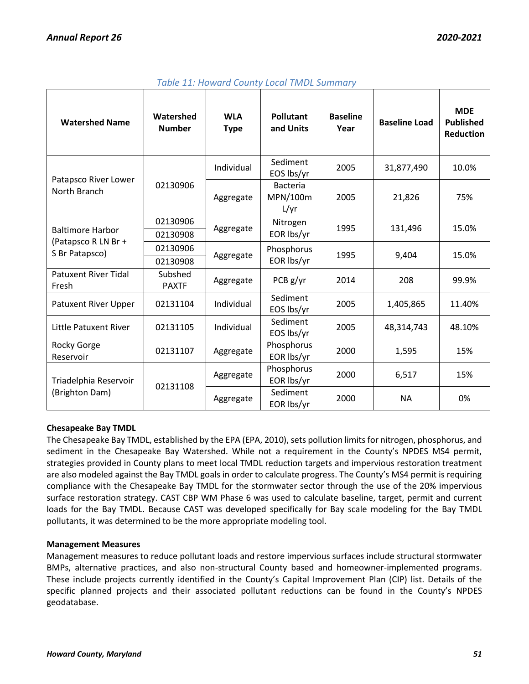| <b>Watershed Name</b>                   | Watershed<br><b>Number</b> | <b>WLA</b><br><b>Type</b> | <b>Pollutant</b><br>and Units       | <b>Baseline</b><br>Year | <b>Baseline Load</b> | <b>MDE</b><br><b>Published</b><br><b>Reduction</b> |
|-----------------------------------------|----------------------------|---------------------------|-------------------------------------|-------------------------|----------------------|----------------------------------------------------|
|                                         |                            | Individual                | Sediment<br>EOS lbs/yr              | 2005                    | 31,877,490           | 10.0%                                              |
| Patapsco River Lower<br>North Branch    | 02130906                   | Aggregate                 | <b>Bacteria</b><br>MPN/100m<br>L/yr | 2005                    | 21,826               | 75%                                                |
|                                         | 02130906                   |                           | Nitrogen                            | 1995                    | 131,496              | 15.0%                                              |
| <b>Baltimore Harbor</b>                 | 02130908                   | Aggregate                 | EOR lbs/yr                          |                         |                      |                                                    |
| (Patapsco R LN Br +<br>S Br Patapsco)   | 02130906                   | Aggregate                 | Phosphorus                          | 1995                    | 9,404                | 15.0%                                              |
|                                         | 02130908                   |                           | EOR lbs/yr                          |                         |                      |                                                    |
| <b>Patuxent River Tidal</b><br>Fresh    | Subshed<br><b>PAXTF</b>    | Aggregate                 | PCB g/yr                            | 2014                    | 208                  | 99.9%                                              |
| <b>Patuxent River Upper</b>             | 02131104                   | Individual                | Sediment<br>EOS lbs/yr              | 2005                    | 1,405,865            | 11.40%                                             |
| Little Patuxent River                   | 02131105                   | Individual                | Sediment<br>EOS lbs/yr              | 2005                    | 48,314,743           | 48.10%                                             |
| Rocky Gorge<br>Reservoir                | 02131107                   | Aggregate                 | Phosphorus<br>EOR lbs/yr            | 2000                    | 1,595                | 15%                                                |
| Triadelphia Reservoir<br>(Brighton Dam) | 02131108                   | Aggregate                 | Phosphorus<br>EOR lbs/yr            | 2000                    | 6,517                | 15%                                                |
|                                         |                            | Aggregate                 | Sediment<br>EOR lbs/yr              | 2000                    | <b>NA</b>            | 0%                                                 |

# *Table 11: Howard County Local TMDL Summary*

# **Chesapeake Bay TMDL**

The Chesapeake Bay TMDL, established by the EPA (EPA, 2010), sets pollution limits for nitrogen, phosphorus, and sediment in the Chesapeake Bay Watershed. While not a requirement in the County's NPDES MS4 permit, strategies provided in County plans to meet local TMDL reduction targets and impervious restoration treatment are also modeled against the Bay TMDL goals in order to calculate progress. The County's MS4 permit is requiring compliance with the Chesapeake Bay TMDL for the stormwater sector through the use of the 20% impervious surface restoration strategy. CAST CBP WM Phase 6 was used to calculate baseline, target, permit and current loads for the Bay TMDL. Because CAST was developed specifically for Bay scale modeling for the Bay TMDL pollutants, it was determined to be the more appropriate modeling tool.

### **Management Measures**

Management measures to reduce pollutant loads and restore impervious surfaces include structural stormwater BMPs, alternative practices, and also non-structural County based and homeowner-implemented programs. These include projects currently identified in the County's Capital Improvement Plan (CIP) list. Details of the specific planned projects and their associated pollutant reductions can be found in the County's NPDES geodatabase.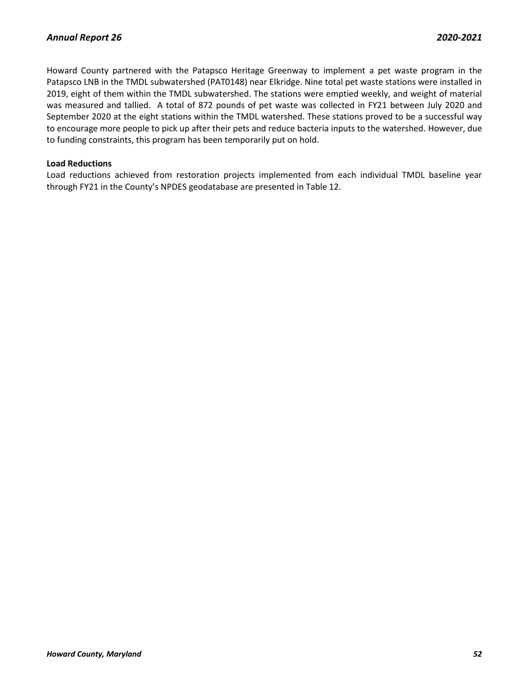Howard County partnered with the Patapsco Heritage Greenway to implement a pet waste program in the Patapsco LNB in the TMDL subwatershed (PAT0148) near Elkridge. Nine total pet waste stations were installed in 2019, eight of them within the TMDL subwatershed. The stations were emptied weekly, and weight of material was measured and tallied. A total of 872 pounds of pet waste was collected in FY21 between July 2020 and September 2020 at the eight stations within the TMDL watershed. These stations proved to be a successful way to encourage more people to pick up after their pets and reduce bacteria inputs to the watershed. However, due to funding constraints, this program has been temporarily put on hold.

### **Load Reductions**

Load reductions achieved from restoration projects implemented from each individual TMDL baseline year through FY21 in the County's NPDES geodatabase are presented in Table 12.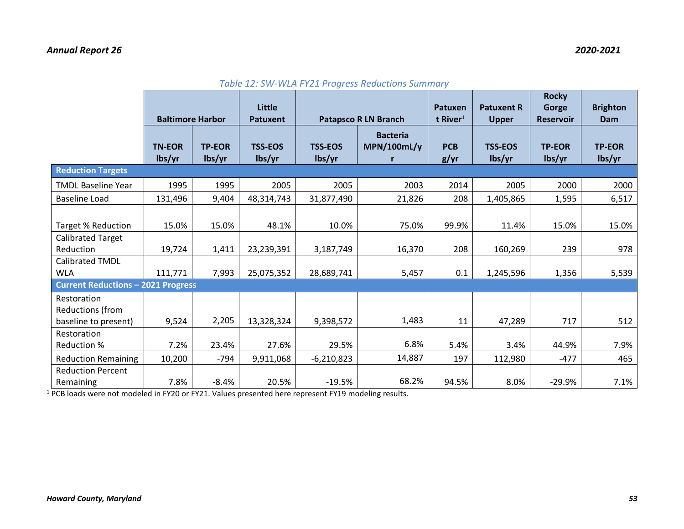# *Annual Report 26 2020-2021*

|                                                         | <b>Baltimore Harbor</b> |                         | Little<br><b>Patuxent</b> | <b>Patapsco R LN Branch</b> |                                | Patuxen<br>t River $1$     | <b>Patuxent R</b><br><b>Upper</b> | <b>Rocky</b><br>Gorge<br><b>Reservoir</b> | <b>Brighton</b><br>Dam  |
|---------------------------------------------------------|-------------------------|-------------------------|---------------------------|-----------------------------|--------------------------------|----------------------------|-----------------------------------|-------------------------------------------|-------------------------|
|                                                         | <b>TN-EOR</b><br>lbs/yr | <b>TP-EOR</b><br>lbs/yr | <b>TSS-EOS</b><br>lbs/yr  | <b>TSS-EOS</b><br>lbs/yr    | <b>Bacteria</b><br>MPN/100mL/y | <b>PCB</b><br>$g/\gamma r$ | <b>TSS-EOS</b><br>lbs/yr          | <b>TP-EOR</b><br>lbs/yr                   | <b>TP-EOR</b><br>lbs/yr |
| <b>Reduction Targets</b>                                |                         |                         |                           |                             |                                |                            |                                   |                                           |                         |
| <b>TMDL Baseline Year</b>                               | 1995                    | 1995                    | 2005                      | 2005                        | 2003                           | 2014                       | 2005                              | 2000                                      | 2000                    |
| <b>Baseline Load</b>                                    | 131,496                 | 9,404                   | 48,314,743                | 31,877,490                  | 21,826                         | 208                        | 1,405,865                         | 1,595                                     | 6,517                   |
| <b>Target % Reduction</b>                               | 15.0%                   | 15.0%                   | 48.1%                     | 10.0%                       | 75.0%                          | 99.9%                      | 11.4%                             | 15.0%                                     | 15.0%                   |
| <b>Calibrated Target</b><br>Reduction                   | 19,724                  | 1,411                   | 23,239,391                | 3,187,749                   | 16,370                         | 208                        | 160,269                           | 239                                       | 978                     |
| Calibrated TMDL<br><b>WLA</b>                           | 111,771                 | 7,993                   | 25,075,352                | 28,689,741                  | 5,457                          | 0.1                        | 1,245,596                         | 1,356                                     | 5,539                   |
| <b>Current Reductions - 2021 Progress</b>               |                         |                         |                           |                             |                                |                            |                                   |                                           |                         |
| Restoration<br>Reductions (from<br>baseline to present) | 9,524                   | 2,205                   | 13,328,324                | 9,398,572                   | 1,483                          | 11                         | 47,289                            | 717                                       | 512                     |
| Restoration<br>Reduction %                              | 7.2%                    | 23.4%                   | 27.6%                     | 29.5%                       | 6.8%                           | 5.4%                       | 3.4%                              | 44.9%                                     | 7.9%                    |
| <b>Reduction Remaining</b>                              | 10,200                  | $-794$                  | 9,911,068                 | $-6,210,823$                | 14,887                         | 197                        | 112,980                           | $-477$                                    | 465                     |
| <b>Reduction Percent</b><br>Remaining                   | 7.8%                    | $-8.4%$                 | 20.5%                     | $-19.5%$                    | 68.2%                          | 94.5%                      | 8.0%                              | $-29.9%$                                  | 7.1%                    |

| Table 12: SW-WLA FY21 Progress Reductions Summary |  |  |  |  |
|---------------------------------------------------|--|--|--|--|
|---------------------------------------------------|--|--|--|--|

 $1$  PCB loads were not modeled in FY20 or FY21. Values presented here represent FY19 modeling results.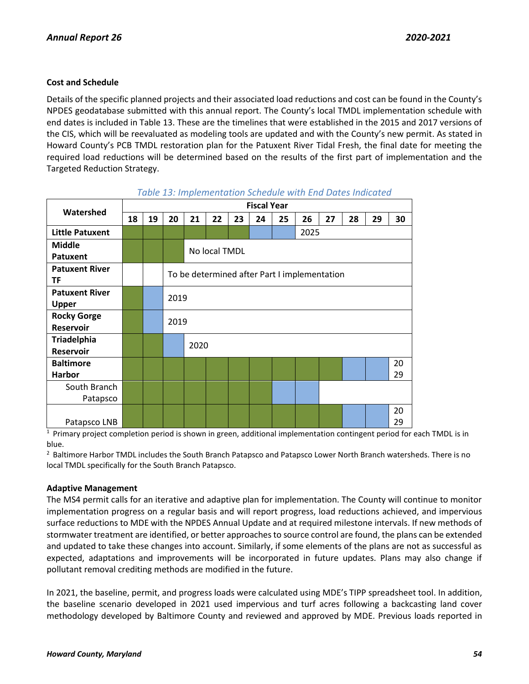## **Cost and Schedule**

Details of the specific planned projects and their associated load reductions and cost can be found in the County's NPDES geodatabase submitted with this annual report. The County's local TMDL implementation schedule with end dates is included in Table 13. These are the timelines that were established in the 2015 and 2017 versions of the CIS, which will be reevaluated as modeling tools are updated and with the County's new permit. As stated in Howard County's PCB TMDL restoration plan for the Patuxent River Tidal Fresh, the final date for meeting the required load reductions will be determined based on the results of the first part of implementation and the Targeted Reduction Strategy.

| Watershed              | <b>Fiscal Year</b> |    |      |      |               |    |    |    |                                              |    |    |    |    |
|------------------------|--------------------|----|------|------|---------------|----|----|----|----------------------------------------------|----|----|----|----|
|                        | 18                 | 19 | 20   | 21   | 22            | 23 | 24 | 25 | 26                                           | 27 | 28 | 29 | 30 |
| <b>Little Patuxent</b> |                    |    |      |      |               |    |    |    | 2025                                         |    |    |    |    |
| <b>Middle</b>          |                    |    |      |      | No local TMDL |    |    |    |                                              |    |    |    |    |
| <b>Patuxent</b>        |                    |    |      |      |               |    |    |    |                                              |    |    |    |    |
| <b>Patuxent River</b>  |                    |    |      |      |               |    |    |    | To be determined after Part I implementation |    |    |    |    |
| ΤF                     |                    |    |      |      |               |    |    |    |                                              |    |    |    |    |
| <b>Patuxent River</b>  |                    |    | 2019 |      |               |    |    |    |                                              |    |    |    |    |
| <b>Upper</b>           |                    |    |      |      |               |    |    |    |                                              |    |    |    |    |
| <b>Rocky Gorge</b>     |                    |    | 2019 |      |               |    |    |    |                                              |    |    |    |    |
| <b>Reservoir</b>       |                    |    |      |      |               |    |    |    |                                              |    |    |    |    |
| <b>Triadelphia</b>     |                    |    |      | 2020 |               |    |    |    |                                              |    |    |    |    |
| <b>Reservoir</b>       |                    |    |      |      |               |    |    |    |                                              |    |    |    |    |
| <b>Baltimore</b>       |                    |    |      |      |               |    |    |    |                                              |    |    |    | 20 |
| <b>Harbor</b>          |                    |    |      |      |               |    |    |    |                                              |    |    |    | 29 |
| South Branch           |                    |    |      |      |               |    |    |    |                                              |    |    |    |    |
| Patapsco               |                    |    |      |      |               |    |    |    |                                              |    |    |    |    |
|                        |                    |    |      |      |               |    |    |    |                                              |    |    |    | 20 |
| Patapsco LNB           |                    |    |      |      |               |    |    |    |                                              |    |    |    | 29 |

## *Table 13: Implementation Schedule with End Dates Indicated*

 $1$  Primary project completion period is shown in green, additional implementation contingent period for each TMDL is in blue.

<sup>2</sup> Baltimore Harbor TMDL includes the South Branch Patapsco and Patapsco Lower North Branch watersheds. There is no local TMDL specifically for the South Branch Patapsco.

### **Adaptive Management**

The MS4 permit calls for an iterative and adaptive plan for implementation. The County will continue to monitor implementation progress on a regular basis and will report progress, load reductions achieved, and impervious surface reductions to MDE with the NPDES Annual Update and at required milestone intervals. If new methods of stormwater treatment are identified, or better approaches to source control are found, the plans can be extended and updated to take these changes into account. Similarly, if some elements of the plans are not as successful as expected, adaptations and improvements will be incorporated in future updates. Plans may also change if pollutant removal crediting methods are modified in the future.

In 2021, the baseline, permit, and progress loads were calculated using MDE's TIPP spreadsheet tool. In addition, the baseline scenario developed in 2021 used impervious and turf acres following a backcasting land cover methodology developed by Baltimore County and reviewed and approved by MDE. Previous loads reported in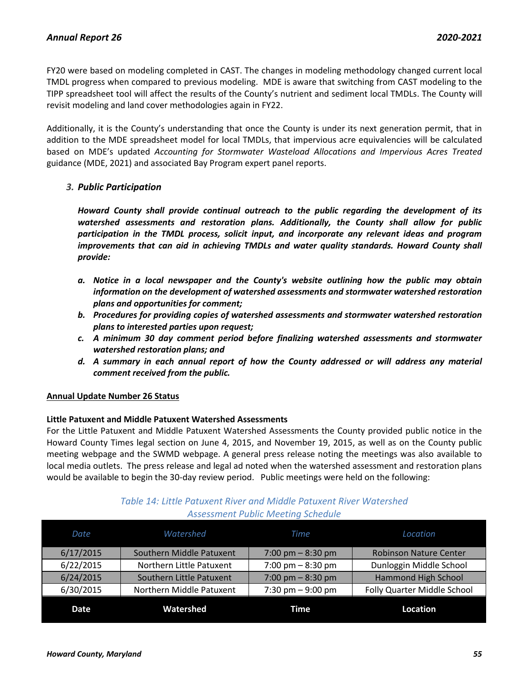FY20 were based on modeling completed in CAST. The changes in modeling methodology changed current local TMDL progress when compared to previous modeling. MDE is aware that switching from CAST modeling to the TIPP spreadsheet tool will affect the results of the County's nutrient and sediment local TMDLs. The County will revisit modeling and land cover methodologies again in FY22.

Additionally, it is the County's understanding that once the County is under its next generation permit, that in addition to the MDE spreadsheet model for local TMDLs, that impervious acre equivalencies will be calculated based on MDE's updated *Accounting for Stormwater Wasteload Allocations and Impervious Acres Treated*  guidance (MDE, 2021) and associated Bay Program expert panel reports.

## *3. Public Participation*

*Howard County shall provide continual outreach to the public regarding the development of its watershed assessments and restoration plans. Additionally, the County shall allow for public participation in the TMDL process, solicit input, and incorporate any relevant ideas and program improvements that can aid in achieving TMDLs and water quality standards. Howard County shall provide:*

- *a. Notice in a local newspaper and the County's website outlining how the public may obtain information on the development of watershed assessments and stormwater watershed restoration plans and opportunities for comment;*
- *b. Procedures for providing copies of watershed assessments and stormwater watershed restoration plans to interested parties upon request;*
- *c. A minimum 30 day comment period before finalizing watershed assessments and stormwater watershed restoration plans; and*
- *d. A summary in each annual report of how the County addressed or will address any material comment received from the public.*

### **Annual Update Number 26 Status**

### **Little Patuxent and Middle Patuxent Watershed Assessments**

For the Little Patuxent and Middle Patuxent Watershed Assessments the County provided public notice in the Howard County Times legal section on June 4, 2015, and November 19, 2015, as well as on the County public meeting webpage and the SWMD webpage. A general press release noting the meetings was also available to local media outlets. The press release and legal ad noted when the watershed assessment and restoration plans would be available to begin the 30-day review period. Public meetings were held on the following:

| Date      | Watershed                | Time                | Location                      |
|-----------|--------------------------|---------------------|-------------------------------|
| 6/17/2015 | Southern Middle Patuxent | 7:00 pm $-$ 8:30 pm | <b>Robinson Nature Center</b> |
| 6/22/2015 | Northern Little Patuxent | 7:00 pm $-8:30$ pm  | Dunloggin Middle School       |
| 6/24/2015 | Southern Little Patuxent | 7:00 pm $-$ 8:30 pm | Hammond High School           |
| 6/30/2015 | Northern Middle Patuxent | 7:30 pm $-9:00$ pm  | Folly Quarter Middle School   |
| Date      | Watershed                | Time                | Location                      |

# *Table 14: Little Patuxent River and Middle Patuxent River Watershed Assessment Public Meeting Schedule*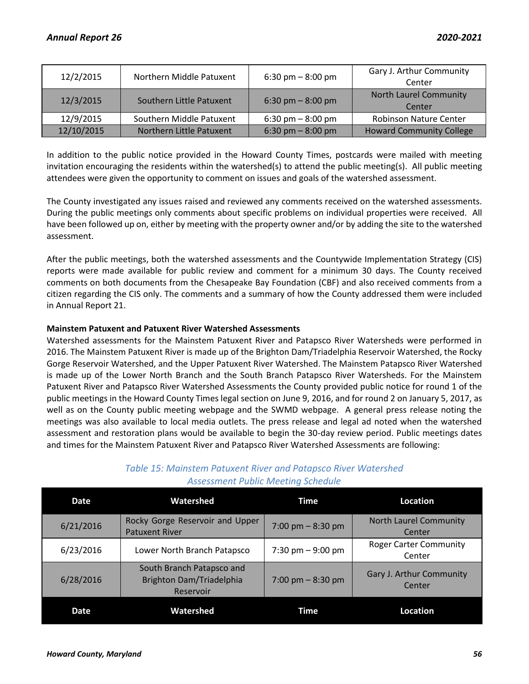| 12/2/2015  | Northern Middle Patuxent | 6:30 pm $-8:00$ pm | Gary J. Arthur Community<br>Center      |
|------------|--------------------------|--------------------|-----------------------------------------|
| 12/3/2015  | Southern Little Patuxent | 6:30 pm $-8:00$ pm | <b>North Laurel Community</b><br>Center |
| 12/9/2015  | Southern Middle Patuxent | 6:30 pm $-8:00$ pm | <b>Robinson Nature Center</b>           |
| 12/10/2015 | Northern Little Patuxent | 6:30 pm $-8:00$ pm | <b>Howard Community College</b>         |

In addition to the public notice provided in the Howard County Times, postcards were mailed with meeting invitation encouraging the residents within the watershed(s) to attend the public meeting(s). All public meeting attendees were given the opportunity to comment on issues and goals of the watershed assessment.

The County investigated any issues raised and reviewed any comments received on the watershed assessments. During the public meetings only comments about specific problems on individual properties were received. All have been followed up on, either by meeting with the property owner and/or by adding the site to the watershed assessment.

After the public meetings, both the watershed assessments and the Countywide Implementation Strategy (CIS) reports were made available for public review and comment for a minimum 30 days. The County received comments on both documents from the Chesapeake Bay Foundation (CBF) and also received comments from a citizen regarding the CIS only. The comments and a summary of how the County addressed them were included in Annual Report 21.

## **Mainstem Patuxent and Patuxent River Watershed Assessments**

Watershed assessments for the Mainstem Patuxent River and Patapsco River Watersheds were performed in 2016. The Mainstem Patuxent River is made up of the Brighton Dam/Triadelphia Reservoir Watershed, the Rocky Gorge Reservoir Watershed, and the Upper Patuxent River Watershed. The Mainstem Patapsco River Watershed is made up of the Lower North Branch and the South Branch Patapsco River Watersheds. For the Mainstem Patuxent River and Patapsco River Watershed Assessments the County provided public notice for round 1 of the public meetings in the Howard County Times legal section on June 9, 2016, and for round 2 on January 5, 2017, as well as on the County public meeting webpage and the SWMD webpage. A general press release noting the meetings was also available to local media outlets. The press release and legal ad noted when the watershed assessment and restoration plans would be available to begin the 30-day review period. Public meetings dates and times for the Mainstem Patuxent River and Patapsco River Watershed Assessments are following:

| Date      | Watershed                                                                 | Time               | Location                                |
|-----------|---------------------------------------------------------------------------|--------------------|-----------------------------------------|
| 6/21/2016 | Rocky Gorge Reservoir and Upper<br><b>Patuxent River</b>                  | 7:00 pm $-8:30$ pm | <b>North Laurel Community</b><br>Center |
| 6/23/2016 | Lower North Branch Patapsco                                               | 7:30 pm $-9:00$ pm | <b>Roger Carter Community</b><br>Center |
| 6/28/2016 | South Branch Patapsco and<br><b>Brighton Dam/Triadelphia</b><br>Reservoir | 7:00 pm $-8:30$ pm | Gary J. Arthur Community<br>Center      |
| Date      | Watershed                                                                 | Time               | Location                                |

# *Table 15: Mainstem Patuxent River and Patapsco River Watershed Assessment Public Meeting Schedule*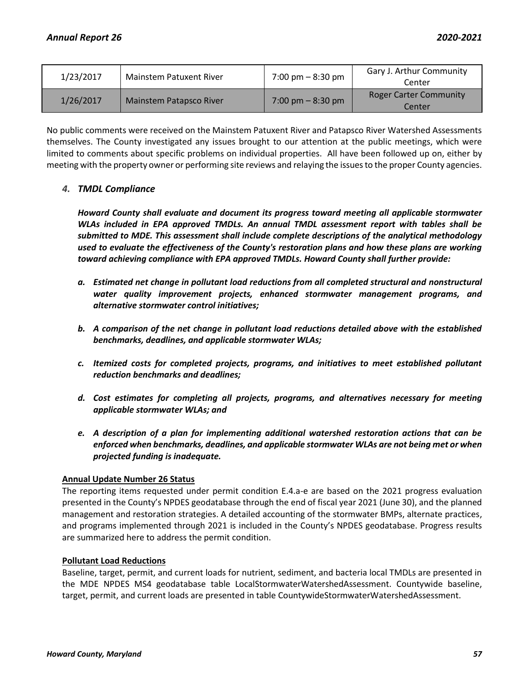| 1/23/2017 | <b>Mainstem Patuxent River</b> | $7:00 \text{ pm} - 8:30 \text{ pm}$ | Gary J. Arthur Community<br>Center      |
|-----------|--------------------------------|-------------------------------------|-----------------------------------------|
| 1/26/2017 | Mainstem Patapsco River        | $7:00 \text{ pm} - 8:30 \text{ pm}$ | <b>Roger Carter Community</b><br>Center |

No public comments were received on the Mainstem Patuxent River and Patapsco River Watershed Assessments themselves. The County investigated any issues brought to our attention at the public meetings, which were limited to comments about specific problems on individual properties. All have been followed up on, either by meeting with the property owner or performing site reviews and relaying the issues to the proper County agencies.

## *4. TMDL Compliance*

*Howard County shall evaluate and document its progress toward meeting all applicable stormwater WLAs included in EPA approved TMDLs. An annual TMDL assessment report with tables shall be submitted to MDE. This assessment shall include complete descriptions of the analytical methodology used to evaluate the effectiveness of the County's restoration plans and how these plans are working toward achieving compliance with EPA approved TMDLs. Howard County shall further provide:* 

- *a. Estimated net change in pollutant load reductions from all completed structural and nonstructural water quality improvement projects, enhanced stormwater management programs, and alternative stormwater control initiatives;*
- *b. A comparison of the net change in pollutant load reductions detailed above with the established benchmarks, deadlines, and applicable stormwater WLAs;*
- *c. Itemized costs for completed projects, programs, and initiatives to meet established pollutant reduction benchmarks and deadlines;*
- *d. Cost estimates for completing all projects, programs, and alternatives necessary for meeting applicable stormwater WLAs; and*
- *e. A description of a plan for implementing additional watershed restoration actions that can be enforced when benchmarks, deadlines, and applicable stormwater WLAs are not being met or when projected funding is inadequate.*

### **Annual Update Number 26 Status**

The reporting items requested under permit condition E.4.a-e are based on the 2021 progress evaluation presented in the County's NPDES geodatabase through the end of fiscal year 2021 (June 30), and the planned management and restoration strategies. A detailed accounting of the stormwater BMPs, alternate practices, and programs implemented through 2021 is included in the County's NPDES geodatabase. Progress results are summarized here to address the permit condition.

### **Pollutant Load Reductions**

Baseline, target, permit, and current loads for nutrient, sediment, and bacteria local TMDLs are presented in the MDE NPDES MS4 geodatabase table LocalStormwaterWatershedAssessment. Countywide baseline, target, permit, and current loads are presented in table CountywideStormwaterWatershedAssessment.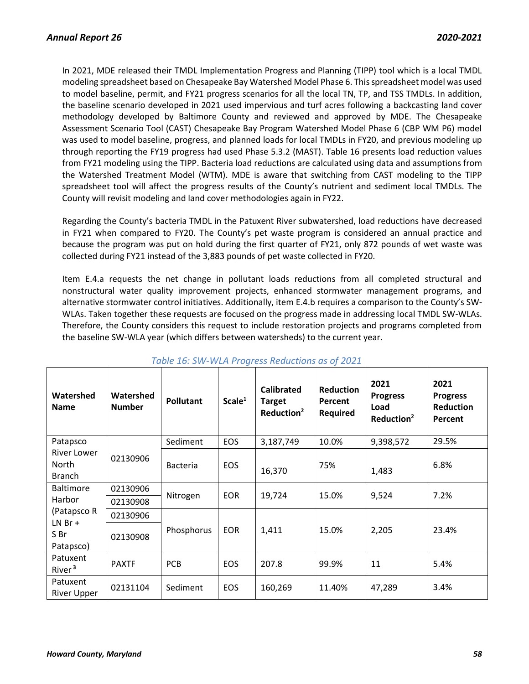In 2021, MDE released their TMDL Implementation Progress and Planning (TIPP) tool which is a local TMDL modeling spreadsheet based on Chesapeake Bay Watershed Model Phase 6. This spreadsheet model was used to model baseline, permit, and FY21 progress scenarios for all the local TN, TP, and TSS TMDLs. In addition, the baseline scenario developed in 2021 used impervious and turf acres following a backcasting land cover methodology developed by Baltimore County and reviewed and approved by MDE. The Chesapeake Assessment Scenario Tool (CAST) Chesapeake Bay Program Watershed Model Phase 6 (CBP WM P6) model was used to model baseline, progress, and planned loads for local TMDLs in FY20, and previous modeling up through reporting the FY19 progress had used Phase 5.3.2 (MAST). Table 16 presents load reduction values from FY21 modeling using the TIPP. Bacteria load reductions are calculated using data and assumptions from the Watershed Treatment Model (WTM). MDE is aware that switching from CAST modeling to the TIPP spreadsheet tool will affect the progress results of the County's nutrient and sediment local TMDLs. The County will revisit modeling and land cover methodologies again in FY22.

Regarding the County's bacteria TMDL in the Patuxent River subwatershed, load reductions have decreased in FY21 when compared to FY20. The County's pet waste program is considered an annual practice and because the program was put on hold during the first quarter of FY21, only 872 pounds of wet waste was collected during FY21 instead of the 3,883 pounds of pet waste collected in FY20.

Item E.4.a requests the net change in pollutant loads reductions from all completed structural and nonstructural water quality improvement projects, enhanced stormwater management programs, and alternative stormwater control initiatives. Additionally, item E.4.b requires a comparison to the County's SW-WLAs. Taken together these requests are focused on the progress made in addressing local TMDL SW-WLAs. Therefore, the County considers this request to include restoration projects and programs completed from the baseline SW-WLA year (which differs between watersheds) to the current year.

| Watershed<br><b>Name</b>                          | Watershed<br><b>Number</b> | <b>Pollutant</b> | Scale <sup>1</sup> | <b>Calibrated</b><br><b>Target</b><br>Reduction <sup>2</sup> | <b>Reduction</b><br>Percent<br><b>Required</b> | 2021<br><b>Progress</b><br>Load<br>Reduction <sup>2</sup> | 2021<br><b>Progress</b><br><b>Reduction</b><br>Percent |
|---------------------------------------------------|----------------------------|------------------|--------------------|--------------------------------------------------------------|------------------------------------------------|-----------------------------------------------------------|--------------------------------------------------------|
| Patapsco                                          |                            | Sediment         | <b>EOS</b>         | 3,187,749                                                    | 10.0%                                          | 9,398,572                                                 | 29.5%                                                  |
| River Lower<br>02130906<br>North<br><b>Branch</b> |                            | <b>Bacteria</b>  | <b>EOS</b>         | 16,370                                                       | 75%                                            | 1,483                                                     | 6.8%                                                   |
| <b>Baltimore</b>                                  | 02130906                   |                  | <b>EOR</b>         | 19,724                                                       | 15.0%                                          | 9,524                                                     | 7.2%                                                   |
| Harbor                                            | 02130908                   | Nitrogen         |                    |                                                              |                                                |                                                           |                                                        |
| (Patapsco R                                       | 02130906                   |                  |                    |                                                              |                                                |                                                           |                                                        |
| $LNBr +$<br>S Br<br>Patapsco)                     | 02130908                   | Phosphorus       | <b>EOR</b>         | 1,411                                                        | 15.0%                                          | 2,205                                                     | 23.4%                                                  |
| Patuxent<br>River <sup>3</sup>                    | <b>PAXTF</b>               | <b>PCB</b>       | <b>EOS</b>         | 207.8                                                        | 99.9%                                          | 11                                                        | 5.4%                                                   |
| Patuxent<br><b>River Upper</b>                    | 02131104                   | Sediment         | <b>EOS</b>         | 160,269                                                      | 11.40%                                         | 47,289                                                    | 3.4%                                                   |

# *Table 16: SW-WLA Progress Reductions as of 2021*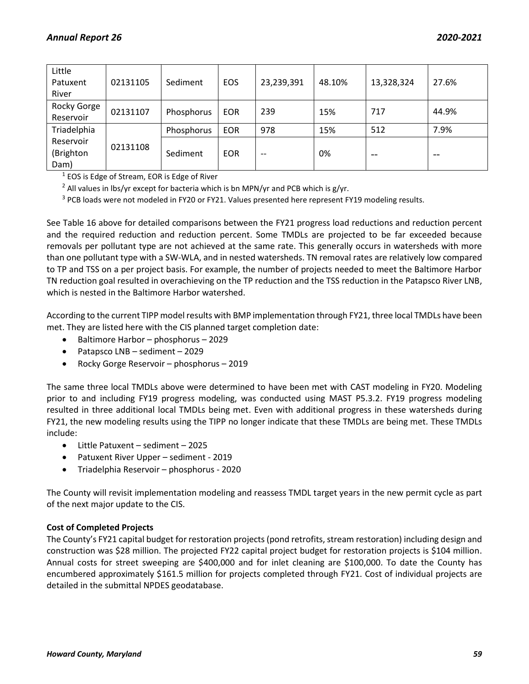| Little<br>Patuxent<br>River    | 02131105 | Sediment   | <b>EOS</b> | 23,239,391 | 48.10% | 13,328,324 | 27.6% |
|--------------------------------|----------|------------|------------|------------|--------|------------|-------|
| Rocky Gorge<br>Reservoir       | 02131107 | Phosphorus | <b>EOR</b> | 239        | 15%    | 717        | 44.9% |
| Triadelphia                    |          | Phosphorus | <b>EOR</b> | 978        | 15%    | 512        | 7.9%  |
| Reservoir<br>(Brighton<br>Dam) | 02131108 | Sediment   | <b>EOR</b> | $- -$      | 0%     | $- -$      | $- -$ |

<sup>1</sup> EOS is Edge of Stream, EOR is Edge of River

<sup>2</sup> All values in lbs/yr except for bacteria which is bn MPN/yr and PCB which is  $g/\gamma r$ .

<sup>3</sup> PCB loads were not modeled in FY20 or FY21. Values presented here represent FY19 modeling results.

See Table 16 above for detailed comparisons between the FY21 progress load reductions and reduction percent and the required reduction and reduction percent. Some TMDLs are projected to be far exceeded because removals per pollutant type are not achieved at the same rate. This generally occurs in watersheds with more than one pollutant type with a SW-WLA, and in nested watersheds. TN removal rates are relatively low compared to TP and TSS on a per project basis. For example, the number of projects needed to meet the Baltimore Harbor TN reduction goal resulted in overachieving on the TP reduction and the TSS reduction in the Patapsco River LNB, which is nested in the Baltimore Harbor watershed.

According to the current TIPP model results with BMP implementation through FY21, three local TMDLs have been met. They are listed here with the CIS planned target completion date:

- Baltimore Harbor phosphorus 2029
- Patapsco LNB sediment 2029
- Rocky Gorge Reservoir phosphorus 2019

The same three local TMDLs above were determined to have been met with CAST modeling in FY20. Modeling prior to and including FY19 progress modeling, was conducted using MAST P5.3.2. FY19 progress modeling resulted in three additional local TMDLs being met. Even with additional progress in these watersheds during FY21, the new modeling results using the TIPP no longer indicate that these TMDLs are being met. These TMDLs include:

- Little Patuxent sediment 2025
- Patuxent River Upper sediment 2019
- Triadelphia Reservoir phosphorus 2020

The County will revisit implementation modeling and reassess TMDL target years in the new permit cycle as part of the next major update to the CIS.

### **Cost of Completed Projects**

The County's FY21 capital budget for restoration projects (pond retrofits, stream restoration) including design and construction was \$28 million. The projected FY22 capital project budget for restoration projects is \$104 million. Annual costs for street sweeping are \$400,000 and for inlet cleaning are \$100,000. To date the County has encumbered approximately \$161.5 million for projects completed through FY21. Cost of individual projects are detailed in the submittal NPDES geodatabase.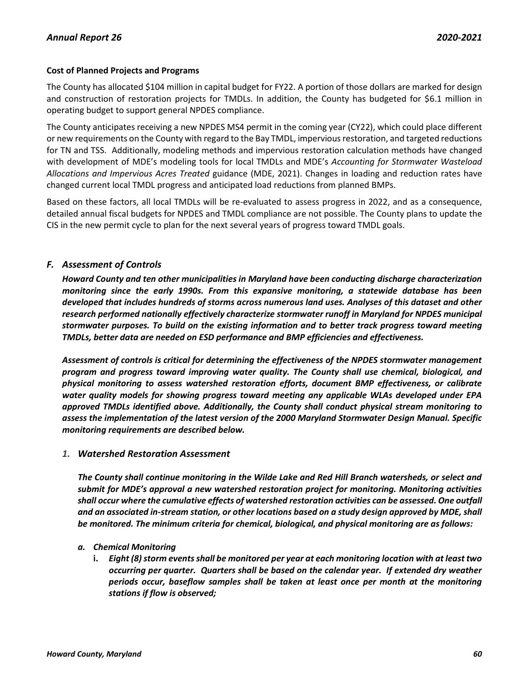### **Cost of Planned Projects and Programs**

The County has allocated \$104 million in capital budget for FY22. A portion of those dollars are marked for design and construction of restoration projects for TMDLs. In addition, the County has budgeted for \$6.1 million in operating budget to support general NPDES compliance.

The County anticipates receiving a new NPDES MS4 permit in the coming year (CY22), which could place different or new requirements on the County with regard to the Bay TMDL, impervious restoration, and targeted reductions for TN and TSS. Additionally, modeling methods and impervious restoration calculation methods have changed with development of MDE's modeling tools for local TMDLs and MDE's *Accounting for Stormwater Wasteload Allocations and Impervious Acres Treated* guidance (MDE, 2021). Changes in loading and reduction rates have changed current local TMDL progress and anticipated load reductions from planned BMPs.

Based on these factors, all local TMDLs will be re-evaluated to assess progress in 2022, and as a consequence, detailed annual fiscal budgets for NPDES and TMDL compliance are not possible. The County plans to update the CIS in the new permit cycle to plan for the next several years of progress toward TMDL goals.

# *F. Assessment of Controls*

*Howard County and ten other municipalities in Maryland have been conducting discharge characterization monitoring since the early 1990s. From this expansive monitoring, a statewide database has been developed that includes hundreds of storms across numerous land uses. Analyses of this dataset and other research performed nationally effectively characterize stormwater runoff in Maryland for NPDES municipal stormwater purposes. To build on the existing information and to better track progress toward meeting TMDLs, better data are needed on ESD performance and BMP efficiencies and effectiveness.*

*Assessment of controls is critical for determining the effectiveness of the NPDES stormwater management program and progress toward improving water quality. The County shall use chemical, biological, and physical monitoring to assess watershed restoration efforts, document BMP effectiveness, or calibrate water quality models for showing progress toward meeting any applicable WLAs developed under EPA approved TMDLs identified above. Additionally, the County shall conduct physical stream monitoring to assess the implementation of the latest version of the 2000 Maryland Stormwater Design Manual. Specific monitoring requirements are described below.*

# *1. Watershed Restoration Assessment*

*The County shall continue monitoring in the Wilde Lake and Red Hill Branch watersheds, or select and submit for MDE's approval a new watershed restoration project for monitoring. Monitoring activities shall occur where the cumulative effects of watershed restoration activities can be assessed. One outfall and an associated in-stream station, or other locations based on a study design approved by MDE, shall be monitored. The minimum criteria for chemical, biological, and physical monitoring are as follows:*

### *a. Chemical Monitoring*

**i.** *Eight (8) storm events shall be monitored per year at each monitoring location with at least two occurring per quarter. Quarters shall be based on the calendar year. If extended dry weather periods occur, baseflow samples shall be taken at least once per month at the monitoring stations if flow is observed;*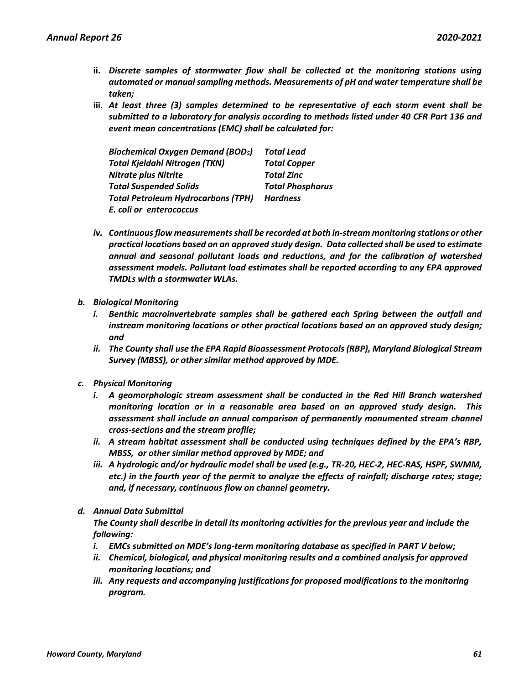- **ii.** *Discrete samples of stormwater flow shall be collected at the monitoring stations using automated or manual sampling methods. Measurements of pH and water temperature shall be taken;*
- **iii.** *At least three (3) samples determined to be representative of each storm event shall be submitted to a laboratory for analysis according to methods listed under 40 CFR Part 136 and event mean concentrations (EMC) shall be calculated for:*

| <b>Biochemical Oxygen Demand (BOD<sub>5</sub>)</b> | <b>Total Lead</b>       |
|----------------------------------------------------|-------------------------|
| <b>Total Kjeldahl Nitrogen (TKN)</b>               | <b>Total Copper</b>     |
| <b>Nitrate plus Nitrite</b>                        | <b>Total Zinc</b>       |
| <b>Total Suspended Solids</b>                      | <b>Total Phosphorus</b> |
| <b>Total Petroleum Hydrocarbons (TPH)</b>          | <b>Hardness</b>         |
| E. coli or enterococcus                            |                         |

- *iv. Continuous flow measurements shall be recorded at both in-stream monitoring stations or other practical locations based on an approved study design. Data collected shall be used to estimate annual and seasonal pollutant loads and reductions, and for the calibration of watershed assessment models. Pollutant load estimates shall be reported according to any EPA approved TMDLs with a stormwater WLAs.*
- *b. Biological Monitoring*
	- *i. Benthic macroinvertebrate samples shall be gathered each Spring between the outfall and instream monitoring locations or other practical locations based on an approved study design; and*
	- *ii. The County shall use the EPA Rapid Bioassessment Protocols (RBP), Maryland Biological Stream Survey (MBSS), or other similar method approved by MDE.*
- *c. Physical Monitoring*
	- *i. A geomorphologic stream assessment shall be conducted in the Red Hill Branch watershed monitoring location or in a reasonable area based on an approved study design. This assessment shall include an annual comparison of permanently monumented stream channel cross-sections and the stream profile;*
	- *ii. A stream habitat assessment shall be conducted using techniques defined by the EPA's RBP, MBSS, or other similar method approved by MDE; and*
	- *iii. A hydrologic and/or hydraulic model shall be used (e.g., TR-20, HEC-2, HEC-RAS, HSPF, SWMM, etc.) in the fourth year of the permit to analyze the effects of rainfall; discharge rates; stage; and, if necessary, continuous flow on channel geometry.*
- *d. Annual Data Submittal*

*The County shall describe in detail its monitoring activities for the previous year and include the following:*

- *i. EMCs submitted on MDE's long-term monitoring database as specified in PART V below;*
- *ii. Chemical, biological, and physical monitoring results and a combined analysis for approved monitoring locations; and*
- *iii. Any requests and accompanying justifications for proposed modifications to the monitoring program.*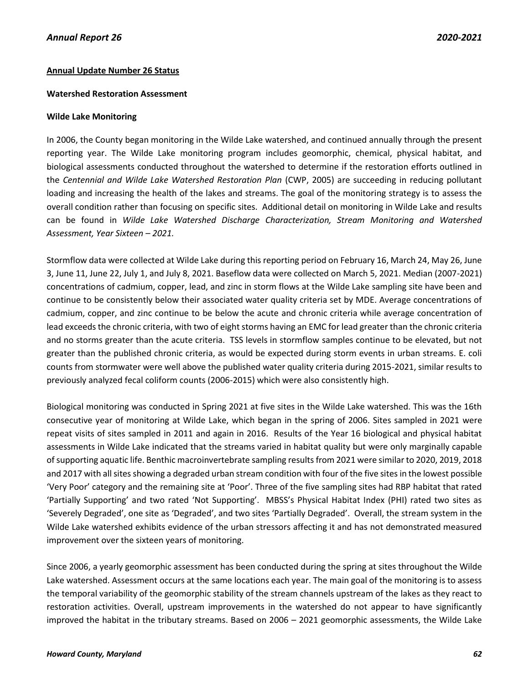### **Annual Update Number 26 Status**

### **Watershed Restoration Assessment**

### **Wilde Lake Monitoring**

In 2006, the County began monitoring in the Wilde Lake watershed, and continued annually through the present reporting year. The Wilde Lake monitoring program includes geomorphic, chemical, physical habitat, and biological assessments conducted throughout the watershed to determine if the restoration efforts outlined in the *Centennial and Wilde Lake Watershed Restoration Plan* (CWP, 2005) are succeeding in reducing pollutant loading and increasing the health of the lakes and streams. The goal of the monitoring strategy is to assess the overall condition rather than focusing on specific sites. Additional detail on monitoring in Wilde Lake and results can be found in *Wilde Lake Watershed Discharge Characterization, Stream Monitoring and Watershed Assessment, Year Sixteen – 2021.*

Stormflow data were collected at Wilde Lake during this reporting period on February 16, March 24, May 26, June 3, June 11, June 22, July 1, and July 8, 2021. Baseflow data were collected on March 5, 2021. Median (2007-2021) concentrations of cadmium, copper, lead, and zinc in storm flows at the Wilde Lake sampling site have been and continue to be consistently below their associated water quality criteria set by MDE. Average concentrations of cadmium, copper, and zinc continue to be below the acute and chronic criteria while average concentration of lead exceeds the chronic criteria, with two of eight storms having an EMC for lead greater than the chronic criteria and no storms greater than the acute criteria. TSS levels in stormflow samples continue to be elevated, but not greater than the published chronic criteria, as would be expected during storm events in urban streams. E. coli counts from stormwater were well above the published water quality criteria during 2015-2021, similar results to previously analyzed fecal coliform counts (2006-2015) which were also consistently high.

Biological monitoring was conducted in Spring 2021 at five sites in the Wilde Lake watershed. This was the 16th consecutive year of monitoring at Wilde Lake, which began in the spring of 2006. Sites sampled in 2021 were repeat visits of sites sampled in 2011 and again in 2016. Results of the Year 16 biological and physical habitat assessments in Wilde Lake indicated that the streams varied in habitat quality but were only marginally capable of supporting aquatic life. Benthic macroinvertebrate sampling results from 2021 were similar to 2020, 2019, 2018 and 2017 with all sites showing a degraded urban stream condition with four of the five sites in the lowest possible 'Very Poor' category and the remaining site at 'Poor'. Three of the five sampling sites had RBP habitat that rated 'Partially Supporting' and two rated 'Not Supporting'. MBSS's Physical Habitat Index (PHI) rated two sites as 'Severely Degraded', one site as 'Degraded', and two sites 'Partially Degraded'. Overall, the stream system in the Wilde Lake watershed exhibits evidence of the urban stressors affecting it and has not demonstrated measured improvement over the sixteen years of monitoring.

Since 2006, a yearly geomorphic assessment has been conducted during the spring at sites throughout the Wilde Lake watershed. Assessment occurs at the same locations each year. The main goal of the monitoring is to assess the temporal variability of the geomorphic stability of the stream channels upstream of the lakes as they react to restoration activities. Overall, upstream improvements in the watershed do not appear to have significantly improved the habitat in the tributary streams. Based on 2006 – 2021 geomorphic assessments, the Wilde Lake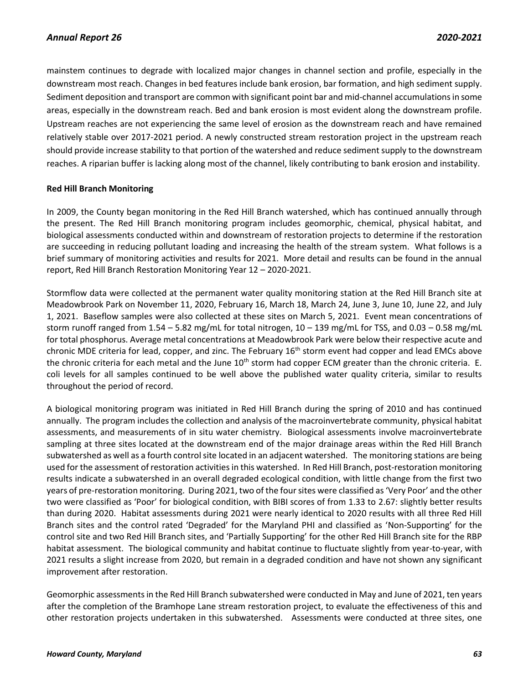mainstem continues to degrade with localized major changes in channel section and profile, especially in the downstream most reach. Changes in bed features include bank erosion, bar formation, and high sediment supply. Sediment deposition and transport are common with significant point bar and mid-channel accumulations in some areas, especially in the downstream reach. Bed and bank erosion is most evident along the downstream profile. Upstream reaches are not experiencing the same level of erosion as the downstream reach and have remained relatively stable over 2017-2021 period. A newly constructed stream restoration project in the upstream reach should provide increase stability to that portion of the watershed and reduce sediment supply to the downstream reaches. A riparian buffer is lacking along most of the channel, likely contributing to bank erosion and instability.

### **Red Hill Branch Monitoring**

In 2009, the County began monitoring in the Red Hill Branch watershed, which has continued annually through the present. The Red Hill Branch monitoring program includes geomorphic, chemical, physical habitat, and biological assessments conducted within and downstream of restoration projects to determine if the restoration are succeeding in reducing pollutant loading and increasing the health of the stream system. What follows is a brief summary of monitoring activities and results for 2021. More detail and results can be found in the annual report, Red Hill Branch Restoration Monitoring Year 12 – 2020-2021.

Stormflow data were collected at the permanent water quality monitoring station at the Red Hill Branch site at Meadowbrook Park on November 11, 2020, February 16, March 18, March 24, June 3, June 10, June 22, and July 1, 2021. Baseflow samples were also collected at these sites on March 5, 2021. Event mean concentrations of storm runoff ranged from 1.54 – 5.82 mg/mL for total nitrogen, 10 – 139 mg/mL for TSS, and 0.03 – 0.58 mg/mL for total phosphorus. Average metal concentrations at Meadowbrook Park were below their respective acute and chronic MDE criteria for lead, copper, and zinc. The February 16<sup>th</sup> storm event had copper and lead EMCs above the chronic criteria for each metal and the June 10<sup>th</sup> storm had copper ECM greater than the chronic criteria. E. coli levels for all samples continued to be well above the published water quality criteria, similar to results throughout the period of record.

A biological monitoring program was initiated in Red Hill Branch during the spring of 2010 and has continued annually. The program includes the collection and analysis of the macroinvertebrate community, physical habitat assessments, and measurements of in situ water chemistry. Biological assessments involve macroinvertebrate sampling at three sites located at the downstream end of the major drainage areas within the Red Hill Branch subwatershed as well as a fourth control site located in an adjacent watershed. The monitoring stations are being used for the assessment of restoration activities in this watershed. In Red Hill Branch, post-restoration monitoring results indicate a subwatershed in an overall degraded ecological condition, with little change from the first two years of pre-restoration monitoring. During 2021, two of the four sites were classified as 'Very Poor' and the other two were classified as 'Poor' for biological condition, with BIBI scores of from 1.33 to 2.67: slightly better results than during 2020. Habitat assessments during 2021 were nearly identical to 2020 results with all three Red Hill Branch sites and the control rated 'Degraded' for the Maryland PHI and classified as 'Non-Supporting' for the control site and two Red Hill Branch sites, and 'Partially Supporting' for the other Red Hill Branch site for the RBP habitat assessment. The biological community and habitat continue to fluctuate slightly from year-to-year, with 2021 results a slight increase from 2020, but remain in a degraded condition and have not shown any significant improvement after restoration.

Geomorphic assessments in the Red Hill Branch subwatershed were conducted in May and June of 2021, ten years after the completion of the Bramhope Lane stream restoration project, to evaluate the effectiveness of this and other restoration projects undertaken in this subwatershed. Assessments were conducted at three sites, one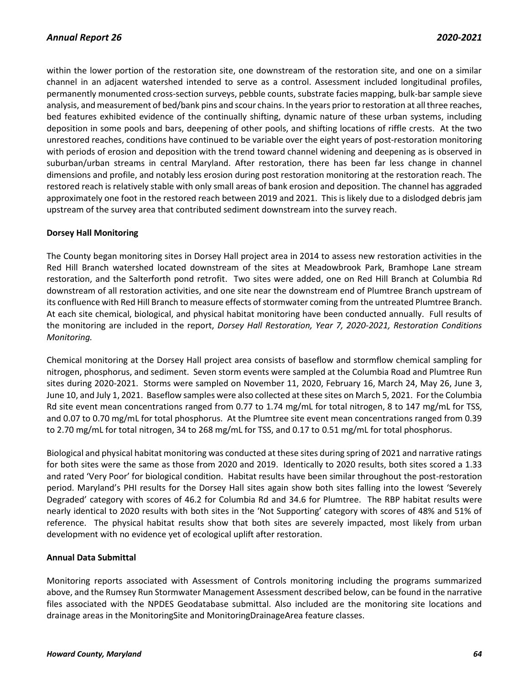within the lower portion of the restoration site, one downstream of the restoration site, and one on a similar channel in an adjacent watershed intended to serve as a control. Assessment included longitudinal profiles, permanently monumented cross-section surveys, pebble counts, substrate facies mapping, bulk-bar sample sieve analysis, and measurement of bed/bank pins and scour chains. In the years prior to restoration at all three reaches, bed features exhibited evidence of the continually shifting, dynamic nature of these urban systems, including deposition in some pools and bars, deepening of other pools, and shifting locations of riffle crests. At the two unrestored reaches, conditions have continued to be variable over the eight years of post-restoration monitoring with periods of erosion and deposition with the trend toward channel widening and deepening as is observed in suburban/urban streams in central Maryland. After restoration, there has been far less change in channel dimensions and profile, and notably less erosion during post restoration monitoring at the restoration reach. The restored reach is relatively stable with only small areas of bank erosion and deposition. The channel has aggraded approximately one foot in the restored reach between 2019 and 2021. This is likely due to a dislodged debris jam upstream of the survey area that contributed sediment downstream into the survey reach.

## **Dorsey Hall Monitoring**

The County began monitoring sites in Dorsey Hall project area in 2014 to assess new restoration activities in the Red Hill Branch watershed located downstream of the sites at Meadowbrook Park, Bramhope Lane stream restoration, and the Salterforth pond retrofit. Two sites were added, one on Red Hill Branch at Columbia Rd downstream of all restoration activities, and one site near the downstream end of Plumtree Branch upstream of its confluence with Red Hill Branch to measure effects of stormwater coming from the untreated Plumtree Branch. At each site chemical, biological, and physical habitat monitoring have been conducted annually. Full results of the monitoring are included in the report, *Dorsey Hall Restoration, Year 7, 2020-2021, Restoration Conditions Monitoring.*

Chemical monitoring at the Dorsey Hall project area consists of baseflow and stormflow chemical sampling for nitrogen, phosphorus, and sediment. Seven storm events were sampled at the Columbia Road and Plumtree Run sites during 2020-2021. Storms were sampled on November 11, 2020, February 16, March 24, May 26, June 3, June 10, and July 1, 2021. Baseflow samples were also collected at these sites on March 5, 2021. For the Columbia Rd site event mean concentrations ranged from 0.77 to 1.74 mg/mL for total nitrogen, 8 to 147 mg/mL for TSS, and 0.07 to 0.70 mg/mL for total phosphorus. At the Plumtree site event mean concentrations ranged from 0.39 to 2.70 mg/mL for total nitrogen, 34 to 268 mg/mL for TSS, and 0.17 to 0.51 mg/mL for total phosphorus.

Biological and physical habitat monitoring was conducted at these sites during spring of 2021 and narrative ratings for both sites were the same as those from 2020 and 2019. Identically to 2020 results, both sites scored a 1.33 and rated 'Very Poor' for biological condition. Habitat results have been similar throughout the post-restoration period. Maryland's PHI results for the Dorsey Hall sites again show both sites falling into the lowest 'Severely Degraded' category with scores of 46.2 for Columbia Rd and 34.6 for Plumtree. The RBP habitat results were nearly identical to 2020 results with both sites in the 'Not Supporting' category with scores of 48% and 51% of reference. The physical habitat results show that both sites are severely impacted, most likely from urban development with no evidence yet of ecological uplift after restoration.

### **Annual Data Submittal**

Monitoring reports associated with Assessment of Controls monitoring including the programs summarized above, and the Rumsey Run Stormwater Management Assessment described below, can be found in the narrative files associated with the NPDES Geodatabase submittal. Also included are the monitoring site locations and drainage areas in the MonitoringSite and MonitoringDrainageArea feature classes.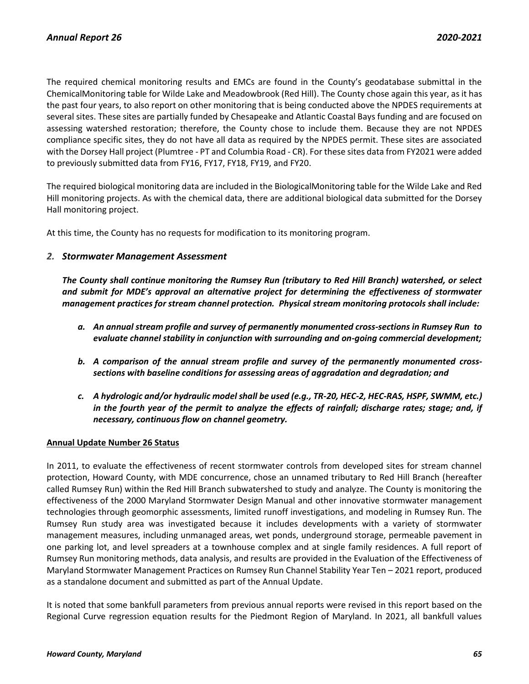The required chemical monitoring results and EMCs are found in the County's geodatabase submittal in the ChemicalMonitoring table for Wilde Lake and Meadowbrook (Red Hill). The County chose again this year, as it has the past four years, to also report on other monitoring that is being conducted above the NPDES requirements at several sites. These sites are partially funded by Chesapeake and Atlantic Coastal Bays funding and are focused on assessing watershed restoration; therefore, the County chose to include them. Because they are not NPDES compliance specific sites, they do not have all data as required by the NPDES permit. These sites are associated with the Dorsey Hall project (Plumtree - PT and Columbia Road - CR). For these sites data from FY2021 were added to previously submitted data from FY16, FY17, FY18, FY19, and FY20.

The required biological monitoring data are included in the BiologicalMonitoring table for the Wilde Lake and Red Hill monitoring projects. As with the chemical data, there are additional biological data submitted for the Dorsey Hall monitoring project.

At this time, the County has no requests for modification to its monitoring program.

## *2. Stormwater Management Assessment*

*The County shall continue monitoring the Rumsey Run (tributary to Red Hill Branch) watershed, or select and submit for MDE's approval an alternative project for determining the effectiveness of stormwater management practices for stream channel protection. Physical stream monitoring protocols shall include:*

- *a. An annual stream profile and survey of permanently monumented cross-sections in Rumsey Run to evaluate channel stability in conjunction with surrounding and on-going commercial development;*
- *b. A comparison of the annual stream profile and survey of the permanently monumented crosssections with baseline conditions for assessing areas of aggradation and degradation; and*
- *c. A hydrologic and/or hydraulic model shall be used (e.g., TR-20, HEC-2, HEC-RAS, HSPF, SWMM, etc.) in the fourth year of the permit to analyze the effects of rainfall; discharge rates; stage; and, if necessary, continuous flow on channel geometry.*

### **Annual Update Number 26 Status**

In 2011, to evaluate the effectiveness of recent stormwater controls from developed sites for stream channel protection, Howard County, with MDE concurrence, chose an unnamed tributary to Red Hill Branch (hereafter called Rumsey Run) within the Red Hill Branch subwatershed to study and analyze. The County is monitoring the effectiveness of the 2000 Maryland Stormwater Design Manual and other innovative stormwater management technologies through geomorphic assessments, limited runoff investigations, and modeling in Rumsey Run. The Rumsey Run study area was investigated because it includes developments with a variety of stormwater management measures, including unmanaged areas, wet ponds, underground storage, permeable pavement in one parking lot, and level spreaders at a townhouse complex and at single family residences. A full report of Rumsey Run monitoring methods, data analysis, and results are provided in the Evaluation of the Effectiveness of Maryland Stormwater Management Practices on Rumsey Run Channel Stability Year Ten – 2021 report, produced as a standalone document and submitted as part of the Annual Update.

It is noted that some bankfull parameters from previous annual reports were revised in this report based on the Regional Curve regression equation results for the Piedmont Region of Maryland. In 2021, all bankfull values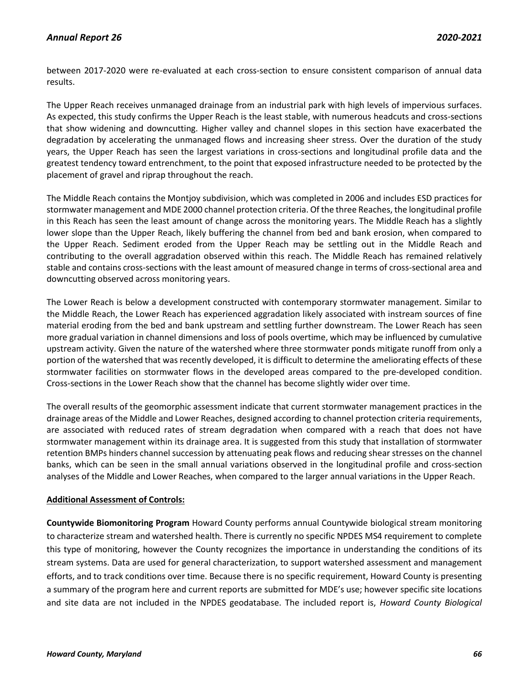# *Annual Report 26 2020-2021*

between 2017-2020 were re-evaluated at each cross-section to ensure consistent comparison of annual data results.

The Upper Reach receives unmanaged drainage from an industrial park with high levels of impervious surfaces. As expected, this study confirms the Upper Reach is the least stable, with numerous headcuts and cross-sections that show widening and downcutting. Higher valley and channel slopes in this section have exacerbated the degradation by accelerating the unmanaged flows and increasing sheer stress. Over the duration of the study years, the Upper Reach has seen the largest variations in cross-sections and longitudinal profile data and the greatest tendency toward entrenchment, to the point that exposed infrastructure needed to be protected by the placement of gravel and riprap throughout the reach.

The Middle Reach contains the Montjoy subdivision, which was completed in 2006 and includes ESD practices for stormwater management and MDE 2000 channel protection criteria. Of the three Reaches, the longitudinal profile in this Reach has seen the least amount of change across the monitoring years. The Middle Reach has a slightly lower slope than the Upper Reach, likely buffering the channel from bed and bank erosion, when compared to the Upper Reach. Sediment eroded from the Upper Reach may be settling out in the Middle Reach and contributing to the overall aggradation observed within this reach. The Middle Reach has remained relatively stable and contains cross-sections with the least amount of measured change in terms of cross-sectional area and downcutting observed across monitoring years.

The Lower Reach is below a development constructed with contemporary stormwater management. Similar to the Middle Reach, the Lower Reach has experienced aggradation likely associated with instream sources of fine material eroding from the bed and bank upstream and settling further downstream. The Lower Reach has seen more gradual variation in channel dimensions and loss of pools overtime, which may be influenced by cumulative upstream activity. Given the nature of the watershed where three stormwater ponds mitigate runoff from only a portion of the watershed that was recently developed, it is difficult to determine the ameliorating effects of these stormwater facilities on stormwater flows in the developed areas compared to the pre-developed condition. Cross-sections in the Lower Reach show that the channel has become slightly wider over time.

The overall results of the geomorphic assessment indicate that current stormwater management practices in the drainage areas of the Middle and Lower Reaches, designed according to channel protection criteria requirements, are associated with reduced rates of stream degradation when compared with a reach that does not have stormwater management within its drainage area. It is suggested from this study that installation of stormwater retention BMPs hinders channel succession by attenuating peak flows and reducing shear stresses on the channel banks, which can be seen in the small annual variations observed in the longitudinal profile and cross-section analyses of the Middle and Lower Reaches, when compared to the larger annual variations in the Upper Reach.

### **Additional Assessment of Controls:**

**Countywide Biomonitoring Program** Howard County performs annual Countywide biological stream monitoring to characterize stream and watershed health. There is currently no specific NPDES MS4 requirement to complete this type of monitoring, however the County recognizes the importance in understanding the conditions of its stream systems. Data are used for general characterization, to support watershed assessment and management efforts, and to track conditions over time. Because there is no specific requirement, Howard County is presenting a summary of the program here and current reports are submitted for MDE's use; however specific site locations and site data are not included in the NPDES geodatabase. The included report is, *Howard County Biological*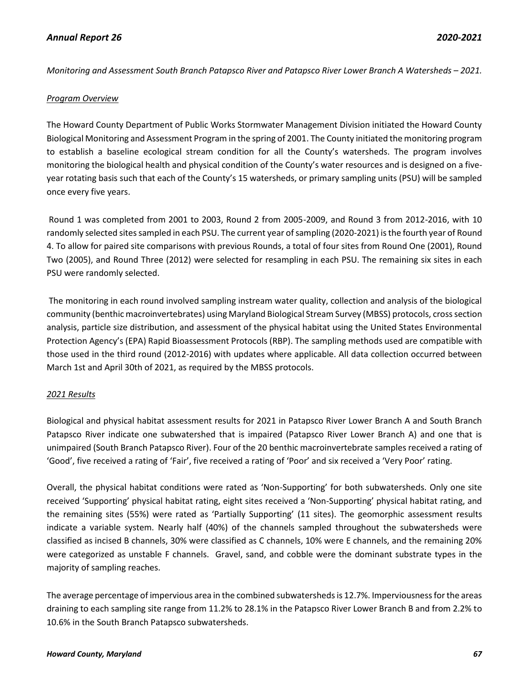# *Annual Report 26 2020-2021*

*Monitoring and Assessment South Branch Patapsco River and Patapsco River Lower Branch A Watersheds – 2021.* 

### *Program Overview*

The Howard County Department of Public Works Stormwater Management Division initiated the Howard County Biological Monitoring and Assessment Program in the spring of 2001. The County initiated the monitoring program to establish a baseline ecological stream condition for all the County's watersheds. The program involves monitoring the biological health and physical condition of the County's water resources and is designed on a fiveyear rotating basis such that each of the County's 15 watersheds, or primary sampling units (PSU) will be sampled once every five years.

Round 1 was completed from 2001 to 2003, Round 2 from 2005-2009, and Round 3 from 2012-2016, with 10 randomly selected sites sampled in each PSU. The current year of sampling (2020-2021) is the fourth year of Round 4. To allow for paired site comparisons with previous Rounds, a total of four sites from Round One (2001), Round Two (2005), and Round Three (2012) were selected for resampling in each PSU. The remaining six sites in each PSU were randomly selected.

The monitoring in each round involved sampling instream water quality, collection and analysis of the biological community (benthic macroinvertebrates) using Maryland Biological Stream Survey (MBSS) protocols, cross section analysis, particle size distribution, and assessment of the physical habitat using the United States Environmental Protection Agency's (EPA) Rapid Bioassessment Protocols (RBP). The sampling methods used are compatible with those used in the third round (2012-2016) with updates where applicable. All data collection occurred between March 1st and April 30th of 2021, as required by the MBSS protocols.

### *2021 Results*

Biological and physical habitat assessment results for 2021 in Patapsco River Lower Branch A and South Branch Patapsco River indicate one subwatershed that is impaired (Patapsco River Lower Branch A) and one that is unimpaired (South Branch Patapsco River). Four of the 20 benthic macroinvertebrate samples received a rating of 'Good', five received a rating of 'Fair', five received a rating of 'Poor' and six received a 'Very Poor' rating.

Overall, the physical habitat conditions were rated as 'Non-Supporting' for both subwatersheds. Only one site received 'Supporting' physical habitat rating, eight sites received a 'Non-Supporting' physical habitat rating, and the remaining sites (55%) were rated as 'Partially Supporting' (11 sites). The geomorphic assessment results indicate a variable system. Nearly half (40%) of the channels sampled throughout the subwatersheds were classified as incised B channels, 30% were classified as C channels, 10% were E channels, and the remaining 20% were categorized as unstable F channels. Gravel, sand, and cobble were the dominant substrate types in the majority of sampling reaches.

The average percentage of impervious area in the combined subwatersheds is 12.7%. Imperviousness for the areas draining to each sampling site range from 11.2% to 28.1% in the Patapsco River Lower Branch B and from 2.2% to 10.6% in the South Branch Patapsco subwatersheds.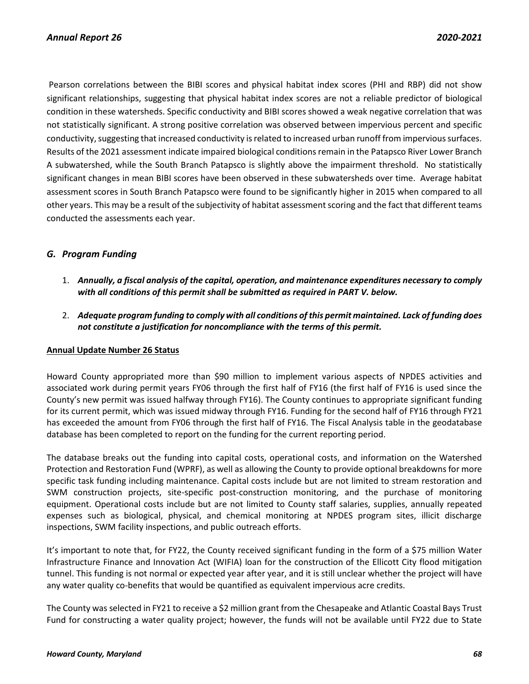Pearson correlations between the BIBI scores and physical habitat index scores (PHI and RBP) did not show significant relationships, suggesting that physical habitat index scores are not a reliable predictor of biological condition in these watersheds. Specific conductivity and BIBI scores showed a weak negative correlation that was not statistically significant. A strong positive correlation was observed between impervious percent and specific conductivity, suggesting that increased conductivity is related to increased urban runoff from impervious surfaces. Results of the 2021 assessment indicate impaired biological conditions remain in the Patapsco River Lower Branch A subwatershed, while the South Branch Patapsco is slightly above the impairment threshold. No statistically significant changes in mean BIBI scores have been observed in these subwatersheds over time. Average habitat assessment scores in South Branch Patapsco were found to be significantly higher in 2015 when compared to all other years. This may be a result of the subjectivity of habitat assessment scoring and the fact that different teams conducted the assessments each year.

# *G. Program Funding*

- 1. *Annually, a fiscal analysis of the capital, operation, and maintenance expenditures necessary to comply with all conditions of this permit shall be submitted as required in PART V. below.*
- 2. *Adequate program funding to comply with all conditions of this permit maintained. Lack of funding does not constitute a justification for noncompliance with the terms of this permit.*

### **Annual Update Number 26 Status**

Howard County appropriated more than \$90 million to implement various aspects of NPDES activities and associated work during permit years FY06 through the first half of FY16 (the first half of FY16 is used since the County's new permit was issued halfway through FY16). The County continues to appropriate significant funding for its current permit, which was issued midway through FY16. Funding for the second half of FY16 through FY21 has exceeded the amount from FY06 through the first half of FY16. The Fiscal Analysis table in the geodatabase database has been completed to report on the funding for the current reporting period.

The database breaks out the funding into capital costs, operational costs, and information on the Watershed Protection and Restoration Fund (WPRF), as well as allowing the County to provide optional breakdowns for more specific task funding including maintenance. Capital costs include but are not limited to stream restoration and SWM construction projects, site-specific post-construction monitoring, and the purchase of monitoring equipment. Operational costs include but are not limited to County staff salaries, supplies, annually repeated expenses such as biological, physical, and chemical monitoring at NPDES program sites, illicit discharge inspections, SWM facility inspections, and public outreach efforts.

It's important to note that, for FY22, the County received significant funding in the form of a \$75 million Water Infrastructure Finance and Innovation Act (WIFIA) loan for the construction of the Ellicott City flood mitigation tunnel. This funding is not normal or expected year after year, and it is still unclear whether the project will have any water quality co-benefits that would be quantified as equivalent impervious acre credits.

The County was selected in FY21 to receive a \$2 million grant from the Chesapeake and Atlantic Coastal Bays Trust Fund for constructing a water quality project; however, the funds will not be available until FY22 due to State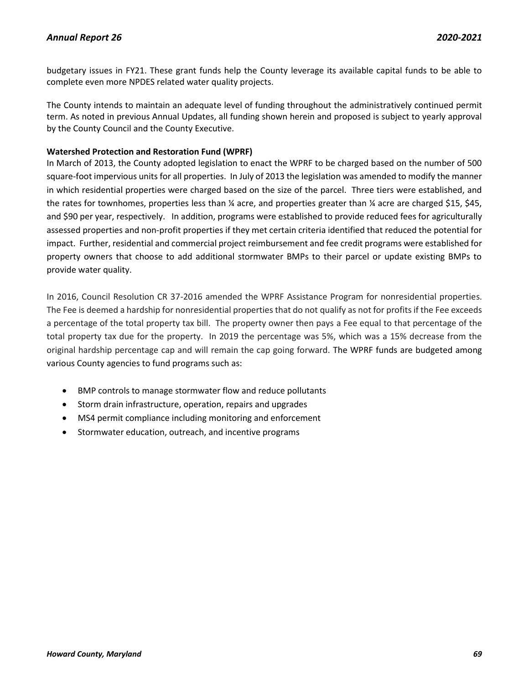budgetary issues in FY21. These grant funds help the County leverage its available capital funds to be able to complete even more NPDES related water quality projects.

The County intends to maintain an adequate level of funding throughout the administratively continued permit term. As noted in previous Annual Updates, all funding shown herein and proposed is subject to yearly approval by the County Council and the County Executive.

### **Watershed Protection and Restoration Fund (WPRF)**

In March of 2013, the County adopted legislation to enact the WPRF to be charged based on the number of 500 square-foot impervious units for all properties. In July of 2013 the legislation was amended to modify the manner in which residential properties were charged based on the size of the parcel. Three tiers were established, and the rates for townhomes, properties less than ¼ acre, and properties greater than ¼ acre are charged \$15, \$45, and \$90 per year, respectively. In addition, programs were established to provide reduced fees for agriculturally assessed properties and non-profit properties if they met certain criteria identified that reduced the potential for impact. Further, residential and commercial project reimbursement and fee credit programs were established for property owners that choose to add additional stormwater BMPs to their parcel or update existing BMPs to provide water quality.

In 2016, Council Resolution CR 37-2016 amended the WPRF Assistance Program for nonresidential properties. The Fee is deemed a hardship for nonresidential properties that do not qualify as not for profits if the Fee exceeds a percentage of the total property tax bill. The property owner then pays a Fee equal to that percentage of the total property tax due for the property. In 2019 the percentage was 5%, which was a 15% decrease from the original hardship percentage cap and will remain the cap going forward. The WPRF funds are budgeted among various County agencies to fund programs such as:

- BMP controls to manage stormwater flow and reduce pollutants
- Storm drain infrastructure, operation, repairs and upgrades
- MS4 permit compliance including monitoring and enforcement
- Stormwater education, outreach, and incentive programs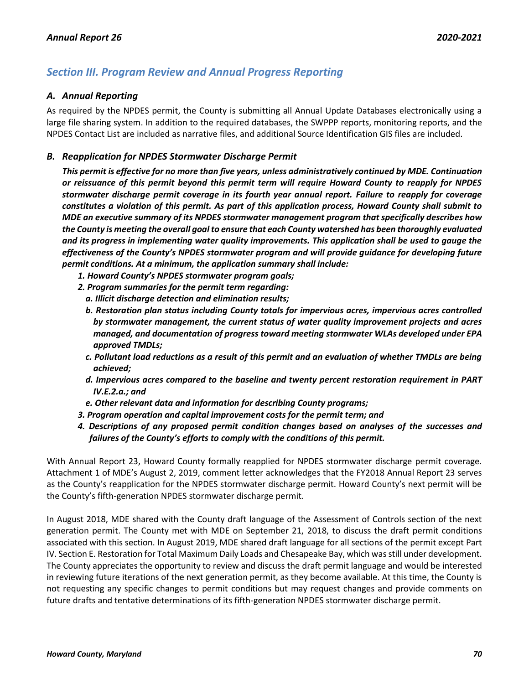# *Section III. Program Review and Annual Progress Reporting*

### *A. Annual Reporting*

As required by the NPDES permit, the County is submitting all Annual Update Databases electronically using a large file sharing system. In addition to the required databases, the SWPPP reports, monitoring reports, and the NPDES Contact List are included as narrative files, and additional Source Identification GIS files are included.

## *B. Reapplication for NPDES Stormwater Discharge Permit*

*This permit is effective for no more than five years, unless administratively continued by MDE. Continuation or reissuance of this permit beyond this permit term will require Howard County to reapply for NPDES stormwater discharge permit coverage in its fourth year annual report. Failure to reapply for coverage constitutes a violation of this permit. As part of this application process, Howard County shall submit to MDE an executive summary of its NPDES stormwater management program that specifically describes how the County is meeting the overall goal to ensure that each County watershed has been thoroughly evaluated and its progress in implementing water quality improvements. This application shall be used to gauge the effectiveness of the County's NPDES stormwater program and will provide guidance for developing future permit conditions. At a minimum, the application summary shall include:*

- *1. Howard County's NPDES stormwater program goals;*
- *2. Program summaries for the permit term regarding:*
	- *a. Illicit discharge detection and elimination results;*
	- *b. Restoration plan status including County totals for impervious acres, impervious acres controlled by stormwater management, the current status of water quality improvement projects and acres managed, and documentation of progress toward meeting stormwater WLAs developed under EPA approved TMDLs;*
	- *c. Pollutant load reductions as a result of this permit and an evaluation of whether TMDLs are being achieved;*
	- *d. Impervious acres compared to the baseline and twenty percent restoration requirement in PART IV.E.2.a.; and*
	- *e. Other relevant data and information for describing County programs;*
- *3. Program operation and capital improvement costs for the permit term; and*
- *4. Descriptions of any proposed permit condition changes based on analyses of the successes and failures of the County's efforts to comply with the conditions of this permit.*

With Annual Report 23, Howard County formally reapplied for NPDES stormwater discharge permit coverage. Attachment 1 of MDE's August 2, 2019, comment letter acknowledges that the FY2018 Annual Report 23 serves as the County's reapplication for the NPDES stormwater discharge permit. Howard County's next permit will be the County's fifth-generation NPDES stormwater discharge permit.

In August 2018, MDE shared with the County draft language of the Assessment of Controls section of the next generation permit. The County met with MDE on September 21, 2018, to discuss the draft permit conditions associated with this section. In August 2019, MDE shared draft language for all sections of the permit except Part IV. Section E. Restoration for Total Maximum Daily Loads and Chesapeake Bay, which was still under development. The County appreciates the opportunity to review and discuss the draft permit language and would be interested in reviewing future iterations of the next generation permit, as they become available. At this time, the County is not requesting any specific changes to permit conditions but may request changes and provide comments on future drafts and tentative determinations of its fifth-generation NPDES stormwater discharge permit.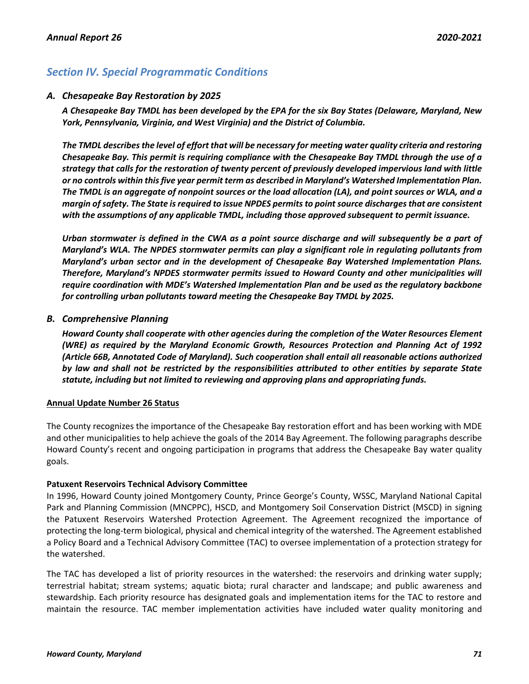# *Section IV. Special Programmatic Conditions*

## *A. Chesapeake Bay Restoration by 2025*

*A Chesapeake Bay TMDL has been developed by the EPA for the six Bay States (Delaware, Maryland, New York, Pennsylvania, Virginia, and West Virginia) and the District of Columbia.* 

*The TMDL describes the level of effort that will be necessary for meeting water quality criteria and restoring Chesapeake Bay. This permit is requiring compliance with the Chesapeake Bay TMDL through the use of a strategy that calls for the restoration of twenty percent of previously developed impervious land with little or no controls within this five year permit term as described in Maryland's Watershed Implementation Plan. The TMDL is an aggregate of nonpoint sources or the load allocation (LA), and point sources or WLA, and a margin of safety. The State is required to issue NPDES permits to point source discharges that are consistent with the assumptions of any applicable TMDL, including those approved subsequent to permit issuance.*

*Urban stormwater is defined in the CWA as a point source discharge and will subsequently be a part of Maryland's WLA. The NPDES stormwater permits can play a significant role in regulating pollutants from Maryland's urban sector and in the development of Chesapeake Bay Watershed Implementation Plans. Therefore, Maryland's NPDES stormwater permits issued to Howard County and other municipalities will require coordination with MDE's Watershed Implementation Plan and be used as the regulatory backbone for controlling urban pollutants toward meeting the Chesapeake Bay TMDL by 2025.*

## *B. Comprehensive Planning*

*Howard County shall cooperate with other agencies during the completion of the Water Resources Element (WRE) as required by the Maryland Economic Growth, Resources Protection and Planning Act of 1992 (Article 66B, Annotated Code of Maryland). Such cooperation shall entail all reasonable actions authorized by law and shall not be restricted by the responsibilities attributed to other entities by separate State statute, including but not limited to reviewing and approving plans and appropriating funds.*

### **Annual Update Number 26 Status**

The County recognizes the importance of the Chesapeake Bay restoration effort and has been working with MDE and other municipalities to help achieve the goals of the 2014 Bay Agreement. The following paragraphs describe Howard County's recent and ongoing participation in programs that address the Chesapeake Bay water quality goals.

### **Patuxent Reservoirs Technical Advisory Committee**

In 1996, Howard County joined Montgomery County, Prince George's County, WSSC, Maryland National Capital Park and Planning Commission (MNCPPC), HSCD, and Montgomery Soil Conservation District (MSCD) in signing the Patuxent Reservoirs Watershed Protection Agreement. The Agreement recognized the importance of protecting the long-term biological, physical and chemical integrity of the watershed. The Agreement established a Policy Board and a Technical Advisory Committee (TAC) to oversee implementation of a protection strategy for the watershed.

The TAC has developed a list of priority resources in the watershed: the reservoirs and drinking water supply; terrestrial habitat; stream systems; aquatic biota; rural character and landscape; and public awareness and stewardship. Each priority resource has designated goals and implementation items for the TAC to restore and maintain the resource. TAC member implementation activities have included water quality monitoring and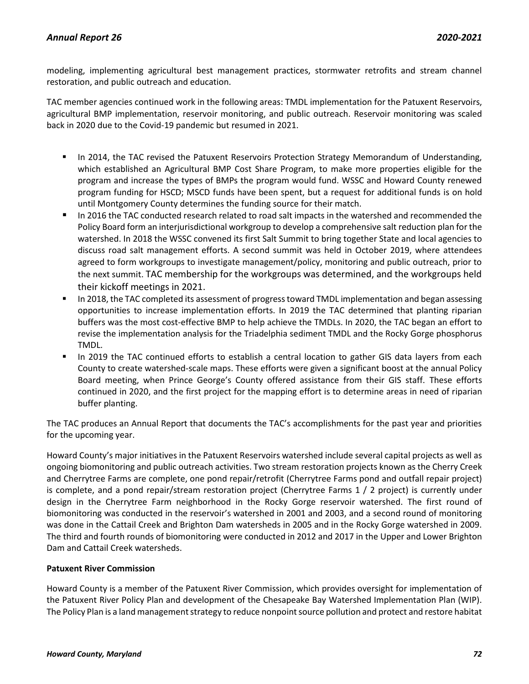modeling, implementing agricultural best management practices, stormwater retrofits and stream channel restoration, and public outreach and education.

TAC member agencies continued work in the following areas: TMDL implementation for the Patuxent Reservoirs, agricultural BMP implementation, reservoir monitoring, and public outreach. Reservoir monitoring was scaled back in 2020 due to the Covid-19 pandemic but resumed in 2021.

- In 2014, the TAC revised the Patuxent Reservoirs Protection Strategy Memorandum of Understanding, which established an Agricultural BMP Cost Share Program, to make more properties eligible for the program and increase the types of BMPs the program would fund. WSSC and Howard County renewed program funding for HSCD; MSCD funds have been spent, but a request for additional funds is on hold until Montgomery County determines the funding source for their match.
- In 2016 the TAC conducted research related to road salt impacts in the watershed and recommended the Policy Board form an interjurisdictional workgroup to develop a comprehensive salt reduction plan for the watershed. In 2018 the WSSC convened its first Salt Summit to bring together State and local agencies to discuss road salt management efforts. A second summit was held in October 2019, where attendees agreed to form workgroups to investigate management/policy, monitoring and public outreach, prior to the next summit. TAC membership for the workgroups was determined, and the workgroups held their kickoff meetings in 2021.
- **■** In 2018, the TAC completed its assessment of progress toward TMDL implementation and began assessing opportunities to increase implementation efforts. In 2019 the TAC determined that planting riparian buffers was the most cost-effective BMP to help achieve the TMDLs. In 2020, the TAC began an effort to revise the implementation analysis for the Triadelphia sediment TMDL and the Rocky Gorge phosphorus TMDL.
- In 2019 the TAC continued efforts to establish a central location to gather GIS data layers from each County to create watershed-scale maps. These efforts were given a significant boost at the annual Policy Board meeting, when Prince George's County offered assistance from their GIS staff. These efforts continued in 2020, and the first project for the mapping effort is to determine areas in need of riparian buffer planting.

The TAC produces an Annual Report that documents the TAC's accomplishments for the past year and priorities for the upcoming year.

Howard County's major initiatives in the Patuxent Reservoirs watershed include several capital projects as well as ongoing biomonitoring and public outreach activities. Two stream restoration projects known as the Cherry Creek and Cherrytree Farms are complete, one pond repair/retrofit (Cherrytree Farms pond and outfall repair project) is complete, and a pond repair/stream restoration project (Cherrytree Farms 1 / 2 project) is currently under design in the Cherrytree Farm neighborhood in the Rocky Gorge reservoir watershed. The first round of biomonitoring was conducted in the reservoir's watershed in 2001 and 2003, and a second round of monitoring was done in the Cattail Creek and Brighton Dam watersheds in 2005 and in the Rocky Gorge watershed in 2009. The third and fourth rounds of biomonitoring were conducted in 2012 and 2017 in the Upper and Lower Brighton Dam and Cattail Creek watersheds.

## **Patuxent River Commission**

Howard County is a member of the Patuxent River Commission, which provides oversight for implementation of the Patuxent River Policy Plan and development of the Chesapeake Bay Watershed Implementation Plan (WIP). The Policy Plan is a land management strategy to reduce nonpoint source pollution and protect and restore habitat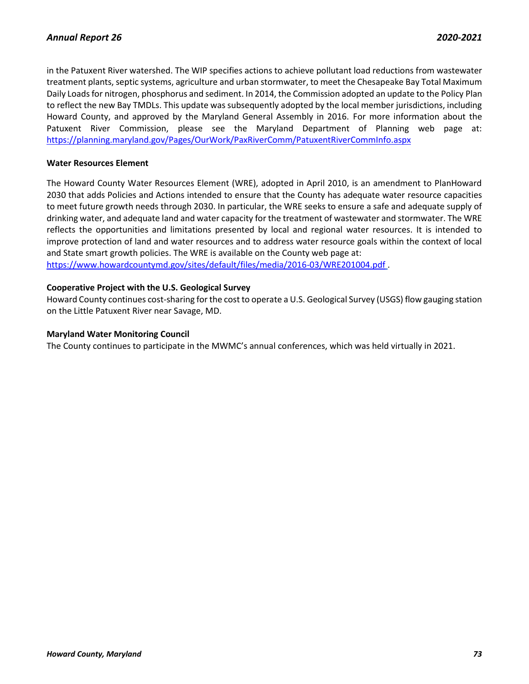in the Patuxent River watershed. The WIP specifies actions to achieve pollutant load reductions from wastewater treatment plants, septic systems, agriculture and urban stormwater, to meet the Chesapeake Bay Total Maximum Daily Loads for nitrogen, phosphorus and sediment. In 2014, the Commission adopted an update to the Policy Plan to reflect the new Bay TMDLs. This update was subsequently adopted by the local member jurisdictions, including Howard County, and approved by the Maryland General Assembly in 2016. For more information about the Patuxent River Commission, please see the Maryland Department of Planning web page at: <https://planning.maryland.gov/Pages/OurWork/PaxRiverComm/PatuxentRiverCommInfo.aspx>

#### **Water Resources Element**

The Howard County Water Resources Element (WRE), adopted in April 2010, is an amendment to PlanHoward 2030 that adds Policies and Actions intended to ensure that the County has adequate water resource capacities to meet future growth needs through 2030. In particular, the WRE seeks to ensure a safe and adequate supply of drinking water, and adequate land and water capacity for the treatment of wastewater and stormwater. The WRE reflects the opportunities and limitations presented by local and regional water resources. It is intended to improve protection of land and water resources and to address water resource goals within the context of local and State smart growth policies. The WRE is available on the County web page at: <https://www.howardcountymd.gov/sites/default/files/media/2016-03/WRE201004.pdf> .

### **Cooperative Project with the U.S. Geological Survey**

Howard County continues cost-sharing for the cost to operate a U.S. Geological Survey (USGS) flow gauging station on the Little Patuxent River near Savage, MD.

#### **Maryland Water Monitoring Council**

The County continues to participate in the MWMC's annual conferences, which was held virtually in 2021.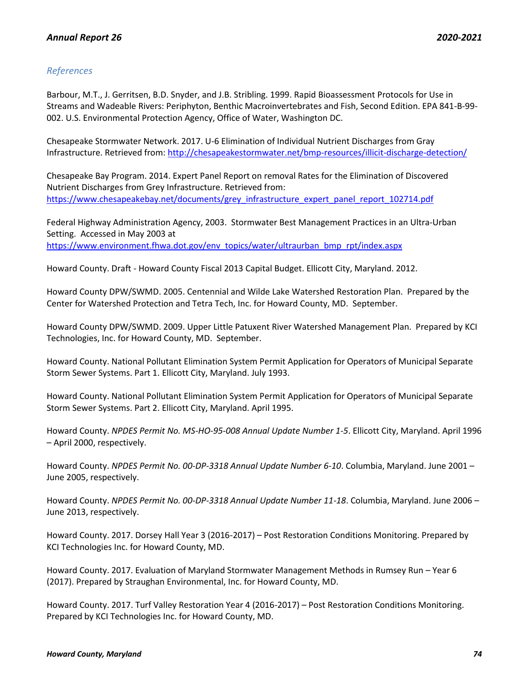# *References*

Barbour, M.T., J. Gerritsen, B.D. Snyder, and J.B. Stribling. 1999. Rapid Bioassessment Protocols for Use in Streams and Wadeable Rivers: Periphyton, Benthic Macroinvertebrates and Fish, Second Edition. EPA 841-B-99- 002. U.S. Environmental Protection Agency, Office of Water, Washington DC.

Chesapeake Stormwater Network. 2017. U-6 Elimination of Individual Nutrient Discharges from Gray Infrastructure. Retrieved from:<http://chesapeakestormwater.net/bmp-resources/illicit-discharge-detection/>

Chesapeake Bay Program. 2014. Expert Panel Report on removal Rates for the Elimination of Discovered Nutrient Discharges from Grey Infrastructure. Retrieved from: [https://www.chesapeakebay.net/documents/grey\\_infrastructure\\_expert\\_panel\\_report\\_102714.pdf](https://www.chesapeakebay.net/documents/grey_infrastructure_expert_panel_report_102714.pdf)

Federal Highway Administration Agency, 2003. Stormwater Best Management Practices in an Ultra-Urban Setting. Accessed in May 2003 at [https://www.environment.fhwa.dot.gov/env\\_topics/water/ultraurban\\_bmp\\_rpt/index.aspx](https://www.environment.fhwa.dot.gov/env_topics/water/ultraurban_bmp_rpt/index.aspx)

Howard County. Draft - Howard County Fiscal 2013 Capital Budget. Ellicott City, Maryland. 2012.

Howard County DPW/SWMD. 2005. Centennial and Wilde Lake Watershed Restoration Plan. Prepared by the Center for Watershed Protection and Tetra Tech, Inc. for Howard County, MD. September.

Howard County DPW/SWMD. 2009. Upper Little Patuxent River Watershed Management Plan. Prepared by KCI Technologies, Inc. for Howard County, MD. September.

Howard County. National Pollutant Elimination System Permit Application for Operators of Municipal Separate Storm Sewer Systems. Part 1. Ellicott City, Maryland. July 1993.

Howard County. National Pollutant Elimination System Permit Application for Operators of Municipal Separate Storm Sewer Systems. Part 2. Ellicott City, Maryland. April 1995.

Howard County. *NPDES Permit No. MS-HO-95-008 Annual Update Number 1-5*. Ellicott City, Maryland. April 1996 – April 2000, respectively.

Howard County. *NPDES Permit No. 00-DP-3318 Annual Update Number 6-10*. Columbia, Maryland. June 2001 – June 2005, respectively.

Howard County. *NPDES Permit No. 00-DP-3318 Annual Update Number 11-18*. Columbia, Maryland. June 2006 – June 2013, respectively.

Howard County. 2017. Dorsey Hall Year 3 (2016-2017) – Post Restoration Conditions Monitoring. Prepared by KCI Technologies Inc. for Howard County, MD.

Howard County. 2017. Evaluation of Maryland Stormwater Management Methods in Rumsey Run – Year 6 (2017). Prepared by Straughan Environmental, Inc. for Howard County, MD.

Howard County. 2017. Turf Valley Restoration Year 4 (2016-2017) – Post Restoration Conditions Monitoring. Prepared by KCI Technologies Inc. for Howard County, MD.